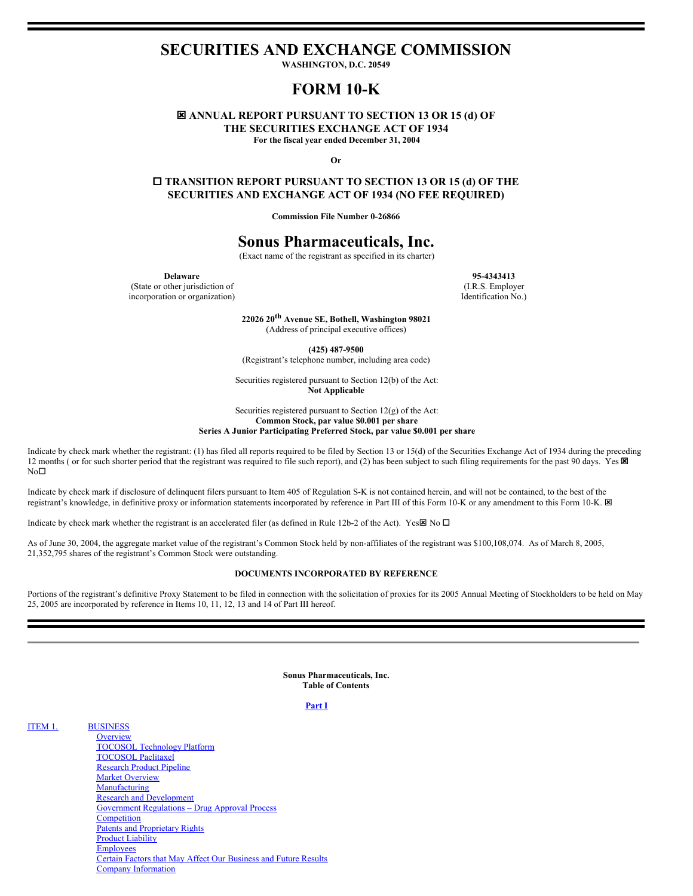## **SECURITIES AND EXCHANGE COMMISSION**

**WASHINGTON, D.C. 20549**

# **FORM 10-K**

ý **ANNUAL REPORT PURSUANT TO SECTION 13 OR 15 (d) OF THE SECURITIES EXCHANGE ACT OF 1934 For the fiscal year ended December 31, 2004**

**Or**

o **TRANSITION REPORT PURSUANT TO SECTION 13 OR 15 (d) OF THE SECURITIES AND EXCHANGE ACT OF 1934 (NO FEE REQUIRED)**

**Commission File Number 0-26866**

# **Sonus Pharmaceuticals, Inc.**

(Exact name of the registrant as specified in its charter)

(State or other jurisdiction of incorporation or organization)

**Delaware 95-4343413** (I.R.S. Employer Identification No.)

> **22026 20 th Avenue SE, Bothell, Washington 98021** (Address of principal executive offices)

> > **(425) 487-9500**

(Registrant's telephone number, including area code)

Securities registered pursuant to Section 12(b) of the Act: **Not Applicable**

Securities registered pursuant to Section 12(g) of the Act: **Common Stock, par value \$0.001 per share Series A Junior Participating Preferred Stock, par value \$0.001 per share**

Indicate by check mark whether the registrant: (1) has filed all reports required to be filed by Section 13 or 15(d) of the Securities Exchange Act of 1934 during the preceding 12 months (or for such shorter period that the registrant was required to file such report), and (2) has been subject to such filing requirements for the past 90 days. Yes  $\boxtimes$  $No<sub>D</sub>$ 

Indicate by check mark if disclosure of delinquent filers pursuant to Item 405 of Regulation S-K is not contained herein, and will not be contained, to the best of the registrant's knowledge, in definitive proxy or information statements incorporated by reference in Part III of this Form 10-K or any amendment to this Form 10-K. 图

Indicate by check mark whether the registrant is an accelerated filer (as defined in Rule 12b-2 of the Act). Yes $\boxtimes$  No  $\square$ 

As of June 30, 2004, the aggregate market value of the registrant's Common Stock held by non-affiliates of the registrant was \$100,108,074. As of March 8, 2005, 21,352,795 shares of the registrant's Common Stock were outstanding.

## **DOCUMENTS INCORPORATED BY REFERENCE**

Portions of the registrant's definitive Proxy Statement to be filed in connection with the solicitation of proxies for its 2005 Annual Meeting of Stockholders to be held on May 25, 2005 are incorporated by reference in Items 10, 11, 12, 13 and 14 of Part III hereof.

> **Sonus Pharmaceuticals, Inc. Table of Contents**

#### **[Part](#page-1-0) I**

- [ITEM](#page-1-1) 1. [BUSINESS](#page-1-1)
	- **[Overview](#page-1-2)** TOCOSOL [Technology](#page-1-3) Platform [TOCOSOL](#page-2-0) Paclitaxel [Research](#page-3-0) Product Pipeline **Market [Overview](#page-3-1) [Manufacturing](#page-4-0)** Research and [Development](#page-4-1) [Government](#page-4-2) Regulations – Drug Approval Process **[Competition](#page-5-0)** Patents and [Proprietary](#page-5-1) Rights **Product [Liability](#page-6-0)** [Employees](#page-6-1) Certain Factors that May Affect Our [Business](#page-6-2) and Future Results Company [Information](#page-9-0)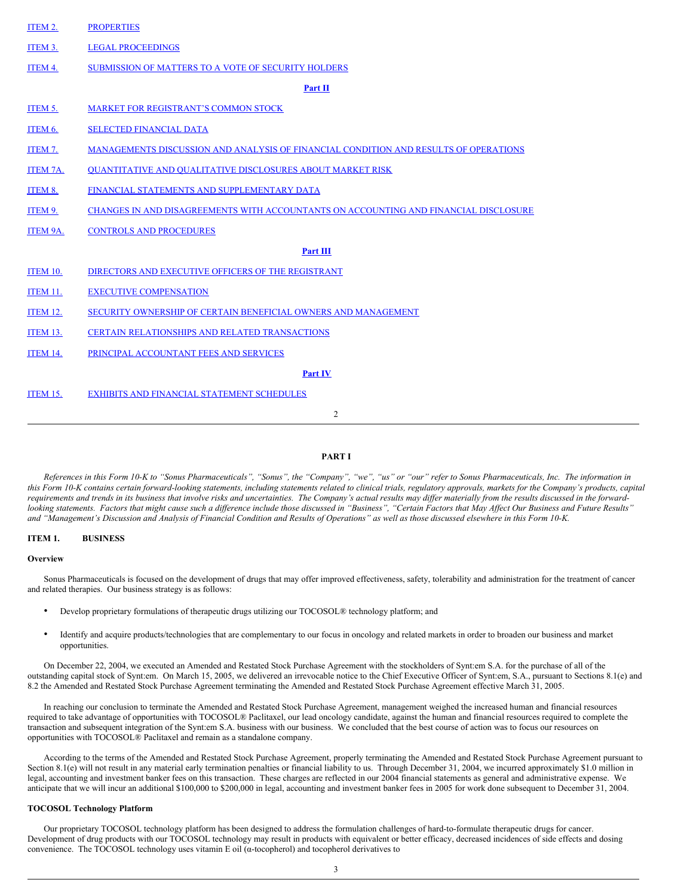| ITEM 2.         | <b>PROPERTIES</b>                                                                    |
|-----------------|--------------------------------------------------------------------------------------|
| ITEM 3.         | <b>LEGAL PROCEEDINGS</b>                                                             |
| ITEM 4.         | SUBMISSION OF MATTERS TO A VOTE OF SECURITY HOLDERS                                  |
|                 | Part II                                                                              |
| ITEM 5.         | MARKET FOR REGISTRANT'S COMMON STOCK                                                 |
| ITEM 6.         | <b>SELECTED FINANCIAL DATA</b>                                                       |
| ITEM 7.         | MANAGEMENTS DISCUSSION AND ANALYSIS OF FINANCIAL CONDITION AND RESULTS OF OPERATIONS |
| ITEM 7A.        | <b>QUANTITATIVE AND QUALITATIVE DISCLOSURES ABOUT MARKET RISK</b>                    |
| ITEM 8.         | FINANCIAL STATEMENTS AND SUPPLEMENTARY DATA                                          |
| ITEM 9.         | CHANGES IN AND DISAGREEMENTS WITH ACCOUNTANTS ON ACCOUNTING AND FINANCIAL DISCLOSURE |
| ITEM 9A.        | <b>CONTROLS AND PROCEDURES</b>                                                       |
|                 | Part III                                                                             |
| <b>ITEM 10.</b> | DIRECTORS AND EXECUTIVE OFFICERS OF THE REGISTRANT                                   |
| <b>ITEM 11.</b> | <b>EXECUTIVE COMPENSATION</b>                                                        |
| <b>ITEM 12.</b> | SECURITY OWNERSHIP OF CERTAIN BENEFICIAL OWNERS AND MANAGEMENT                       |
| <b>ITEM 13.</b> | <b>CERTAIN RELATIONSHIPS AND RELATED TRANSACTIONS</b>                                |
| <b>ITEM 14.</b> | PRINCIPAL ACCOUNTANT FEES AND SERVICES                                               |
|                 | <b>Part IV</b>                                                                       |
| <b>ITEM 15.</b> | EXHIBITS AND FINANCIAL STATEMENT SCHEDULES                                           |
|                 | 2                                                                                    |

## <span id="page-1-0"></span>**PART I**

References in this Form 10-K to "Sonus Pharmaceuticals", "Sonus", the "Company", "we", "us" or "our" refer to Sonus Pharmaceuticals, Inc. The information in this Form 10-K contains certain forward-looking statements, including statements related to clinical trials, regulatory approvals, markets for the Company's products, capital requirements and trends in its business that involve risks and uncertainties. The Company's actual results may differ materially from the results discussed in the forwardlooking statements. Factors that might cause such a difference include those discussed in "Business", "Certain Factors that May Affect Our Business and Future Results" and "Management's Discussion and Analysis of Financial Condition and Results of Operations" as well as those discussed elsewhere in this Form 10-K.

## <span id="page-1-2"></span><span id="page-1-1"></span>**ITEM 1. BUSINESS**

## **Overview**

Sonus Pharmaceuticals is focused on the development of drugs that may offer improved effectiveness, safety, tolerability and administration for the treatment of cancer and related therapies. Our business strategy is as follows:

- Develop proprietary formulations of therapeutic drugs utilizing our TOCOSOL® technology platform; and
- Identify and acquire products/technologies that are complementary to our focus in oncology and related markets in order to broaden our business and market opportunities.

On December 22, 2004, we executed an Amended and Restated Stock Purchase Agreement with the stockholders of Synt:em S.A. for the purchase of all of the outstanding capital stock of Synt:em. On March 15, 2005, we delivered an irrevocable notice to the Chief Executive Officer of Synt:em, S.A., pursuant to Sections 8.1(e) and 8.2 the Amended and Restated Stock Purchase Agreement terminating the Amended and Restated Stock Purchase Agreement effective March 31, 2005.

In reaching our conclusion to terminate the Amended and Restated Stock Purchase Agreement, management weighed the increased human and financial resources required to take advantage of opportunities with TOCOSOL® Paclitaxel, our lead oncology candidate, against the human and financial resources required to complete the transaction and subsequent integration of the Synt:em S.A. business with our business. We concluded that the best course of action was to focus our resources on opportunities with TOCOSOL® Paclitaxel and remain as a standalone company.

According to the terms of the Amended and Restated Stock Purchase Agreement, properly terminating the Amended and Restated Stock Purchase Agreement pursuant to Section 8.1(e) will not result in any material early termination penalties or financial liability to us. Through December 31, 2004, we incurred approximately \$1.0 million in legal, accounting and investment banker fees on this transaction. These charges are reflected in our 2004 financial statements as general and administrative expense. We anticipate that we will incur an additional \$100,000 to \$200,000 in legal, accounting and investment banker fees in 2005 for work done subsequent to December 31, 2004.

## <span id="page-1-3"></span>**TOCOSOL Technology Platform**

Our proprietary TOCOSOL technology platform has been designed to address the formulation challenges of hard-to-formulate therapeutic drugs for cancer. Development of drug products with our TOCOSOL technology may result in products with equivalent or better efficacy, decreased incidences of side effects and dosing convenience. The TOCOSOL technology uses vitamin E oil  $(\alpha$ -tocopherol) and tocopherol derivatives to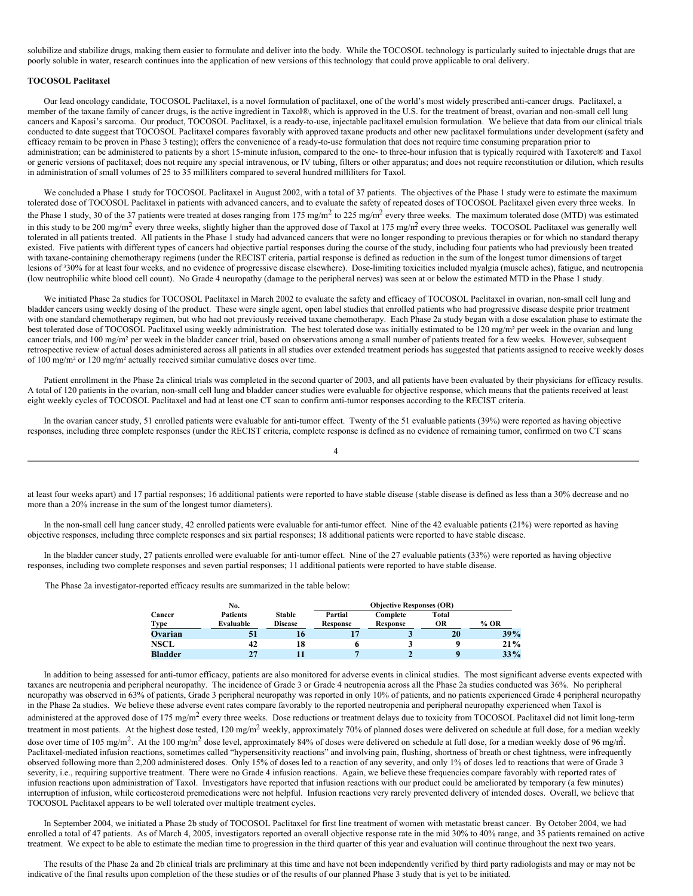solubilize and stabilize drugs, making them easier to formulate and deliver into the body. While the TOCOSOL technology is particularly suited to injectable drugs that are poorly soluble in water, research continues into the application of new versions of this technology that could prove applicable to oral delivery.

## <span id="page-2-0"></span>**TOCOSOL Paclitaxel**

Our lead oncology candidate, TOCOSOL Paclitaxel, is a novel formulation of paclitaxel, one of the world's most widely prescribed anti-cancer drugs. Paclitaxel, a member of the taxane family of cancer drugs, is the active ingredient in Taxol®, which is approved in the U.S. for the treatment of breast, ovarian and non-small cell lung cancers and Kaposi's sarcoma. Our product, TOCOSOL Paclitaxel, is a ready-to-use, injectable paclitaxel emulsion formulation. We believe that data from our clinical trials conducted to date suggest that TOCOSOL Paclitaxel compares favorably with approved taxane products and other new paclitaxel formulations under development (safety and efficacy remain to be proven in Phase 3 testing); offers the convenience of a ready-to-use formulation that does not require time consuming preparation prior to administration; can be administered to patients by a short 15-minute infusion, compared to the one- to three-hour infusion that is typically required with Taxotere® and Taxol or generic versions of paclitaxel; does not require any special intravenous, or IV tubing, filters or other apparatus; and does not require reconstitution or dilution, which results in administration of small volumes of 25 to 35 milliliters compared to several hundred milliliters for Taxol.

We concluded a Phase 1 study for TOCOSOL Paclitaxel in August 2002, with a total of 37 patients. The objectives of the Phase 1 study were to estimate the maximum tolerated dose of TOCOSOL Paclitaxel in patients with advanced cancers, and to evaluate the safety of repeated doses of TOCOSOL Paclitaxel given every three weeks. In the Phase 1 study, 30 of the 37 patients were treated at doses ranging from 175 mg/m<sup>2</sup> to 225 mg/m<sup>2</sup> every three weeks. The maximum tolerated dose (MTD) was estimated in this study to be 200 mg/m<sup>2</sup> every three weeks, slightly higher than the approved dose of Taxol at 175 mg/m<sup>2</sup> every three weeks. TOCOSOL Paclitaxel was generally well tolerated in all patients treated. All patients in the Phase 1 study had advanced cancers that were no longer responding to previous therapies or for which no standard therapy existed. Five patients with different types of cancers had objective partial responses during the course of the study, including four patients who had previously been treated with taxane-containing chemotherapy regimens (under the RECIST criteria, partial response is defined as reduction in the sum of the longest tumor dimensions of target lesions of 330% for at least four weeks, and no evidence of progressive disease elsewhere). Dose-limiting toxicities included myalgia (muscle aches), fatigue, and neutropenia (low neutrophilic white blood cell count). No Grade 4 neuropathy (damage to the peripheral nerves) was seen at or below the estimated MTD in the Phase 1 study.

We initiated Phase 2a studies for TOCOSOL Paclitaxel in March 2002 to evaluate the safety and efficacy of TOCOSOL Paclitaxel in ovarian, non-small cell lung and bladder cancers using weekly dosing of the product. These were single agent, open label studies that enrolled patients who had progressive disease despite prior treatment with one standard chemotherapy regimen, but who had not previously received taxane chemotherapy. Each Phase 2a study began with a dose escalation phase to estimate the best tolerated dose of TOCOSOL Paclitaxel using weekly administration. The best tolerated dose was initially estimated to be 120 mg/m<sup>2</sup> per week in the ovarian and lung cancer trials, and 100 mg/m<sup>2</sup> per week in the bladder cancer trial, based on observations among a small number of patients treated for a few weeks. However, subsequent retrospective review of actual doses administered across all patients in all studies over extended treatment periods has suggested that patients assigned to receive weekly doses of 100 mg/m² or 120 mg/m² actually received similar cumulative doses over time.

Patient enrollment in the Phase 2a clinical trials was completed in the second quarter of 2003, and all patients have been evaluated by their physicians for efficacy results. A total of 120 patients in the ovarian, non-small cell lung and bladder cancer studies were evaluable for objective response, which means that the patients received at least eight weekly cycles of TOCOSOL Paclitaxel and had at least one CT scan to confirm anti-tumor responses according to the RECIST criteria.

In the ovarian cancer study, 51 enrolled patients were evaluable for anti-tumor effect. Twenty of the 51 evaluable patients (39%) were reported as having objective responses, including three complete responses (under the RECIST criteria, complete response is defined as no evidence of remaining tumor, confirmed on two CT scans

4

at least four weeks apart) and 17 partial responses; 16 additional patients were reported to have stable disease (stable disease is defined as less than a 30% decrease and no more than a 20% increase in the sum of the longest tumor diameters).

In the non-small cell lung cancer study, 42 enrolled patients were evaluable for anti-tumor effect. Nine of the 42 evaluable patients (21%) were reported as having objective responses, including three complete responses and six partial responses; 18 additional patients were reported to have stable disease.

In the bladder cancer study, 27 patients enrolled were evaluable for anti-tumor effect. Nine of the 27 evaluable patients (33%) were reported as having objective responses, including two complete responses and seven partial responses; 11 additional patients were reported to have stable disease.

The Phase 2a investigator-reported efficacy results are summarized in the table below:

|                | No.                              |                | <b>Objective Responses (OR)</b> |                 |       |      |  |  |  |  |  |
|----------------|----------------------------------|----------------|---------------------------------|-----------------|-------|------|--|--|--|--|--|
| Cancer         | <b>Patients</b><br><b>Stable</b> |                | Partial                         | Complete        | Total |      |  |  |  |  |  |
| Type           | Evaluable                        | <b>Disease</b> | <b>Response</b>                 | <b>Response</b> | OR    | % OR |  |  |  |  |  |
| Ovarian        | 51                               | 10             |                                 |                 | 20    | 39%  |  |  |  |  |  |
| <b>NSCL</b>    | 42                               | 18             |                                 |                 |       | 21%  |  |  |  |  |  |
| <b>Bladder</b> | 27                               |                |                                 |                 |       | 33%  |  |  |  |  |  |

In addition to being assessed for anti-tumor efficacy, patients are also monitored for adverse events in clinical studies. The most significant adverse events expected with taxanes are neutropenia and peripheral neuropathy. The incidence of Grade 3 or Grade 4 neutropenia across all the Phase 2a studies conducted was 36%. No peripheral neuropathy was observed in 63% of patients, Grade 3 peripheral neuropathy was reported in only 10% of patients, and no patients experienced Grade 4 peripheral neuropathy in the Phase 2a studies. We believe these adverse event rates compare favorably to the reported neutropenia and peripheral neuropathy experienced when Taxol is administered at the approved dose of 175 mg/m<sup>2</sup> every three weeks. Dose reductions or treatment delays due to toxicity from TOCOSOL Paclitaxel did not limit long-term treatment in most patients. At the highest dose tested, 120 mg/m<sup>2</sup> weekly, approximately 70% of planned doses were delivered on schedule at full dose, for a median weekly dose over time of 105 mg/m<sup>2</sup>. At the 100 mg/m<sup>2</sup> dose level, approximately 84% of doses were delivered on schedule at full dose, for a median weekly dose of 96 mg/m<sup>2</sup>. Paclitaxel-mediated infusion reactions, sometimes called "hypersensitivity reactions" and involving pain, flushing, shortness of breath or chest tightness, were infrequently observed following more than 2,200 administered doses. Only 15% of doses led to a reaction of any severity, and only 1% of doses led to reactions that were of Grade 3 severity, i.e., requiring supportive treatment. There were no Grade 4 infusion reactions. Again, we believe these frequencies compare favorably with reported rates of infusion reactions upon administration of Taxol. Investigators have reported that infusion reactions with our product could be ameliorated by temporary (a few minutes) interruption of infusion, while corticosteroid premedications were not helpful. Infusion reactions very rarely prevented delivery of intended doses. Overall, we believe that TOCOSOL Paclitaxel appears to be well tolerated over multiple treatment cycles.

In September 2004, we initiated a Phase 2b study of TOCOSOL Paclitaxel for first line treatment of women with metastatic breast cancer. By October 2004, we had enrolled a total of 47 patients. As of March 4, 2005, investigators reported an overall objective response rate in the mid 30% to 40% range, and 35 patients remained on active treatment. We expect to be able to estimate the median time to progression in the third quarter of this year and evaluation will continue throughout the next two years.

The results of the Phase 2a and 2b clinical trials are preliminary at this time and have not been independently verified by third party radiologists and may or may not be indicative of the final results upon completion of the these studies or of the results of our planned Phase 3 study that is yet to be initiated.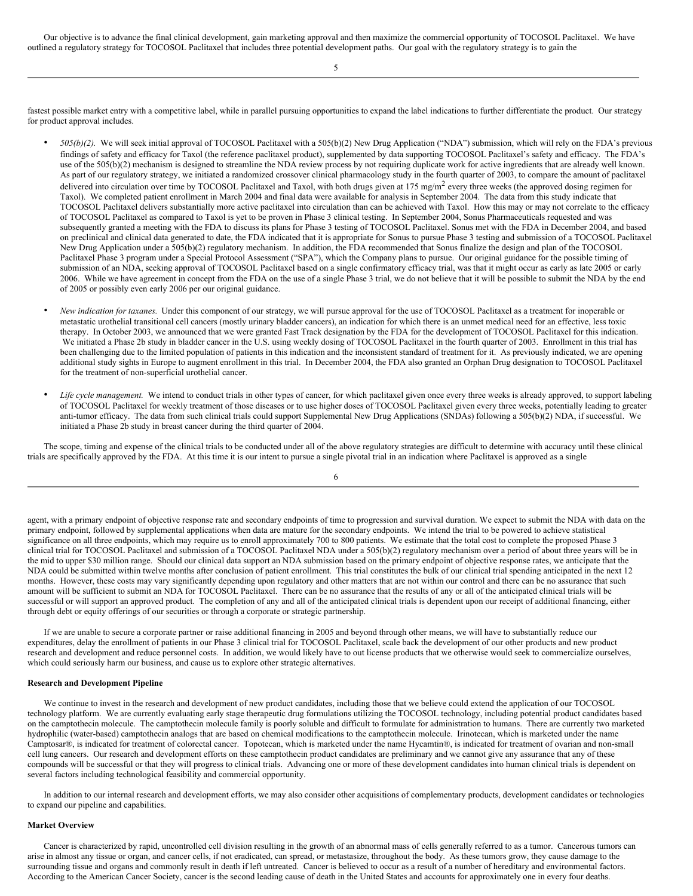Our objective is to advance the final clinical development, gain marketing approval and then maximize the commercial opportunity of TOCOSOL Paclitaxel. We have outlined a regulatory strategy for TOCOSOL Paclitaxel that includes three potential development paths. Our goal with the regulatory strategy is to gain the

5

fastest possible market entry with a competitive label, while in parallel pursuing opportunities to expand the label indications to further differentiate the product. Our strategy for product approval includes.

- *505(b)(2).* We will seek initial approval of TOCOSOL Paclitaxel with a 505(b)(2) New Drug Application ("NDA") submission, which will rely on the FDA's previous findings of safety and efficacy for Taxol (the reference paclitaxel product), supplemented by data supporting TOCOSOL Paclitaxel's safety and efficacy. The FDA's use of the 505(b)(2) mechanism is designed to streamline the NDA review process by not requiring duplicate work for active ingredients that are already well known. As part of our regulatory strategy, we initiated a randomized crossover clinical pharmacology study in the fourth quarter of 2003, to compare the amount of paclitaxel delivered into circulation over time by TOCOSOL Paclitaxel and Taxol, with both drugs given at  $175 \text{ mg/m}^2$  every three weeks (the approved dosing regimen for Taxol). We completed patient enrollment in March 2004 and final data were available for analysis in September 2004. The data from this study indicate that TOCOSOL Paclitaxel delivers substantially more active paclitaxel into circulation than can be achieved with Taxol. How this may or may not correlate to the efficacy of TOCOSOL Paclitaxel as compared to Taxol is yet to be proven in Phase 3 clinical testing. In September 2004, Sonus Pharmaceuticals requested and was subsequently granted a meeting with the FDA to discuss its plans for Phase 3 testing of TOCOSOL Paclitaxel. Sonus met with the FDA in December 2004, and based on preclinical and clinical data generated to date, the FDA indicated that it is appropriate for Sonus to pursue Phase 3 testing and submission of a TOCOSOL Paclitaxel New Drug Application under a 505(b)(2) regulatory mechanism. In addition, the FDA recommended that Sonus finalize the design and plan of the TOCOSOL Paclitaxel Phase 3 program under a Special Protocol Assessment ("SPA"), which the Company plans to pursue. Our original guidance for the possible timing of submission of an NDA, seeking approval of TOCOSOL Paclitaxel based on a single confirmatory efficacy trial, was that it might occur as early as late 2005 or early 2006. While we have agreement in concept from the FDA on the use of a single Phase 3 trial, we do not believe that it will be possible to submit the NDA by the end of 2005 or possibly even early 2006 per our original guidance.
- *New indication for taxanes.* Under this component of our strategy, we will pursue approval for the use of TOCOSOL Paclitaxel as a treatment for inoperable or metastatic urothelial transitional cell cancers (mostly urinary bladder cancers), an indication for which there is an unmet medical need for an effective, less toxic therapy. In October 2003, we announced that we were granted Fast Track designation by the FDA for the development of TOCOSOL Paclitaxel for this indication. We initiated a Phase 2b study in bladder cancer in the U.S. using weekly dosing of TOCOSOL Paclitaxel in the fourth quarter of 2003. Enrollment in this trial has been challenging due to the limited population of patients in this indication and the inconsistent standard of treatment for it. As previously indicated, we are opening additional study sights in Europe to augment enrollment in this trial. In December 2004, the FDA also granted an Orphan Drug designation to TOCOSOL Paclitaxel for the treatment of non-superficial urothelial cancer.
- *Life cycle management.* We intend to conduct trials in other types of cancer, for which paclitaxel given once every three weeks is already approved, to support labeling of TOCOSOL Paclitaxel for weekly treatment of those diseases or to use higher doses of TOCOSOL Paclitaxel given every three weeks, potentially leading to greater anti-tumor efficacy. The data from such clinical trials could support Supplemental New Drug Applications (SNDAs) following a 505(b)(2) NDA, if successful. We initiated a Phase 2b study in breast cancer during the third quarter of 2004.

The scope, timing and expense of the clinical trials to be conducted under all of the above regulatory strategies are difficult to determine with accuracy until these clinical trials are specifically approved by the FDA. At this time it is our intent to pursue a single pivotal trial in an indication where Paclitaxel is approved as a single

6

agent, with a primary endpoint of objective response rate and secondary endpoints of time to progression and survival duration. We expect to submit the NDA with data on the primary endpoint, followed by supplemental applications when data are mature for the secondary endpoints. We intend the trial to be powered to achieve statistical significance on all three endpoints, which may require us to enroll approximately 700 to 800 patients. We estimate that the total cost to complete the proposed Phase 3 clinical trial for TOCOSOL Paclitaxel and submission of a TOCOSOL Paclitaxel NDA under a 505(b)(2) regulatory mechanism over a period of about three years will be in the mid to upper \$30 million range. Should our clinical data support an NDA submission based on the primary endpoint of objective response rates, we anticipate that the NDA could be submitted within twelve months after conclusion of patient enrollment. This trial constitutes the bulk of our clinical trial spending anticipated in the next 12 months. However, these costs may vary significantly depending upon regulatory and other matters that are not within our control and there can be no assurance that such amount will be sufficient to submit an NDA for TOCOSOL Paclitaxel. There can be no assurance that the results of any or all of the anticipated clinical trials will be successful or will support an approved product. The completion of any and all of the anticipated clinical trials is dependent upon our receipt of additional financing, either through debt or equity offerings of our securities or through a corporate or strategic partnership.

If we are unable to secure a corporate partner or raise additional financing in 2005 and beyond through other means, we will have to substantially reduce our expenditures, delay the enrollment of patients in our Phase 3 clinical trial for TOCOSOL Paclitaxel, scale back the development of our other products and new product research and development and reduce personnel costs. In addition, we would likely have to out license products that we otherwise would seek to commercialize ourselves, which could seriously harm our business, and cause us to explore other strategic alternatives.

## <span id="page-3-0"></span>**Research and Development Pipeline**

We continue to invest in the research and development of new product candidates, including those that we believe could extend the application of our TOCOSOL technology platform. We are currently evaluating early stage therapeutic drug formulations utilizing the TOCOSOL technology, including potential product candidates based on the camptothecin molecule. The camptothecin molecule family is poorly soluble and difficult to formulate for administration to humans. There are currently two marketed hydrophilic (water-based) camptothecin analogs that are based on chemical modifications to the camptothecin molecule. Irinotecan, which is marketed under the name Camptosar®, is indicated for treatment of colorectal cancer. Topotecan, which is marketed under the name Hycamtin®, is indicated for treatment of ovarian and non-small cell lung cancers. Our research and development efforts on these camptothecin product candidates are preliminary and we cannot give any assurance that any of these compounds will be successful or that they will progress to clinical trials. Advancing one or more of these development candidates into human clinical trials is dependent on several factors including technological feasibility and commercial opportunity.

In addition to our internal research and development efforts, we may also consider other acquisitions of complementary products, development candidates or technologies to expand our pipeline and capabilities.

#### <span id="page-3-1"></span>**Market Overview**

Cancer is characterized by rapid, uncontrolled cell division resulting in the growth of an abnormal mass of cells generally referred to as a tumor. Cancerous tumors can arise in almost any tissue or organ, and cancer cells, if not eradicated, can spread, or metastasize, throughout the body. As these tumors grow, they cause damage to the surrounding tissue and organs and commonly result in death if left untreated. Cancer is believed to occur as a result of a number of hereditary and environmental factors. According to the American Cancer Society, cancer is the second leading cause of death in the United States and accounts for approximately one in every four deaths.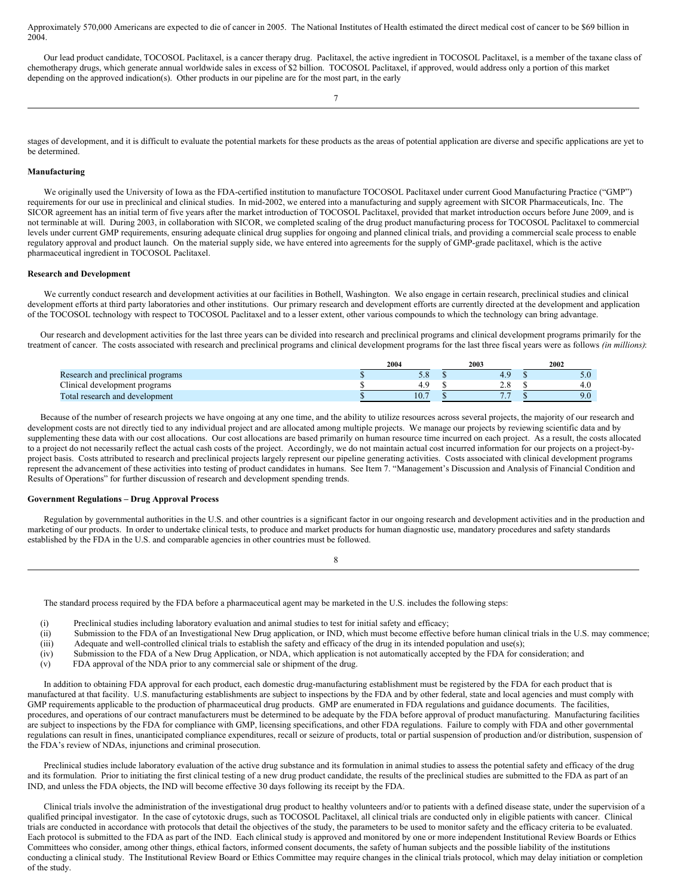Approximately 570,000 Americans are expected to die of cancer in 2005. The National Institutes of Health estimated the direct medical cost of cancer to be \$69 billion in 2004.

Our lead product candidate, TOCOSOL Paclitaxel, is a cancer therapy drug. Paclitaxel, the active ingredient in TOCOSOL Paclitaxel, is a member of the taxane class of chemotherapy drugs, which generate annual worldwide sales in excess of \$2 billion. TOCOSOL Paclitaxel, if approved, would address only a portion of this market depending on the approved indication(s). Other products in our pipeline are for the most part, in the early

7

stages of development, and it is difficult to evaluate the potential markets for these products as the areas of potential application are diverse and specific applications are yet to be determined.

## <span id="page-4-0"></span>**Manufacturing**

We originally used the University of Iowa as the FDA-certified institution to manufacture TOCOSOL Paclitaxel under current Good Manufacturing Practice ("GMP") requirements for our use in preclinical and clinical studies. In mid-2002, we entered into a manufacturing and supply agreement with SICOR Pharmaceuticals, Inc. The SICOR agreement has an initial term of five years after the market introduction of TOCOSOL Paclitaxel, provided that market introduction occurs before June 2009, and is not terminable at will. During 2003, in collaboration with SICOR, we completed scaling of the drug product manufacturing process for TOCOSOL Paclitaxel to commercial levels under current GMP requirements, ensuring adequate clinical drug supplies for ongoing and planned clinical trials, and providing a commercial scale process to enable regulatory approval and product launch. On the material supply side, we have entered into agreements for the supply of GMP-grade paclitaxel, which is the active pharmaceutical ingredient in TOCOSOL Paclitaxel.

#### <span id="page-4-1"></span>**Research and Development**

We currently conduct research and development activities at our facilities in Bothell, Washington. We also engage in certain research, preclinical studies and clinical development efforts at third party laboratories and other institutions. Our primary research and development efforts are currently directed at the development and application of the TOCOSOL technology with respect to TOCOSOL Paclitaxel and to a lesser extent, other various compounds to which the technology can bring advantage.

Our research and development activities for the last three years can be divided into research and preclinical programs and clinical development programs primarily for the treatment of cancer. The costs associated with research and preclinical programs and clinical development programs for the last three fiscal years were as follows *(in millions)*:

|                                   | 2004 |      | 2003 |     | 2002 |
|-----------------------------------|------|------|------|-----|------|
| Research and preclinical programs |      | J.O  |      |     |      |
| Clinical development programs     |      |      |      | 2.c |      |
| Total research and development    |      | 10.7 |      |     |      |

Because of the number of research projects we have ongoing at any one time, and the ability to utilize resources across several projects, the majority of our research and development costs are not directly tied to any individual project and are allocated among multiple projects. We manage our projects by reviewing scientific data and by supplementing these data with our cost allocations. Our cost allocations are based primarily on human resource time incurred on each project. As a result, the costs allocated to a project do not necessarily reflect the actual cash costs of the project. Accordingly, we do not maintain actual cost incurred information for our projects on a project-byproject basis. Costs attributed to research and preclinical projects largely represent our pipeline generating activities. Costs associated with clinical development programs represent the advancement of these activities into testing of product candidates in humans. See Item 7. "Management's Discussion and Analysis of Financial Condition and Results of Operations" for further discussion of research and development spending trends.

#### <span id="page-4-2"></span>**Government Regulations – Drug Approval Process**

Regulation by governmental authorities in the U.S. and other countries is a significant factor in our ongoing research and development activities and in the production and marketing of our products. In order to undertake clinical tests, to produce and market products for human diagnostic use, mandatory procedures and safety standards established by the FDA in the U.S. and comparable agencies in other countries must be followed.

8

The standard process required by the FDA before a pharmaceutical agent may be marketed in the U.S. includes the following steps:

(i) Preclinical studies including laboratory evaluation and animal studies to test for initial safety and efficacy;<br>(ii) Submission to the FDA of an Investigational New Drug application, or IND, which must become effective

- Submission to the FDA of an Investigational New Drug application, or IND, which must become effective before human clinical trials in the U.S. may commence;
- (iii) Adequate and well-controlled clinical trials to establish the safety and efficacy of the drug in its intended population and use(s);
- (iv) Submission to the FDA of a New Drug Application, or NDA, which application is not automatically accepted by the FDA for consideration; and
- (v) FDA approval of the NDA prior to any commercial sale or shipment of the drug.

In addition to obtaining FDA approval for each product, each domestic drug-manufacturing establishment must be registered by the FDA for each product that is manufactured at that facility. U.S. manufacturing establishments are subject to inspections by the FDA and by other federal, state and local agencies and must comply with GMP requirements applicable to the production of pharmaceutical drug products. GMP are enumerated in FDA regulations and guidance documents. The facilities, procedures, and operations of our contract manufacturers must be determined to be adequate by the FDA before approval of product manufacturing. Manufacturing facilities are subject to inspections by the FDA for compliance with GMP, licensing specifications, and other FDA regulations. Failure to comply with FDA and other governmental regulations can result in fines, unanticipated compliance expenditures, recall or seizure of products, total or partial suspension of production and/or distribution, suspension of the FDA's review of NDAs, injunctions and criminal prosecution.

Preclinical studies include laboratory evaluation of the active drug substance and its formulation in animal studies to assess the potential safety and efficacy of the drug and its formulation. Prior to initiating the first clinical testing of a new drug product candidate, the results of the preclinical studies are submitted to the FDA as part of an IND, and unless the FDA objects, the IND will become effective 30 days following its receipt by the FDA.

Clinical trials involve the administration of the investigational drug product to healthy volunteers and/or to patients with a defined disease state, under the supervision of a qualified principal investigator. In the case of cytotoxic drugs, such as TOCOSOL Paclitaxel, all clinical trials are conducted only in eligible patients with cancer. Clinical trials are conducted in accordance with protocols that detail the objectives of the study, the parameters to be used to monitor safety and the efficacy criteria to be evaluated. Each protocol is submitted to the FDA as part of the IND. Each clinical study is approved and monitored by one or more independent Institutional Review Boards or Ethics Committees who consider, among other things, ethical factors, informed consent documents, the safety of human subjects and the possible liability of the institutions conducting a clinical study. The Institutional Review Board or Ethics Committee may require changes in the clinical trials protocol, which may delay initiation or completion of the study.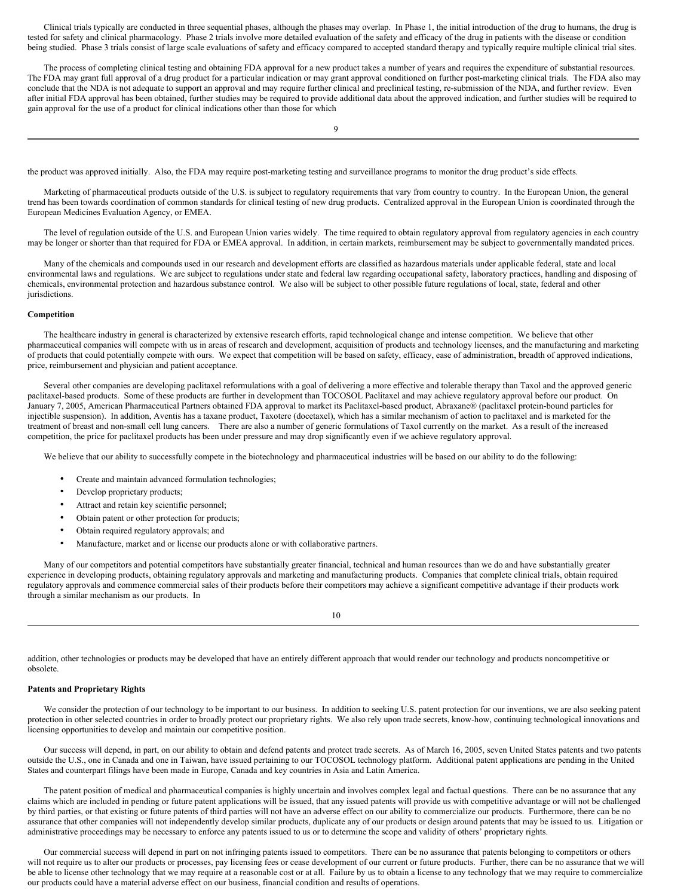Clinical trials typically are conducted in three sequential phases, although the phases may overlap. In Phase 1, the initial introduction of the drug to humans, the drug is tested for safety and clinical pharmacology. Phase 2 trials involve more detailed evaluation of the safety and efficacy of the drug in patients with the disease or condition being studied. Phase 3 trials consist of large scale evaluations of safety and efficacy compared to accepted standard therapy and typically require multiple clinical trial sites.

The process of completing clinical testing and obtaining FDA approval for a new product takes a number of years and requires the expenditure of substantial resources. The FDA may grant full approval of a drug product for a particular indication or may grant approval conditioned on further post-marketing clinical trials. The FDA also may conclude that the NDA is not adequate to support an approval and may require further clinical and preclinical testing, re-submission of the NDA, and further review. Even after initial FDA approval has been obtained, further studies may be required to provide additional data about the approved indication, and further studies will be required to gain approval for the use of a product for clinical indications other than those for which

the product was approved initially. Also, the FDA may require post-marketing testing and surveillance programs to monitor the drug product's side effects.

Marketing of pharmaceutical products outside of the U.S. is subject to regulatory requirements that vary from country to country. In the European Union, the general trend has been towards coordination of common standards for clinical testing of new drug products. Centralized approval in the European Union is coordinated through the European Medicines Evaluation Agency, or EMEA.

The level of regulation outside of the U.S. and European Union varies widely. The time required to obtain regulatory approval from regulatory agencies in each country may be longer or shorter than that required for FDA or EMEA approval. In addition, in certain markets, reimbursement may be subject to governmentally mandated prices.

Many of the chemicals and compounds used in our research and development efforts are classified as hazardous materials under applicable federal, state and local environmental laws and regulations. We are subject to regulations under state and federal law regarding occupational safety, laboratory practices, handling and disposing of chemicals, environmental protection and hazardous substance control. We also will be subject to other possible future regulations of local, state, federal and other jurisdictions.

#### <span id="page-5-0"></span>**Competition**

The healthcare industry in general is characterized by extensive research efforts, rapid technological change and intense competition. We believe that other pharmaceutical companies will compete with us in areas of research and development, acquisition of products and technology licenses, and the manufacturing and marketing of products that could potentially compete with ours. We expect that competition will be based on safety, efficacy, ease of administration, breadth of approved indications, price, reimbursement and physician and patient acceptance.

Several other companies are developing paclitaxel reformulations with a goal of delivering a more effective and tolerable therapy than Taxol and the approved generic paclitaxel-based products. Some of these products are further in development than TOCOSOL Paclitaxel and may achieve regulatory approval before our product. On January 7, 2005, American Pharmaceutical Partners obtained FDA approval to market its Paclitaxel-based product, Abraxane® (paclitaxel protein-bound particles for injectible suspension). In addition, Aventis has a taxane product, Taxotere (docetaxel), which has a similar mechanism of action to paclitaxel and is marketed for the treatment of breast and non-small cell lung cancers. There are also a number of generic formulations of Taxol currently on the market. As a result of the increased competition, the price for paclitaxel products has been under pressure and may drop significantly even if we achieve regulatory approval.

We believe that our ability to successfully compete in the biotechnology and pharmaceutical industries will be based on our ability to do the following:

- Create and maintain advanced formulation technologies;
- Develop proprietary products;
- Attract and retain key scientific personnel;
- Obtain patent or other protection for products;
- Obtain required regulatory approvals; and
- Manufacture, market and or license our products alone or with collaborative partners.

Many of our competitors and potential competitors have substantially greater financial, technical and human resources than we do and have substantially greater experience in developing products, obtaining regulatory approvals and marketing and manufacturing products. Companies that complete clinical trials, obtain required regulatory approvals and commence commercial sales of their products before their competitors may achieve a significant competitive advantage if their products work through a similar mechanism as our products. In

| I            |
|--------------|
|              |
| ٦<br>×<br>۰. |

addition, other technologies or products may be developed that have an entirely different approach that would render our technology and products noncompetitive or obsolete.

## <span id="page-5-1"></span>**Patents and Proprietary Rights**

We consider the protection of our technology to be important to our business. In addition to seeking U.S. patent protection for our inventions, we are also seeking patent protection in other selected countries in order to broadly protect our proprietary rights. We also rely upon trade secrets, know-how, continuing technological innovations and licensing opportunities to develop and maintain our competitive position.

Our success will depend, in part, on our ability to obtain and defend patents and protect trade secrets. As of March 16, 2005, seven United States patents and two patents outside the U.S., one in Canada and one in Taiwan, have issued pertaining to our TOCOSOL technology platform. Additional patent applications are pending in the United States and counterpart filings have been made in Europe, Canada and key countries in Asia and Latin America.

The patent position of medical and pharmaceutical companies is highly uncertain and involves complex legal and factual questions. There can be no assurance that any claims which are included in pending or future patent applications will be issued, that any issued patents will provide us with competitive advantage or will not be challenged by third parties, or that existing or future patents of third parties will not have an adverse effect on our ability to commercialize our products. Furthermore, there can be no assurance that other companies will not independently develop similar products, duplicate any of our products or design around patents that may be issued to us. Litigation or administrative proceedings may be necessary to enforce any patents issued to us or to determine the scope and validity of others' proprietary rights.

Our commercial success will depend in part on not infringing patents issued to competitors. There can be no assurance that patents belonging to competitors or others will not require us to alter our products or processes, pay licensing fees or cease development of our current or future products. Further, there can be no assurance that we will be able to license other technology that we may require at a reasonable cost or at all. Failure by us to obtain a license to any technology that we may require to commercialize our products could have a material adverse effect on our business, financial condition and results of operations.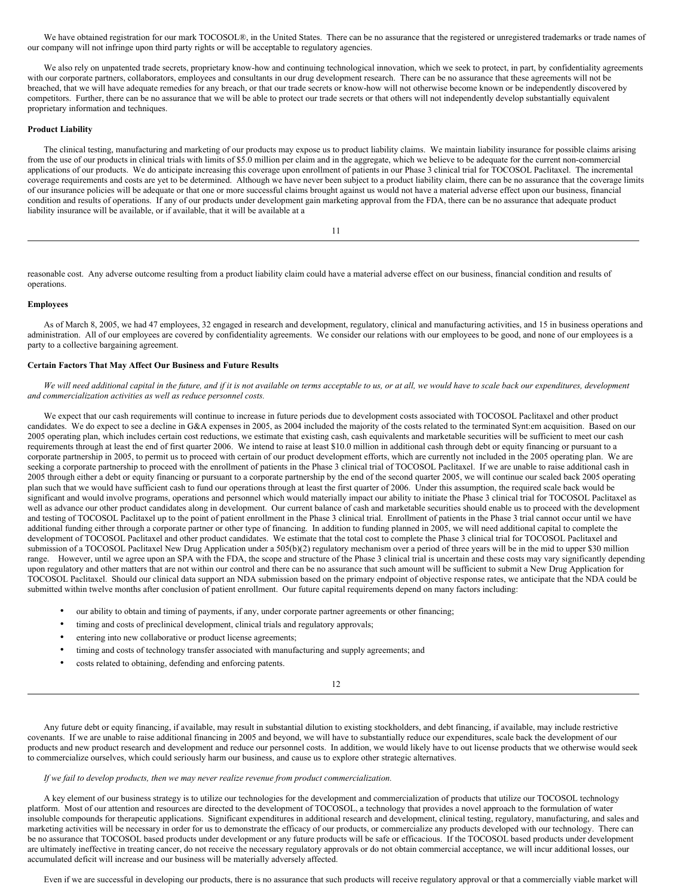We have obtained registration for our mark TOCOSOL®, in the United States. There can be no assurance that the registered or unregistered trademarks or trade names of our company will not infringe upon third party rights or will be acceptable to regulatory agencies.

We also rely on unpatented trade secrets, proprietary know-how and continuing technological innovation, which we seek to protect, in part, by confidentiality agreements with our corporate partners, collaborators, employees and consultants in our drug development research. There can be no assurance that these agreements will not be breached, that we will have adequate remedies for any breach, or that our trade secrets or know-how will not otherwise become known or be independently discovered by competitors. Further, there can be no assurance that we will be able to protect our trade secrets or that others will not independently develop substantially equivalent proprietary information and techniques.

#### <span id="page-6-0"></span>**Product Liability**

The clinical testing, manufacturing and marketing of our products may expose us to product liability claims. We maintain liability insurance for possible claims arising from the use of our products in clinical trials with limits of \$5.0 million per claim and in the aggregate, which we believe to be adequate for the current non-commercial applications of our products. We do anticipate increasing this coverage upon enrollment of patients in our Phase 3 clinical trial for TOCOSOL Paclitaxel. The incremental coverage requirements and costs are yet to be determined. Although we have never been subject to a product liability claim, there can be no assurance that the coverage limits of our insurance policies will be adequate or that one or more successful claims brought against us would not have a material adverse effect upon our business, financial condition and results of operations. If any of our products under development gain marketing approval from the FDA, there can be no assurance that adequate product liability insurance will be available, or if available, that it will be available at a

11

reasonable cost. Any adverse outcome resulting from a product liability claim could have a material adverse effect on our business, financial condition and results of operations.

#### <span id="page-6-1"></span>**Employees**

As of March 8, 2005, we had 47 employees, 32 engaged in research and development, regulatory, clinical and manufacturing activities, and 15 in business operations and administration. All of our employees are covered by confidentiality agreements. We consider our relations with our employees to be good, and none of our employees is a party to a collective bargaining agreement.

## <span id="page-6-2"></span>**Certain Factors That May Affect Our Business and Future Results**

We will need additional capital in the future, and if it is not available on terms acceptable to us, or at all, we would have to scale back our expenditures, development *and commercialization activities as well as reduce personnel costs.*

We expect that our cash requirements will continue to increase in future periods due to development costs associated with TOCOSOL Paclitaxel and other product candidates. We do expect to see a decline in G&A expenses in 2005, as 2004 included the majority of the costs related to the terminated Synt:em acquisition. Based on our 2005 operating plan, which includes certain cost reductions, we estimate that existing cash, cash equivalents and marketable securities will be sufficient to meet our cash requirements through at least the end of first quarter 2006. We intend to raise at least \$10.0 million in additional cash through debt or equity financing or pursuant to a corporate partnership in 2005, to permit us to proceed with certain of our product development efforts, which are currently not included in the 2005 operating plan. We are seeking a corporate partnership to proceed with the enrollment of patients in the Phase 3 clinical trial of TOCOSOL Paclitaxel. If we are unable to raise additional cash in 2005 through either a debt or equity financing or pursuant to a corporate partnership by the end of the second quarter 2005, we will continue our scaled back 2005 operating plan such that we would have sufficient cash to fund our operations through at least the first quarter of 2006. Under this assumption, the required scale back would be significant and would involve programs, operations and personnel which would materially impact our ability to initiate the Phase 3 clinical trial for TOCOSOL Paclitaxel as well as advance our other product candidates along in development. Our current balance of cash and marketable securities should enable us to proceed with the development and testing of TOCOSOL Paclitaxel up to the point of patient enrollment in the Phase 3 clinical trial. Enrollment of patients in the Phase 3 trial cannot occur until we have additional funding either through a corporate partner or other type of financing. In addition to funding planned in 2005, we will need additional capital to complete the development of TOCOSOL Paclitaxel and other product candidates. We estimate that the total cost to complete the Phase 3 clinical trial for TOCOSOL Paclitaxel and submission of a TOCOSOL Paclitaxel New Drug Application under a 505(b)(2) regulatory mechanism over a period of three years will be in the mid to upper \$30 million range. However, until we agree upon an SPA with the FDA, the scope and structure of the Phase 3 clinical trial is uncertain and these costs may vary significantly depending upon regulatory and other matters that are not within our control and there can be no assurance that such amount will be sufficient to submit a New Drug Application for TOCOSOL Paclitaxel. Should our clinical data support an NDA submission based on the primary endpoint of objective response rates, we anticipate that the NDA could be submitted within twelve months after conclusion of patient enrollment. Our future capital requirements depend on many factors including:

- our ability to obtain and timing of payments, if any, under corporate partner agreements or other financing;
- timing and costs of preclinical development, clinical trials and regulatory approvals;
- entering into new collaborative or product license agreements;
- timing and costs of technology transfer associated with manufacturing and supply agreements; and
- costs related to obtaining, defending and enforcing patents.

12

Any future debt or equity financing, if available, may result in substantial dilution to existing stockholders, and debt financing, if available, may include restrictive covenants. If we are unable to raise additional financing in 2005 and beyond, we will have to substantially reduce our expenditures, scale back the development of our products and new product research and development and reduce our personnel costs. In addition, we would likely have to out license products that we otherwise would seek to commercialize ourselves, which could seriously harm our business, and cause us to explore other strategic alternatives.

#### *If we fail to develop products, then we may never realize revenue from product commercialization.*

A key element of our business strategy is to utilize our technologies for the development and commercialization of products that utilize our TOCOSOL technology platform. Most of our attention and resources are directed to the development of TOCOSOL, a technology that provides a novel approach to the formulation of water insoluble compounds for therapeutic applications. Significant expenditures in additional research and development, clinical testing, regulatory, manufacturing, and sales and marketing activities will be necessary in order for us to demonstrate the efficacy of our products, or commercialize any products developed with our technology. There can be no assurance that TOCOSOL based products under development or any future products will be safe or efficacious. If the TOCOSOL based products under development are ultimately ineffective in treating cancer, do not receive the necessary regulatory approvals or do not obtain commercial acceptance, we will incur additional losses, our accumulated deficit will increase and our business will be materially adversely affected.

Even if we are successful in developing our products, there is no assurance that such products will receive regulatory approval or that a commercially viable market will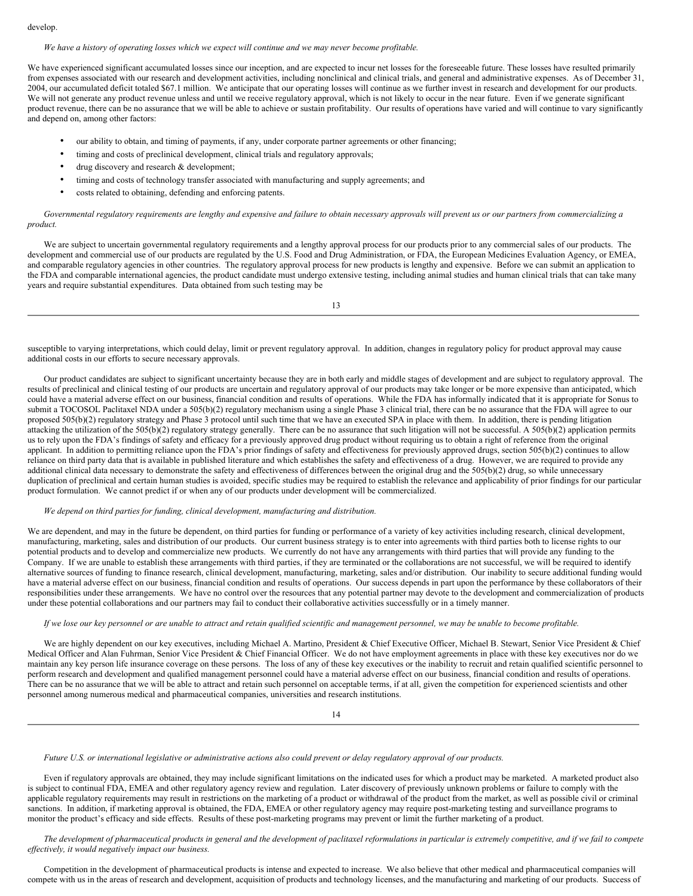develop.

### We have a history of operating losses which we expect will continue and we may never become profitable.

We have experienced significant accumulated losses since our inception, and are expected to incur net losses for the foreseeable future. These losses have resulted primarily from expenses associated with our research and development activities, including nonclinical and clinical trials, and general and administrative expenses. As of December 31, 2004, our accumulated deficit totaled \$67.1 million. We anticipate that our operating losses will continue as we further invest in research and development for our products. We will not generate any product revenue unless and until we receive regulatory approval, which is not likely to occur in the near future. Even if we generate significant product revenue, there can be no assurance that we will be able to achieve or sustain profitability. Our results of operations have varied and will continue to vary significantly and depend on, among other factors:

- our ability to obtain, and timing of payments, if any, under corporate partner agreements or other financing;
- timing and costs of preclinical development, clinical trials and regulatory approvals;
- drug discovery and research & development;
- timing and costs of technology transfer associated with manufacturing and supply agreements; and
- costs related to obtaining, defending and enforcing patents.

Governmental regulatory requirements are lengthy and expensive and failure to obtain necessary approvals will prevent us or our partners from commercializing a *product.*

We are subject to uncertain governmental regulatory requirements and a lengthy approval process for our products prior to any commercial sales of our products. The development and commercial use of our products are regulated by the U.S. Food and Drug Administration, or FDA, the European Medicines Evaluation Agency, or EMEA, and comparable regulatory agencies in other countries. The regulatory approval process for new products is lengthy and expensive. Before we can submit an application to the FDA and comparable international agencies, the product candidate must undergo extensive testing, including animal studies and human clinical trials that can take many years and require substantial expenditures. Data obtained from such testing may be

13

susceptible to varying interpretations, which could delay, limit or prevent regulatory approval. In addition, changes in regulatory policy for product approval may cause additional costs in our efforts to secure necessary approvals.

Our product candidates are subject to significant uncertainty because they are in both early and middle stages of development and are subject to regulatory approval. The results of preclinical and clinical testing of our products are uncertain and regulatory approval of our products may take longer or be more expensive than anticipated, which could have a material adverse effect on our business, financial condition and results of operations. While the FDA has informally indicated that it is appropriate for Sonus to submit a TOCOSOL Paclitaxel NDA under a 505(b)(2) regulatory mechanism using a single Phase 3 clinical trial, there can be no assurance that the FDA will agree to our proposed 505(b)(2) regulatory strategy and Phase 3 protocol until such time that we have an executed SPA in place with them. In addition, there is pending litigation attacking the utilization of the 505(b)(2) regulatory strategy generally. There can be no assurance that such litigation will not be successful. A 505(b)(2) application permits us to rely upon the FDA's findings of safety and efficacy for a previously approved drug product without requiring us to obtain a right of reference from the original applicant. In addition to permitting reliance upon the FDA's prior findings of safety and effectiveness for previously approved drugs, section 505(b)(2) continues to allow reliance on third party data that is available in published literature and which establishes the safety and effectiveness of a drug. However, we are required to provide any additional clinical data necessary to demonstrate the safety and effectiveness of differences between the original drug and the 505(b)(2) drug, so while unnecessary duplication of preclinical and certain human studies is avoided, specific studies may be required to establish the relevance and applicability of prior findings for our particular product formulation. We cannot predict if or when any of our products under development will be commercialized.

## *We depend on third parties for funding, clinical development, manufacturing and distribution.*

We are dependent, and may in the future be dependent, on third parties for funding or performance of a variety of key activities including research, clinical development, manufacturing, marketing, sales and distribution of our products. Our current business strategy is to enter into agreements with third parties both to license rights to our potential products and to develop and commercialize new products. We currently do not have any arrangements with third parties that will provide any funding to the Company. If we are unable to establish these arrangements with third parties, if they are terminated or the collaborations are not successful, we will be required to identify alternative sources of funding to finance research, clinical development, manufacturing, marketing, sales and/or distribution. Our inability to secure additional funding would have a material adverse effect on our business, financial condition and results of operations. Our success depends in part upon the performance by these collaborators of their responsibilities under these arrangements. We have no control over the resources that any potential partner may devote to the development and commercialization of products under these potential collaborations and our partners may fail to conduct their collaborative activities successfully or in a timely manner.

#### If we lose our key personnel or are unable to attract and retain qualified scientific and management personnel, we may be unable to become profitable.

We are highly dependent on our key executives, including Michael A. Martino, President & Chief Executive Officer, Michael B. Stewart, Senior Vice President & Chief Medical Officer and Alan Fuhrman, Senior Vice President & Chief Financial Officer. We do not have employment agreements in place with these key executives nor do we maintain any key person life insurance coverage on these persons. The loss of any of these key executives or the inability to recruit and retain qualified scientific personnel to perform research and development and qualified management personnel could have a material adverse effect on our business, financial condition and results of operations. There can be no assurance that we will be able to attract and retain such personnel on acceptable terms, if at all, given the competition for experienced scientists and other personnel among numerous medical and pharmaceutical companies, universities and research institutions.

14

Future U.S. or international legislative or administrative actions also could prevent or delay regulatory approval of our products.

Even if regulatory approvals are obtained, they may include significant limitations on the indicated uses for which a product may be marketed. A marketed product also is subject to continual FDA, EMEA and other regulatory agency review and regulation. Later discovery of previously unknown problems or failure to comply with the applicable regulatory requirements may result in restrictions on the marketing of a product or withdrawal of the product from the market, as well as possible civil or criminal sanctions. In addition, if marketing approval is obtained, the FDA, EMEA or other regulatory agency may require post-marketing testing and surveillance programs to monitor the product's efficacy and side effects. Results of these post-marketing programs may prevent or limit the further marketing of a product.

The development of pharmaceutical products in general and the development of paclitaxel reformulations in particular is extremely competitive, and if we fail to compete *ef ectively, it would negatively impact our business.*

Competition in the development of pharmaceutical products is intense and expected to increase. We also believe that other medical and pharmaceutical companies will compete with us in the areas of research and development, acquisition of products and technology licenses, and the manufacturing and marketing of our products. Success of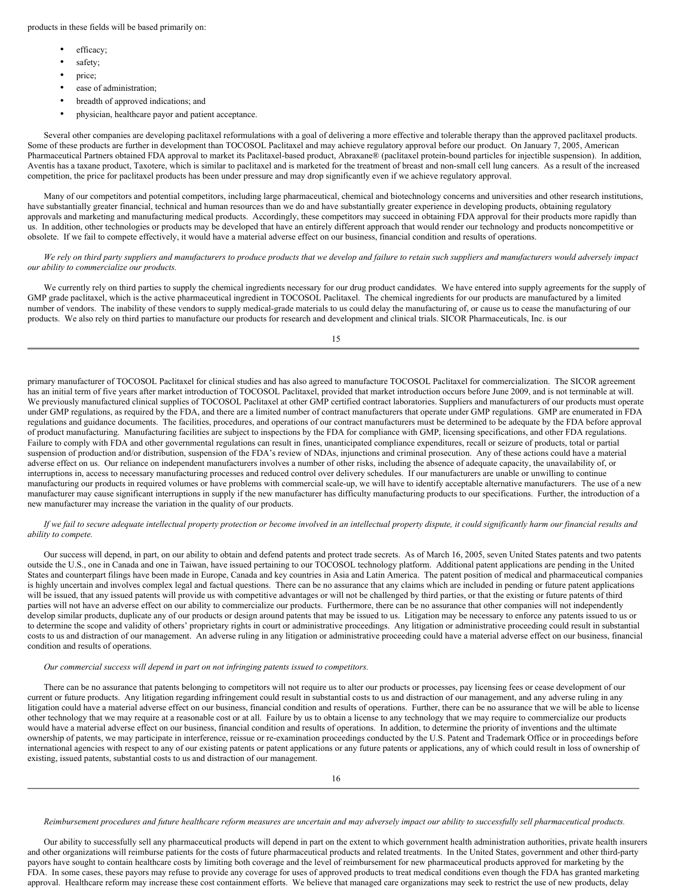products in these fields will be based primarily on:

- efficacy;
- safety;
- price;
- ease of administration;
- breadth of approved indications; and
- physician, healthcare payor and patient acceptance.

Several other companies are developing paclitaxel reformulations with a goal of delivering a more effective and tolerable therapy than the approved paclitaxel products. Some of these products are further in development than TOCOSOL Paclitaxel and may achieve regulatory approval before our product. On January 7, 2005, American Pharmaceutical Partners obtained FDA approval to market its Paclitaxel-based product, Abraxane® (paclitaxel protein-bound particles for injectible suspension). In addition, Aventis has a taxane product, Taxotere, which is similar to paclitaxel and is marketed for the treatment of breast and non-small cell lung cancers. As a result of the increased competition, the price for paclitaxel products has been under pressure and may drop significantly even if we achieve regulatory approval.

Many of our competitors and potential competitors, including large pharmaceutical, chemical and biotechnology concerns and universities and other research institutions, have substantially greater financial, technical and human resources than we do and have substantially greater experience in developing products, obtaining regulatory approvals and marketing and manufacturing medical products. Accordingly, these competitors may succeed in obtaining FDA approval for their products more rapidly than us. In addition, other technologies or products may be developed that have an entirely different approach that would render our technology and products noncompetitive or obsolete. If we fail to compete effectively, it would have a material adverse effect on our business, financial condition and results of operations.

We rely on third party suppliers and manufacturers to produce products that we develop and failure to retain such suppliers and manufacturers would adversely impact *our ability to commercialize our products.*

We currently rely on third parties to supply the chemical ingredients necessary for our drug product candidates. We have entered into supply agreements for the supply of GMP grade paclitaxel, which is the active pharmaceutical ingredient in TOCOSOL Paclitaxel. The chemical ingredients for our products are manufactured by a limited number of vendors. The inability of these vendors to supply medical-grade materials to us could delay the manufacturing of, or cause us to cease the manufacturing of our products. We also rely on third parties to manufacture our products for research and development and clinical trials. SICOR Pharmaceuticals, Inc. is our

15

primary manufacturer of TOCOSOL Paclitaxel for clinical studies and has also agreed to manufacture TOCOSOL Paclitaxel for commercialization. The SICOR agreement has an initial term of five years after market introduction of TOCOSOL Paclitaxel, provided that market introduction occurs before June 2009, and is not terminable at will. We previously manufactured clinical supplies of TOCOSOL Paclitaxel at other GMP certified contract laboratories. Suppliers and manufacturers of our products must operate under GMP regulations, as required by the FDA, and there are a limited number of contract manufacturers that operate under GMP regulations. GMP are enumerated in FDA regulations and guidance documents. The facilities, procedures, and operations of our contract manufacturers must be determined to be adequate by the FDA before approval of product manufacturing. Manufacturing facilities are subject to inspections by the FDA for compliance with GMP, licensing specifications, and other FDA regulations. Failure to comply with FDA and other governmental regulations can result in fines, unanticipated compliance expenditures, recall or seizure of products, total or partial suspension of production and/or distribution, suspension of the FDA's review of NDAs, injunctions and criminal prosecution. Any of these actions could have a material adverse effect on us. Our reliance on independent manufacturers involves a number of other risks, including the absence of adequate capacity, the unavailability of, or interruptions in, access to necessary manufacturing processes and reduced control over delivery schedules. If our manufacturers are unable or unwilling to continue manufacturing our products in required volumes or have problems with commercial scale-up, we will have to identify acceptable alternative manufacturers. The use of a new manufacturer may cause significant interruptions in supply if the new manufacturer has difficulty manufacturing products to our specifications. Further, the introduction of a new manufacturer may increase the variation in the quality of our products.

If we fail to secure adequate intellectual property protection or become involved in an intellectual property dispute, it could significantly harm our financial results and *ability to compete.*

Our success will depend, in part, on our ability to obtain and defend patents and protect trade secrets. As of March 16, 2005, seven United States patents and two patents outside the U.S., one in Canada and one in Taiwan, have issued pertaining to our TOCOSOL technology platform. Additional patent applications are pending in the United States and counterpart filings have been made in Europe, Canada and key countries in Asia and Latin America. The patent position of medical and pharmaceutical companies is highly uncertain and involves complex legal and factual questions. There can be no assurance that any claims which are included in pending or future patent applications will be issued, that any issued patents will provide us with competitive advantages or will not be challenged by third parties, or that the existing or future patents of third parties will not have an adverse effect on our ability to commercialize our products. Furthermore, there can be no assurance that other companies will not independently develop similar products, duplicate any of our products or design around patents that may be issued to us. Litigation may be necessary to enforce any patents issued to us or to determine the scope and validity of others' proprietary rights in court or administrative proceedings. Any litigation or administrative proceeding could result in substantial costs to us and distraction of our management. An adverse ruling in any litigation or administrative proceeding could have a material adverse effect on our business, financial condition and results of operations.

#### *Our commercial success will depend in part on not infringing patents issued to competitors.*

There can be no assurance that patents belonging to competitors will not require us to alter our products or processes, pay licensing fees or cease development of our current or future products. Any litigation regarding infringement could result in substantial costs to us and distraction of our management, and any adverse ruling in any litigation could have a material adverse effect on our business, financial condition and results of operations. Further, there can be no assurance that we will be able to license other technology that we may require at a reasonable cost or at all. Failure by us to obtain a license to any technology that we may require to commercialize our products would have a material adverse effect on our business, financial condition and results of operations. In addition, to determine the priority of inventions and the ultimate ownership of patents, we may participate in interference, reissue or re-examination proceedings conducted by the U.S. Patent and Trademark Office or in proceedings before international agencies with respect to any of our existing patents or patent applications or any future patents or applications, any of which could result in loss of ownership of existing, issued patents, substantial costs to us and distraction of our management.

Reimbursement procedures and future healthcare reform measures are uncertain and may adversely impact our ability to successfully sell pharmaceutical products.

Our ability to successfully sell any pharmaceutical products will depend in part on the extent to which government health administration authorities, private health insurers and other organizations will reimburse patients for the costs of future pharmaceutical products and related treatments. In the United States, government and other third-party payors have sought to contain healthcare costs by limiting both coverage and the level of reimbursement for new pharmaceutical products approved for marketing by the FDA. In some cases, these payors may refuse to provide any coverage for uses of approved products to treat medical conditions even though the FDA has granted marketing approval. Healthcare reform may increase these cost containment efforts. We believe that managed care organizations may seek to restrict the use of new products, delay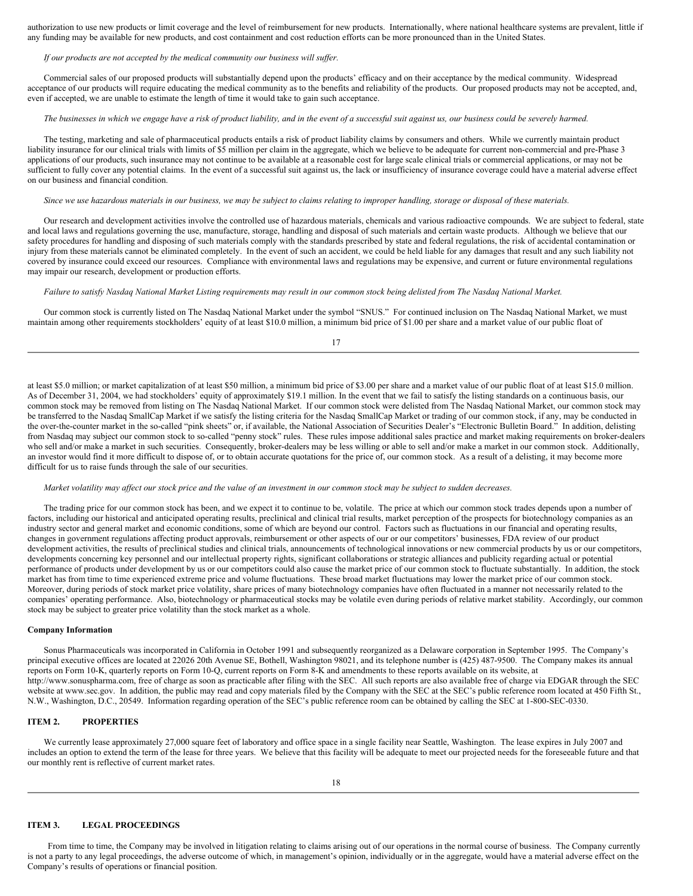authorization to use new products or limit coverage and the level of reimbursement for new products. Internationally, where national healthcare systems are prevalent, little if any funding may be available for new products, and cost containment and cost reduction efforts can be more pronounced than in the United States.

#### If our products are not accepted by the medical community our business will suffer.

Commercial sales of our proposed products will substantially depend upon the products' efficacy and on their acceptance by the medical community. Widespread acceptance of our products will require educating the medical community as to the benefits and reliability of the products. Our proposed products may not be accepted, and, even if accepted, we are unable to estimate the length of time it would take to gain such acceptance.

## The businesses in which we engage have a risk of product liability, and in the event of a successful suit against us, our business could be severely harmed.

The testing, marketing and sale of pharmaceutical products entails a risk of product liability claims by consumers and others. While we currently maintain product liability insurance for our clinical trials with limits of \$5 million per claim in the aggregate, which we believe to be adequate for current non-commercial and pre-Phase 3 applications of our products, such insurance may not continue to be available at a reasonable cost for large scale clinical trials or commercial applications, or may not be sufficient to fully cover any potential claims. In the event of a successful suit against us, the lack or insufficiency of insurance coverage could have a material adverse effect on our business and financial condition.

## Since we use hazardous materials in our business, we may be subject to claims relating to improper handling, storage or disposal of these materials.

Our research and development activities involve the controlled use of hazardous materials, chemicals and various radioactive compounds. We are subject to federal, state and local laws and regulations governing the use, manufacture, storage, handling and disposal of such materials and certain waste products. Although we believe that our safety procedures for handling and disposing of such materials comply with the standards prescribed by state and federal regulations, the risk of accidental contamination or injury from these materials cannot be eliminated completely. In the event of such an accident, we could be held liable for any damages that result and any such liability not covered by insurance could exceed our resources. Compliance with environmental laws and regulations may be expensive, and current or future environmental regulations may impair our research, development or production efforts.

## Failure to satisfy Nasdaq National Market Listing requirements may result in our common stock being delisted from The Nasdaq National Market.

Our common stock is currently listed on The Nasdaq National Market under the symbol "SNUS." For continued inclusion on The Nasdaq National Market, we must maintain among other requirements stockholders' equity of at least \$10.0 million, a minimum bid price of \$1.00 per share and a market value of our public float of

17

at least \$5.0 million; or market capitalization of at least \$50 million, a minimum bid price of \$3.00 per share and a market value of our public float of at least \$15.0 million. As of December 31, 2004, we had stockholders' equity of approximately \$19.1 million. In the event that we fail to satisfy the listing standards on a continuous basis, our common stock may be removed from listing on The Nasdaq National Market. If our common stock were delisted from The Nasdaq National Market, our common stock may be transferred to the Nasdaq SmallCap Market if we satisfy the listing criteria for the Nasdaq SmallCap Market or trading of our common stock, if any, may be conducted in the over-the-counter market in the so-called "pink sheets" or, if available, the National Association of Securities Dealer's "Electronic Bulletin Board." In addition, delisting from Nasdaq may subject our common stock to so-called "penny stock" rules. These rules impose additional sales practice and market making requirements on broker-dealers who sell and/or make a market in such securities. Consequently, broker-dealers may be less willing or able to sell and/or make a market in our common stock. Additionally, an investor would find it more difficult to dispose of, or to obtain accurate quotations for the price of, our common stock. As a result of a delisting, it may become more difficult for us to raise funds through the sale of our securities.

#### Market volatility may affect our stock price and the value of an investment in our common stock may be subject to sudden decreases.

The trading price for our common stock has been, and we expect it to continue to be, volatile. The price at which our common stock trades depends upon a number of factors, including our historical and anticipated operating results, preclinical and clinical trial results, market perception of the prospects for biotechnology companies as an industry sector and general market and economic conditions, some of which are beyond our control. Factors such as fluctuations in our financial and operating results, changes in government regulations affecting product approvals, reimbursement or other aspects of our or our competitors' businesses, FDA review of our product development activities, the results of preclinical studies and clinical trials, announcements of technological innovations or new commercial products by us or our competitors, developments concerning key personnel and our intellectual property rights, significant collaborations or strategic alliances and publicity regarding actual or potential performance of products under development by us or our competitors could also cause the market price of our common stock to fluctuate substantially. In addition, the stock market has from time to time experienced extreme price and volume fluctuations. These broad market fluctuations may lower the market price of our common stock. Moreover, during periods of stock market price volatility, share prices of many biotechnology companies have often fluctuated in a manner not necessarily related to the companies' operating performance. Also, biotechnology or pharmaceutical stocks may be volatile even during periods of relative market stability. Accordingly, our common stock may be subject to greater price volatility than the stock market as a whole.

#### <span id="page-9-0"></span>**Company Information**

Sonus Pharmaceuticals was incorporated in California in October 1991 and subsequently reorganized as a Delaware corporation in September 1995. The Company's principal executive offices are located at 22026 20th Avenue SE, Bothell, Washington 98021, and its telephone number is (425) 487-9500. The Company makes its annual reports on Form 10-K, quarterly reports on Form 10-Q, current reports on Form 8-K and amendments to these reports available on its website, at http://www.sonuspharma.com, free of charge as soon as practicable after filing with the SEC. All such reports are also available free of charge via EDGAR through the SEC website at www.sec.gov. In addition, the public may read and copy materials filed by the Company with the SEC at the SEC's public reference room located at 450 Fifth St., N.W., Washington, D.C., 20549. Information regarding operation of the SEC's public reference room can be obtained by calling the SEC at 1-800-SEC-0330.

## <span id="page-9-1"></span>**ITEM 2. PROPERTIES**

We currently lease approximately 27,000 square feet of laboratory and office space in a single facility near Seattle, Washington. The lease expires in July 2007 and includes an option to extend the term of the lease for three years. We believe that this facility will be adequate to meet our projected needs for the foreseeable future and that our monthly rent is reflective of current market rates.

## <span id="page-9-2"></span>**ITEM 3. LEGAL PROCEEDINGS**

From time to time, the Company may be involved in litigation relating to claims arising out of our operations in the normal course of business. The Company currently is not a party to any legal proceedings, the adverse outcome of which, in management's opinion, individually or in the aggregate, would have a material adverse effect on the Company's results of operations or financial position.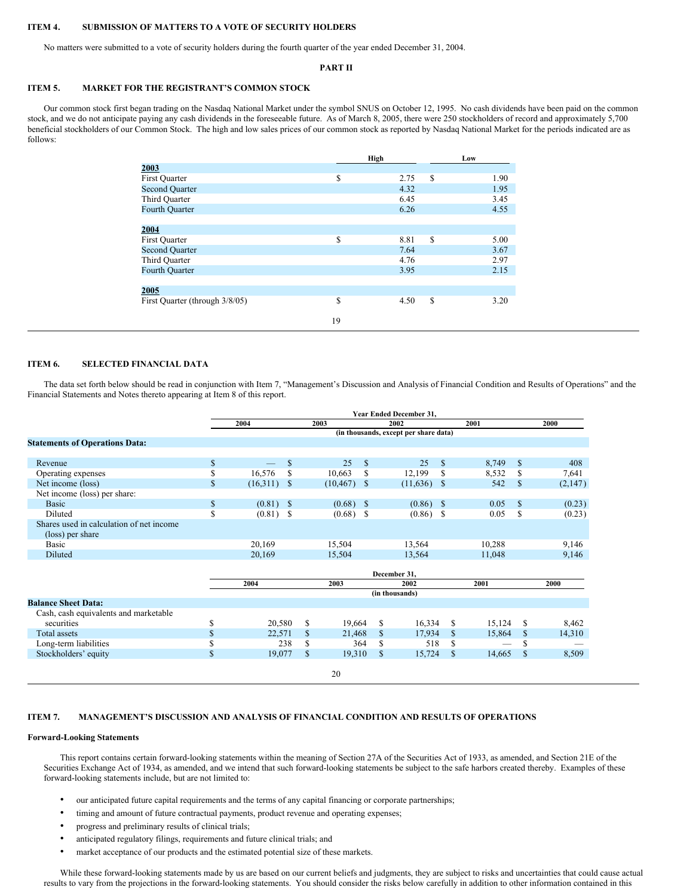### <span id="page-10-0"></span>**ITEM 4. SUBMISSION OF MATTERS TO A VOTE OF SECURITY HOLDERS**

No matters were submitted to a vote of security holders during the fourth quarter of the year ended December 31, 2004.

#### <span id="page-10-1"></span>**PART II**

## <span id="page-10-2"></span>**ITEM 5. MARKET FOR THE REGISTRANT'S COMMON STOCK**

Our common stock first began trading on the Nasdaq National Market under the symbol SNUS on October 12, 1995. No cash dividends have been paid on the common stock, and we do not anticipate paying any cash dividends in the foreseeable future. As of March 8, 2005, there were 250 stockholders of record and approximately 5,700 beneficial stockholders of our Common Stock. The high and low sales prices of our common stock as reported by Nasdaq National Market for the periods indicated are as follows:

|                                |    | High |               | Low  |
|--------------------------------|----|------|---------------|------|
| 2003                           |    |      |               |      |
| First Quarter                  | \$ | 2.75 | <sup>\$</sup> | 1.90 |
| <b>Second Quarter</b>          |    | 4.32 |               | 1.95 |
| Third Quarter                  |    | 6.45 |               | 3.45 |
| Fourth Quarter                 |    | 6.26 |               | 4.55 |
|                                |    |      |               |      |
| 2004                           |    |      |               |      |
| First Quarter                  | \$ | 8.81 | S             | 5.00 |
| <b>Second Quarter</b>          |    | 7.64 |               | 3.67 |
| Third Quarter                  |    | 4.76 |               | 2.97 |
| Fourth Quarter                 |    | 3.95 |               | 2.15 |
|                                |    |      |               |      |
| 2005                           |    |      |               |      |
| First Quarter (through 3/8/05) | \$ | 4.50 | S             | 3.20 |
|                                |    |      |               |      |
|                                | 19 |      |               |      |

#### <span id="page-10-3"></span>**ITEM 6. SELECTED FINANCIAL DATA**

The data set forth below should be read in conjunction with Item 7, "Management's Discussion and Analysis of Financial Condition and Results of Operations" and the Financial Statements and Notes thereto appearing at Item 8 of this report.

| Year Ended December 31, |               |             |        |               |                                                                                                     |                                                            |                                                                                                                      |                  |         |
|-------------------------|---------------|-------------|--------|---------------|-----------------------------------------------------------------------------------------------------|------------------------------------------------------------|----------------------------------------------------------------------------------------------------------------------|------------------|---------|
|                         | 2004          |             |        |               | 2002                                                                                                |                                                            | 2001                                                                                                                 |                  | 2000    |
|                         |               |             |        |               |                                                                                                     |                                                            |                                                                                                                      |                  |         |
|                         |               |             |        |               |                                                                                                     |                                                            |                                                                                                                      |                  |         |
|                         |               |             |        |               |                                                                                                     |                                                            |                                                                                                                      |                  |         |
| \$                      | <sup>\$</sup> |             | 25     |               | 25                                                                                                  | S.                                                         | 8,749                                                                                                                | S                | 408     |
| \$                      | 16,576<br>\$  |             | 10,663 | \$            | 12,199                                                                                              | S                                                          | 8,532                                                                                                                | S                | 7,641   |
| \$                      | $(16,311)$ \$ |             |        |               |                                                                                                     |                                                            | 542                                                                                                                  | $\mathbb{S}$     | (2,147) |
|                         |               |             |        |               |                                                                                                     |                                                            |                                                                                                                      |                  |         |
| \$                      | $(0.81)$ \$   |             |        |               |                                                                                                     |                                                            | 0.05                                                                                                                 | $\mathbf S$      | (0.23)  |
| \$                      | -S<br>(0.81)  |             | (0.68) |               |                                                                                                     | -S                                                         | 0.05                                                                                                                 | \$               | (0.23)  |
|                         |               |             |        |               |                                                                                                     |                                                            |                                                                                                                      |                  |         |
|                         |               |             |        |               |                                                                                                     |                                                            |                                                                                                                      |                  |         |
|                         | 20,169        |             | 15,504 |               | 13,564                                                                                              |                                                            | 10,288                                                                                                               |                  | 9,146   |
|                         | 20,169        |             | 15,504 |               | 13,564                                                                                              |                                                            | 11,048                                                                                                               |                  | 9,146   |
|                         |               |             |        |               |                                                                                                     |                                                            |                                                                                                                      |                  |         |
|                         |               |             |        |               |                                                                                                     |                                                            |                                                                                                                      |                  |         |
|                         | 2004          |             | 2003   |               | 2002                                                                                                |                                                            | 2001                                                                                                                 |                  | 2000    |
|                         |               |             |        |               |                                                                                                     |                                                            |                                                                                                                      |                  |         |
|                         |               |             |        |               |                                                                                                     |                                                            |                                                                                                                      |                  |         |
|                         |               |             |        |               |                                                                                                     |                                                            |                                                                                                                      |                  |         |
| \$                      | 20,580        | S           |        |               |                                                                                                     | S                                                          |                                                                                                                      | <sup>\$</sup>    | 8,462   |
| \$                      |               | \$          |        |               |                                                                                                     | \$                                                         |                                                                                                                      | $\mathbb{S}$     | 14,310  |
| \$                      | 238           | S           |        |               |                                                                                                     | S                                                          |                                                                                                                      | S                |         |
| \$                      | 19,077        | $\mathbf S$ |        | <sup>\$</sup> |                                                                                                     | \$                                                         | 14,665                                                                                                               | \$               | 8,509   |
|                         |               |             |        |               |                                                                                                     |                                                            |                                                                                                                      |                  |         |
|                         |               |             | 20     |               |                                                                                                     |                                                            |                                                                                                                      |                  |         |
|                         |               | 22,571      |        | 2003          | <sup>S</sup><br>$(10, 467)$ \$<br>$(0.68)$ \$<br><sup>\$</sup><br>19,664<br>21,468<br>364<br>19,310 | December 31,<br>(in thousands)<br>S.<br>$\mathbb{S}$<br>S. | (in thousands, except per share data)<br>$(11,636)$ \$<br>$(0.86)$ \$<br>(0.86)<br>16,334<br>17,934<br>518<br>15,724 | 15,124<br>15,864 |         |

## <span id="page-10-4"></span>**ITEM 7. MANAGEMENT'S DISCUSSION AND ANALYSIS OF FINANCIAL CONDITION AND RESULTS OF OPERATIONS**

#### **Forward-Looking Statements**

This report contains certain forward-looking statements within the meaning of Section 27A of the Securities Act of 1933, as amended, and Section 21E of the Securities Exchange Act of 1934, as amended, and we intend that such forward-looking statements be subject to the safe harbors created thereby. Examples of these forward-looking statements include, but are not limited to:

- our anticipated future capital requirements and the terms of any capital financing or corporate partnerships;
- timing and amount of future contractual payments, product revenue and operating expenses;
- progress and preliminary results of clinical trials;
- anticipated regulatory filings, requirements and future clinical trials; and
- market acceptance of our products and the estimated potential size of these markets.

While these forward-looking statements made by us are based on our current beliefs and judgments, they are subject to risks and uncertainties that could cause actual results to vary from the projections in the forward-looking statements. You should consider the risks below carefully in addition to other information contained in this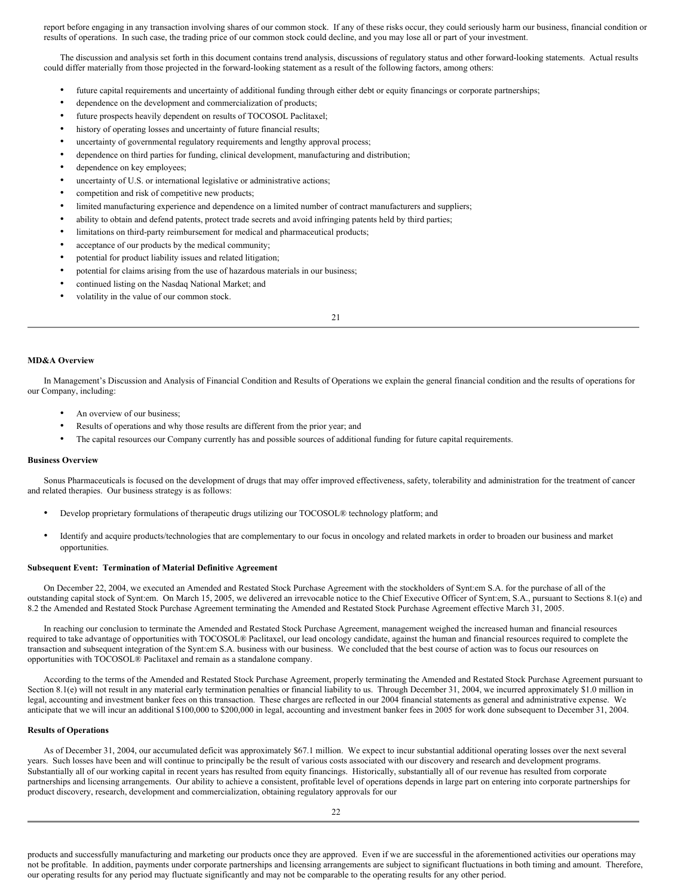report before engaging in any transaction involving shares of our common stock. If any of these risks occur, they could seriously harm our business, financial condition or results of operations. In such case, the trading price of our common stock could decline, and you may lose all or part of your investment.

The discussion and analysis set forth in this document contains trend analysis, discussions of regulatory status and other forward-looking statements. Actual results could differ materially from those projected in the forward-looking statement as a result of the following factors, among others:

- future capital requirements and uncertainty of additional funding through either debt or equity financings or corporate partnerships;
- dependence on the development and commercialization of products;
- future prospects heavily dependent on results of TOCOSOL Paclitaxel;
- history of operating losses and uncertainty of future financial results;
- uncertainty of governmental regulatory requirements and lengthy approval process;
- dependence on third parties for funding, clinical development, manufacturing and distribution;
- dependence on key employees;
- uncertainty of U.S. or international legislative or administrative actions;
- competition and risk of competitive new products;
- limited manufacturing experience and dependence on a limited number of contract manufacturers and suppliers;
- ability to obtain and defend patents, protect trade secrets and avoid infringing patents held by third parties;
- limitations on third-party reimbursement for medical and pharmaceutical products;
- acceptance of our products by the medical community;
- potential for product liability issues and related litigation;
- potential for claims arising from the use of hazardous materials in our business;
- continued listing on the Nasdaq National Market; and
- volatility in the value of our common stock.

21

#### **MD&A Overview**

In Management's Discussion and Analysis of Financial Condition and Results of Operations we explain the general financial condition and the results of operations for our Company, including:

- An overview of our business:
- Results of operations and why those results are different from the prior year; and
- The capital resources our Company currently has and possible sources of additional funding for future capital requirements.

## **Business Overview**

Sonus Pharmaceuticals is focused on the development of drugs that may offer improved effectiveness, safety, tolerability and administration for the treatment of cancer and related therapies. Our business strategy is as follows:

- Develop proprietary formulations of therapeutic drugs utilizing our TOCOSOL® technology platform; and
- Identify and acquire products/technologies that are complementary to our focus in oncology and related markets in order to broaden our business and market opportunities.

## **Subsequent Event: Termination of Material Definitive Agreement**

On December 22, 2004, we executed an Amended and Restated Stock Purchase Agreement with the stockholders of Synt:em S.A. for the purchase of all of the outstanding capital stock of Synt:em. On March 15, 2005, we delivered an irrevocable notice to the Chief Executive Officer of Synt:em, S.A., pursuant to Sections 8.1(e) and 8.2 the Amended and Restated Stock Purchase Agreement terminating the Amended and Restated Stock Purchase Agreement effective March 31, 2005.

In reaching our conclusion to terminate the Amended and Restated Stock Purchase Agreement, management weighed the increased human and financial resources required to take advantage of opportunities with TOCOSOL® Paclitaxel, our lead oncology candidate, against the human and financial resources required to complete the transaction and subsequent integration of the Synt:em S.A. business with our business. We concluded that the best course of action was to focus our resources on opportunities with TOCOSOL® Paclitaxel and remain as a standalone company.

According to the terms of the Amended and Restated Stock Purchase Agreement, properly terminating the Amended and Restated Stock Purchase Agreement pursuant to Section 8.1(e) will not result in any material early termination penalties or financial liability to us. Through December 31, 2004, we incurred approximately \$1.0 million in legal, accounting and investment banker fees on this transaction. These charges are reflected in our 2004 financial statements as general and administrative expense. We anticipate that we will incur an additional \$100,000 to \$200,000 in legal, accounting and investment banker fees in 2005 for work done subsequent to December 31, 2004.

## **Results of Operations**

As of December 31, 2004, our accumulated deficit was approximately \$67.1 million. We expect to incur substantial additional operating losses over the next several years. Such losses have been and will continue to principally be the result of various costs associated with our discovery and research and development programs. Substantially all of our working capital in recent years has resulted from equity financings. Historically, substantially all of our revenue has resulted from corporate partnerships and licensing arrangements. Our ability to achieve a consistent, profitable level of operations depends in large part on entering into corporate partnerships for product discovery, research, development and commercialization, obtaining regulatory approvals for our

products and successfully manufacturing and marketing our products once they are approved. Even if we are successful in the aforementioned activities our operations may not be profitable. In addition, payments under corporate partnerships and licensing arrangements are subject to significant fluctuations in both timing and amount. Therefore, our operating results for any period may fluctuate significantly and may not be comparable to the operating results for any other period.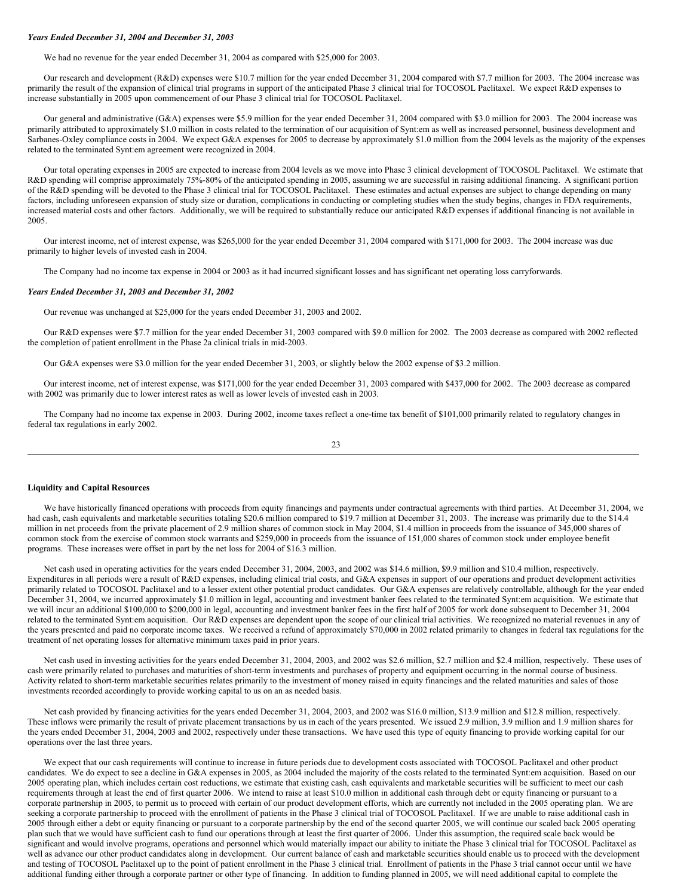#### *Years Ended December 31, 2004 and December 31, 2003*

We had no revenue for the year ended December 31, 2004 as compared with \$25,000 for 2003.

Our research and development (R&D) expenses were \$10.7 million for the year ended December 31, 2004 compared with \$7.7 million for 2003. The 2004 increase was primarily the result of the expansion of clinical trial programs in support of the anticipated Phase 3 clinical trial for TOCOSOL Paclitaxel. We expect R&D expenses to increase substantially in 2005 upon commencement of our Phase 3 clinical trial for TOCOSOL Paclitaxel.

Our general and administrative (G&A) expenses were \$5.9 million for the year ended December 31, 2004 compared with \$3.0 million for 2003. The 2004 increase was primarily attributed to approximately \$1.0 million in costs related to the termination of our acquisition of Synt:em as well as increased personnel, business development and Sarbanes-Oxley compliance costs in 2004. We expect G&A expenses for 2005 to decrease by approximately \$1.0 million from the 2004 levels as the majority of the expenses related to the terminated Synt:em agreement were recognized in 2004.

Our total operating expenses in 2005 are expected to increase from 2004 levels as we move into Phase 3 clinical development of TOCOSOL Paclitaxel. We estimate that R&D spending will comprise approximately 75%-80% of the anticipated spending in 2005, assuming we are successful in raising additional financing. A significant portion of the R&D spending will be devoted to the Phase 3 clinical trial for TOCOSOL Paclitaxel. These estimates and actual expenses are subject to change depending on many factors, including unforeseen expansion of study size or duration, complications in conducting or completing studies when the study begins, changes in FDA requirements, increased material costs and other factors. Additionally, we will be required to substantially reduce our anticipated R&D expenses if additional financing is not available in 2005.

Our interest income, net of interest expense, was \$265,000 for the year ended December 31, 2004 compared with \$171,000 for 2003. The 2004 increase was due primarily to higher levels of invested cash in 2004.

The Company had no income tax expense in 2004 or 2003 as it had incurred significant losses and has significant net operating loss carryforwards.

## *Years Ended December 31, 2003 and December 31, 2002*

Our revenue was unchanged at \$25,000 for the years ended December 31, 2003 and 2002.

Our R&D expenses were \$7.7 million for the year ended December 31, 2003 compared with \$9.0 million for 2002. The 2003 decrease as compared with 2002 reflected the completion of patient enrollment in the Phase 2a clinical trials in mid-2003.

Our G&A expenses were \$3.0 million for the year ended December 31, 2003, or slightly below the 2002 expense of \$3.2 million.

Our interest income, net of interest expense, was \$171,000 for the year ended December 31, 2003 compared with \$437,000 for 2002. The 2003 decrease as compared with 2002 was primarily due to lower interest rates as well as lower levels of invested cash in 2003.

The Company had no income tax expense in 2003. During 2002, income taxes reflect a one-time tax benefit of \$101,000 primarily related to regulatory changes in federal tax regulations in early 2002.

23

#### **Liquidity and Capital Resources**

We have historically financed operations with proceeds from equity financings and payments under contractual agreements with third parties. At December 31, 2004, we had cash, cash equivalents and marketable securities totaling \$20.6 million compared to \$19.7 million at December 31, 2003. The increase was primarily due to the \$14.4 million in net proceeds from the private placement of 2.9 million shares of common stock in May 2004, \$1.4 million in proceeds from the issuance of 345,000 shares of common stock from the exercise of common stock warrants and \$259,000 in proceeds from the issuance of 151,000 shares of common stock under employee benefit programs. These increases were offset in part by the net loss for 2004 of \$16.3 million.

Net cash used in operating activities for the years ended December 31, 2004, 2003, and 2002 was \$14.6 million, \$9.9 million and \$10.4 million, respectively. Expenditures in all periods were a result of R&D expenses, including clinical trial costs, and G&A expenses in support of our operations and product development activities primarily related to TOCOSOL Paclitaxel and to a lesser extent other potential product candidates. Our G&A expenses are relatively controllable, although for the year ended December 31, 2004, we incurred approximately \$1.0 million in legal, accounting and investment banker fees related to the terminated Synt:em acquisition. We estimate that we will incur an additional \$100,000 to \$200,000 in legal, accounting and investment banker fees in the first half of 2005 for work done subsequent to December 31, 2004 related to the terminated Synt:em acquisition. Our R&D expenses are dependent upon the scope of our clinical trial activities. We recognized no material revenues in any of the years presented and paid no corporate income taxes. We received a refund of approximately \$70,000 in 2002 related primarily to changes in federal tax regulations for the treatment of net operating losses for alternative minimum taxes paid in prior years.

Net cash used in investing activities for the years ended December 31, 2004, 2003, and 2002 was \$2.6 million, \$2.7 million and \$2.4 million, respectively. These uses of cash were primarily related to purchases and maturities of short-term investments and purchases of property and equipment occurring in the normal course of business. Activity related to short-term marketable securities relates primarily to the investment of money raised in equity financings and the related maturities and sales of those investments recorded accordingly to provide working capital to us on an as needed basis.

Net cash provided by financing activities for the years ended December 31, 2004, 2003, and 2002 was \$16.0 million, \$13.9 million and \$12.8 million, respectively. These inflows were primarily the result of private placement transactions by us in each of the years presented. We issued 2.9 million, 3.9 million and 1.9 million shares for the years ended December 31, 2004, 2003 and 2002, respectively under these transactions. We have used this type of equity financing to provide working capital for our operations over the last three years.

We expect that our cash requirements will continue to increase in future periods due to development costs associated with TOCOSOL Paclitaxel and other product candidates. We do expect to see a decline in G&A expenses in 2005, as 2004 included the majority of the costs related to the terminated Synt:em acquisition. Based on our 2005 operating plan, which includes certain cost reductions, we estimate that existing cash, cash equivalents and marketable securities will be sufficient to meet our cash requirements through at least the end of first quarter 2006. We intend to raise at least \$10.0 million in additional cash through debt or equity financing or pursuant to a corporate partnership in 2005, to permit us to proceed with certain of our product development efforts, which are currently not included in the 2005 operating plan. We are seeking a corporate partnership to proceed with the enrollment of patients in the Phase 3 clinical trial of TOCOSOL Paclitaxel. If we are unable to raise additional cash in 2005 through either a debt or equity financing or pursuant to a corporate partnership by the end of the second quarter 2005, we will continue our scaled back 2005 operating plan such that we would have sufficient cash to fund our operations through at least the first quarter of 2006. Under this assumption, the required scale back would be significant and would involve programs, operations and personnel which would materially impact our ability to initiate the Phase 3 clinical trial for TOCOSOL Paclitaxel as well as advance our other product candidates along in development. Our current balance of cash and marketable securities should enable us to proceed with the development and testing of TOCOSOL Paclitaxel up to the point of patient enrollment in the Phase 3 clinical trial. Enrollment of patients in the Phase 3 trial cannot occur until we have additional funding either through a corporate partner or other type of financing. In addition to funding planned in 2005, we will need additional capital to complete the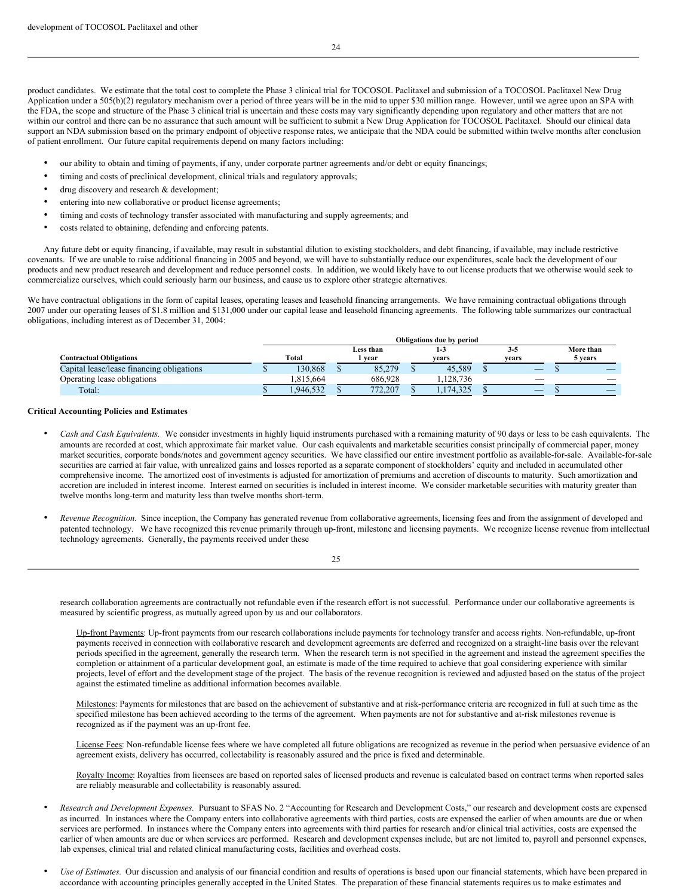product candidates. We estimate that the total cost to complete the Phase 3 clinical trial for TOCOSOL Paclitaxel and submission of a TOCOSOL Paclitaxel New Drug Application under a 505(b)(2) regulatory mechanism over a period of three years will be in the mid to upper \$30 million range. However, until we agree upon an SPA with the FDA, the scope and structure of the Phase 3 clinical trial is uncertain and these costs may vary significantly depending upon regulatory and other matters that are not within our control and there can be no assurance that such amount will be sufficient to submit a New Drug Application for TOCOSOL Paclitaxel. Should our clinical data support an NDA submission based on the primary endpoint of objective response rates, we anticipate that the NDA could be submitted within twelve months after conclusion of patient enrollment. Our future capital requirements depend on many factors including:

- our ability to obtain and timing of payments, if any, under corporate partner agreements and/or debt or equity financings;
- timing and costs of preclinical development, clinical trials and regulatory approvals;
- drug discovery and research & development;
- entering into new collaborative or product license agreements;
- timing and costs of technology transfer associated with manufacturing and supply agreements; and
- costs related to obtaining, defending and enforcing patents.

Any future debt or equity financing, if available, may result in substantial dilution to existing stockholders, and debt financing, if available, may include restrictive covenants. If we are unable to raise additional financing in 2005 and beyond, we will have to substantially reduce our expenditures, scale back the development of our products and new product research and development and reduce personnel costs. In addition, we would likely have to out license products that we otherwise would seek to commercialize ourselves, which could seriously harm our business, and cause us to explore other strategic alternatives.

We have contractual obligations in the form of capital leases, operating leases and leasehold financing arrangements. We have remaining contractual obligations through 2007 under our operating leases of \$1.8 million and \$131,000 under our capital lease and leasehold financing agreements. The following table summarizes our contractual obligations, including interest as of December 31, 2004:

|                                           |       | Obligations due by period |      |           |       |           |       |                          |         |           |
|-------------------------------------------|-------|---------------------------|------|-----------|-------|-----------|-------|--------------------------|---------|-----------|
|                                           |       |                           |      | Less than |       | -1-2      |       | 35                       |         | More than |
| <b>Contractual Obligations</b>            | Total |                           | vear |           | vears |           | vears |                          | 5 years |           |
| Capital lease/lease financing obligations |       | 130,868                   |      | 85,279    |       | 45.589    |       | $\overline{\phantom{a}}$ |         |           |
| Operating lease obligations               |       | .815.664                  |      | 686.928   |       | .128.736  |       |                          |         |           |
| Total:                                    |       | 1.946.532                 |      | 772,207   |       | 1.174.325 |       | $-$                      |         |           |

#### **Critical Accounting Policies and Estimates**

- *Cash and Cash Equivalents.* We consider investments in highly liquid instruments purchased with a remaining maturity of 90 days or less to be cash equivalents. The amounts are recorded at cost, which approximate fair market value. Our cash equivalents and marketable securities consist principally of commercial paper, money market securities, corporate bonds/notes and government agency securities. We have classified our entire investment portfolio as available-for-sale. Available-for-sale securities are carried at fair value, with unrealized gains and losses reported as a separate component of stockholders' equity and included in accumulated other comprehensive income. The amortized cost of investments is adjusted for amortization of premiums and accretion of discounts to maturity. Such amortization and accretion are included in interest income. Interest earned on securities is included in interest income. We consider marketable securities with maturity greater than twelve months long-term and maturity less than twelve months short-term.
- *Revenue Recognition.* Since inception, the Company has generated revenue from collaborative agreements, licensing fees and from the assignment of developed and patented technology. We have recognized this revenue primarily through up-front, milestone and licensing payments. We recognize license revenue from intellectual technology agreements. Generally, the payments received under these

research collaboration agreements are contractually not refundable even if the research effort is not successful. Performance under our collaborative agreements is measured by scientific progress, as mutually agreed upon by us and our collaborators.

Up-front Payments: Up-front payments from our research collaborations include payments for technology transfer and access rights. Non-refundable, up-front payments received in connection with collaborative research and development agreements are deferred and recognized on a straight-line basis over the relevant periods specified in the agreement, generally the research term. When the research term is not specified in the agreement and instead the agreement specifies the completion or attainment of a particular development goal, an estimate is made of the time required to achieve that goal considering experience with similar projects, level of effort and the development stage of the project. The basis of the revenue recognition is reviewed and adjusted based on the status of the project against the estimated timeline as additional information becomes available.

Milestones: Payments for milestones that are based on the achievement of substantive and at risk-performance criteria are recognized in full at such time as the specified milestone has been achieved according to the terms of the agreement. When payments are not for substantive and at-risk milestones revenue is recognized as if the payment was an up-front fee.

License Fees: Non-refundable license fees where we have completed all future obligations are recognized as revenue in the period when persuasive evidence of an agreement exists, delivery has occurred, collectability is reasonably assured and the price is fixed and determinable.

Royalty Income: Royalties from licensees are based on reported sales of licensed products and revenue is calculated based on contract terms when reported sales are reliably measurable and collectability is reasonably assured.

- *Research and Development Expenses.* Pursuant to SFAS No. 2 "Accounting for Research and Development Costs," our research and development costs are expensed as incurred. In instances where the Company enters into collaborative agreements with third parties, costs are expensed the earlier of when amounts are due or when services are performed. In instances where the Company enters into agreements with third parties for research and/or clinical trial activities, costs are expensed the earlier of when amounts are due or when services are performed. Research and development expenses include, but are not limited to, payroll and personnel expenses, lab expenses, clinical trial and related clinical manufacturing costs, facilities and overhead costs.
- Use of Estimates. Our discussion and analysis of our financial condition and results of operations is based upon our financial statements, which have been prepared in accordance with accounting principles generally accepted in the United States. The preparation of these financial statements requires us to make estimates and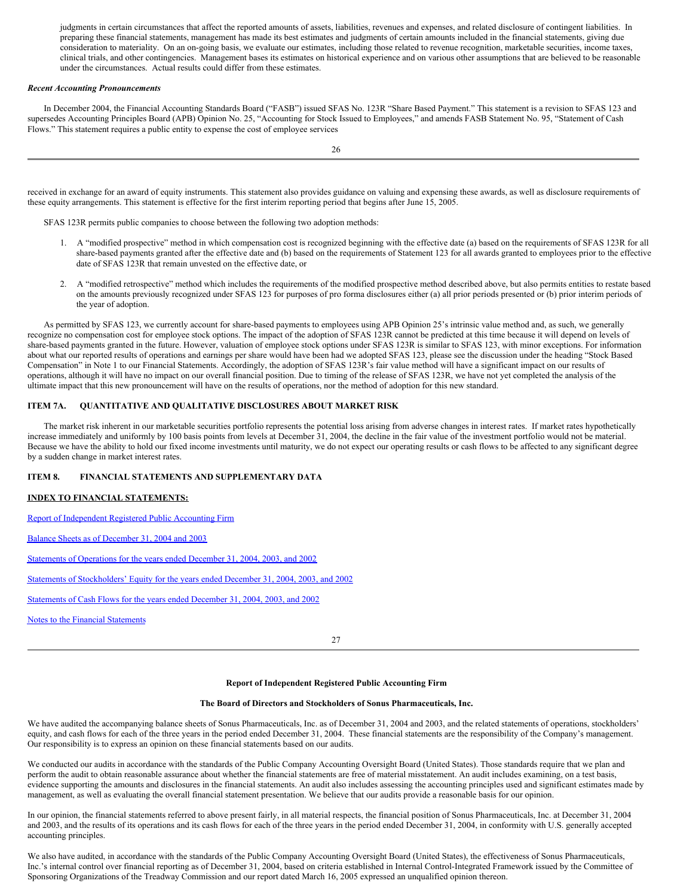judgments in certain circumstances that affect the reported amounts of assets, liabilities, revenues and expenses, and related disclosure of contingent liabilities. In preparing these financial statements, management has made its best estimates and judgments of certain amounts included in the financial statements, giving due consideration to materiality. On an on-going basis, we evaluate our estimates, including those related to revenue recognition, marketable securities, income taxes, clinical trials, and other contingencies. Management bases its estimates on historical experience and on various other assumptions that are believed to be reasonable under the circumstances. Actual results could differ from these estimates.

#### *Recent Accounting Pronouncements*

In December 2004, the Financial Accounting Standards Board ("FASB") issued SFAS No. 123R "Share Based Payment." This statement is a revision to SFAS 123 and supersedes Accounting Principles Board (APB) Opinion No. 25, "Accounting for Stock Issued to Employees," and amends FASB Statement No. 95, "Statement of Cash Flows." This statement requires a public entity to expense the cost of employee services

received in exchange for an award of equity instruments. This statement also provides guidance on valuing and expensing these awards, as well as disclosure requirements of these equity arrangements. This statement is effective for the first interim reporting period that begins after June 15, 2005.

SFAS 123R permits public companies to choose between the following two adoption methods:

- 1. A "modified prospective" method in which compensation cost is recognized beginning with the effective date (a) based on the requirements of SFAS 123R for all share-based payments granted after the effective date and (b) based on the requirements of Statement 123 for all awards granted to employees prior to the effective date of SFAS 123R that remain unvested on the effective date, or
- 2. A "modified retrospective" method which includes the requirements of the modified prospective method described above, but also permits entities to restate based on the amounts previously recognized under SFAS 123 for purposes of pro forma disclosures either (a) all prior periods presented or (b) prior interim periods of the year of adoption.

As permitted by SFAS 123, we currently account for share-based payments to employees using APB Opinion 25's intrinsic value method and, as such, we generally recognize no compensation cost for employee stock options. The impact of the adoption of SFAS 123R cannot be predicted at this time because it will depend on levels of share-based payments granted in the future. However, valuation of employee stock options under SFAS 123R is similar to SFAS 123, with minor exceptions. For information about what our reported results of operations and earnings per share would have been had we adopted SFAS 123, please see the discussion under the heading "Stock Based Compensation" in Note 1 to our Financial Statements. Accordingly, the adoption of SFAS 123R's fair value method will have a significant impact on our results of operations, although it will have no impact on our overall financial position. Due to timing of the release of SFAS 123R, we have not yet completed the analysis of the ultimate impact that this new pronouncement will have on the results of operations, nor the method of adoption for this new standard.

## <span id="page-14-0"></span>**ITEM 7A. QUANTITATIVE AND QUALITATIVE DISCLOSURES ABOUT MARKET RISK**

The market risk inherent in our marketable securities portfolio represents the potential loss arising from adverse changes in interest rates. If market rates hypothetically increase immediately and uniformly by 100 basis points from levels at December 31, 2004, the decline in the fair value of the investment portfolio would not be material. Because we have the ability to hold our fixed income investments until maturity, we do not expect our operating results or cash flows to be affected to any significant degree by a sudden change in market interest rates.

## <span id="page-14-1"></span>**ITEM 8. FINANCIAL STATEMENTS AND SUPPLEMENTARY DATA**

#### **INDEX TO FINANCIAL STATEMENTS:**

Report of [Independent](#page-14-2) Registered Public Accounting Firm

Balance Sheets as of [December](#page-15-0) 31, 2004 and 2003

[Statements](#page-15-1) of Operations for the years ended December 31, 2004, 2003, and 2002

Statements of [Stockholders'](#page-16-0) Equity for the years ended December 31, 2004, 2003, and 2002

[Statements](#page-16-1) of Cash Flows for the years ended December 31, 2004, 2003, and 2002

Notes to the Financial [Statements](#page-17-0)

27

## <span id="page-14-2"></span>**Report of Independent Registered Public Accounting Firm**

## **The Board of Directors and Stockholders of Sonus Pharmaceuticals, Inc.**

We have audited the accompanying balance sheets of Sonus Pharmaceuticals, Inc. as of December 31, 2004 and 2003, and the related statements of operations, stockholders' equity, and cash flows for each of the three years in the period ended December 31, 2004. These financial statements are the responsibility of the Company's management. Our responsibility is to express an opinion on these financial statements based on our audits.

We conducted our audits in accordance with the standards of the Public Company Accounting Oversight Board (United States). Those standards require that we plan and perform the audit to obtain reasonable assurance about whether the financial statements are free of material misstatement. An audit includes examining, on a test basis, evidence supporting the amounts and disclosures in the financial statements. An audit also includes assessing the accounting principles used and significant estimates made by management, as well as evaluating the overall financial statement presentation. We believe that our audits provide a reasonable basis for our opinion.

In our opinion, the financial statements referred to above present fairly, in all material respects, the financial position of Sonus Pharmaceuticals, Inc. at December 31, 2004 and 2003, and the results of its operations and its cash flows for each of the three years in the period ended December 31, 2004, in conformity with U.S. generally accepted accounting principles.

We also have audited, in accordance with the standards of the Public Company Accounting Oversight Board (United States), the effectiveness of Sonus Pharmaceuticals, Inc.'s internal control over financial reporting as of December 31, 2004, based on criteria established in Internal Control-Integrated Framework issued by the Committee of Sponsoring Organizations of the Treadway Commission and our report dated March 16, 2005 expressed an unqualified opinion thereon.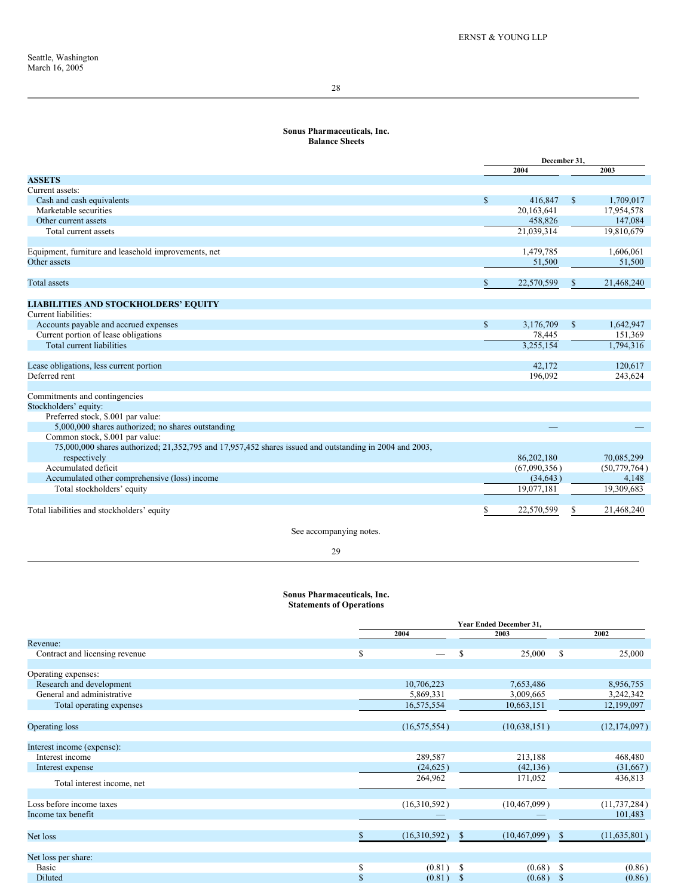28

## <span id="page-15-0"></span>**Sonus Pharmaceuticals, Inc. Balance Sheets**

|                                                                                                         |              | December 31, |               |                |
|---------------------------------------------------------------------------------------------------------|--------------|--------------|---------------|----------------|
|                                                                                                         |              | 2004         |               | 2003           |
| <b>ASSETS</b>                                                                                           |              |              |               |                |
| Current assets:                                                                                         |              |              |               |                |
| Cash and cash equivalents                                                                               | $\mathbb{S}$ | 416,847      | <sup>\$</sup> | 1,709,017      |
| Marketable securities                                                                                   |              | 20,163,641   |               | 17,954,578     |
| Other current assets                                                                                    |              | 458,826      |               | 147,084        |
| Total current assets                                                                                    |              | 21.039.314   |               | 19,810,679     |
| Equipment, furniture and leasehold improvements, net                                                    |              | 1,479,785    |               | 1,606,061      |
| Other assets                                                                                            |              | 51,500       |               | 51,500         |
|                                                                                                         |              |              |               |                |
| <b>Total assets</b>                                                                                     | \$           | 22,570,599   | <sup>\$</sup> | 21,468,240     |
|                                                                                                         |              |              |               |                |
| <b>LIABILITIES AND STOCKHOLDERS' EQUITY</b>                                                             |              |              |               |                |
| Current liabilities:                                                                                    |              |              |               |                |
| Accounts payable and accrued expenses                                                                   | $\mathbb{S}$ | 3,176,709    | $\mathbb{S}$  | 1,642,947      |
| Current portion of lease obligations                                                                    |              | 78,445       |               | 151,369        |
| Total current liabilities                                                                               |              | 3,255,154    |               | 1,794,316      |
| Lease obligations, less current portion                                                                 |              | 42.172       |               | 120,617        |
| Deferred rent                                                                                           |              | 196,092      |               | 243,624        |
|                                                                                                         |              |              |               |                |
| Commitments and contingencies                                                                           |              |              |               |                |
| Stockholders' equity:                                                                                   |              |              |               |                |
| Preferred stock, \$.001 par value:                                                                      |              |              |               |                |
| 5,000,000 shares authorized; no shares outstanding                                                      |              |              |               |                |
| Common stock, \$.001 par value:                                                                         |              |              |               |                |
| 75,000,000 shares authorized; 21,352,795 and 17,957,452 shares issued and outstanding in 2004 and 2003, |              |              |               |                |
| respectively                                                                                            |              | 86,202,180   |               | 70,085,299     |
| Accumulated deficit                                                                                     |              | (67,090,356) |               | (50, 779, 764) |
| Accumulated other comprehensive (loss) income                                                           |              | (34, 643)    |               | 4,148          |
| Total stockholders' equity                                                                              |              | 19.077.181   |               | 19.309.683     |
|                                                                                                         |              |              |               |                |
| Total liabilities and stockholders' equity                                                              |              | 22,570,599   | S             | 21,468,240     |

See accompanying notes.

29

# <span id="page-15-1"></span>**Sonus Pharmaceuticals, Inc.**

|                                | Year Ended December 31, |                         |               |                |  |  |  |  |  |  |
|--------------------------------|-------------------------|-------------------------|---------------|----------------|--|--|--|--|--|--|
|                                | 2004                    | 2003                    |               | 2002           |  |  |  |  |  |  |
| Revenue:                       |                         |                         |               |                |  |  |  |  |  |  |
| Contract and licensing revenue | \$                      | \$<br>25,000            | \$            | 25,000         |  |  |  |  |  |  |
|                                |                         |                         |               |                |  |  |  |  |  |  |
| Operating expenses:            |                         |                         |               |                |  |  |  |  |  |  |
| Research and development       | 10,706,223              | 7,653,486               |               | 8,956,755      |  |  |  |  |  |  |
| General and administrative     | 5,869,331               | 3,009,665               |               | 3,242,342      |  |  |  |  |  |  |
| Total operating expenses       | 16,575,554              | 10,663,151              |               | 12,199,097     |  |  |  |  |  |  |
| Operating loss                 | (16, 575, 554)          | (10,638,151)            |               | (12, 174, 097) |  |  |  |  |  |  |
| Interest income (expense):     |                         |                         |               |                |  |  |  |  |  |  |
| Interest income                | 289,587                 | 213,188                 |               | 468,480        |  |  |  |  |  |  |
| Interest expense               | (24, 625)               | (42, 136)               |               | (31,667)       |  |  |  |  |  |  |
| Total interest income, net     | 264,962                 | 171,052                 |               | 436,813        |  |  |  |  |  |  |
| Loss before income taxes       | (16,310,592)            | (10, 467, 099)          |               | (11, 737, 284) |  |  |  |  |  |  |
| Income tax benefit             |                         |                         |               | 101,483        |  |  |  |  |  |  |
| Net loss                       | (16,310,592)            | (10, 467, 099)<br>S     | <sup>\$</sup> | (11, 635, 801) |  |  |  |  |  |  |
|                                |                         |                         |               |                |  |  |  |  |  |  |
| Net loss per share:            |                         |                         |               |                |  |  |  |  |  |  |
| Basic                          | \$<br>(0.81)            | <sup>\$</sup><br>(0.68) | -S            | (0.86)         |  |  |  |  |  |  |
| Diluted                        | \$<br>(0.81)            | (0.68)<br><sup>\$</sup> | <sup>\$</sup> | (0.86)         |  |  |  |  |  |  |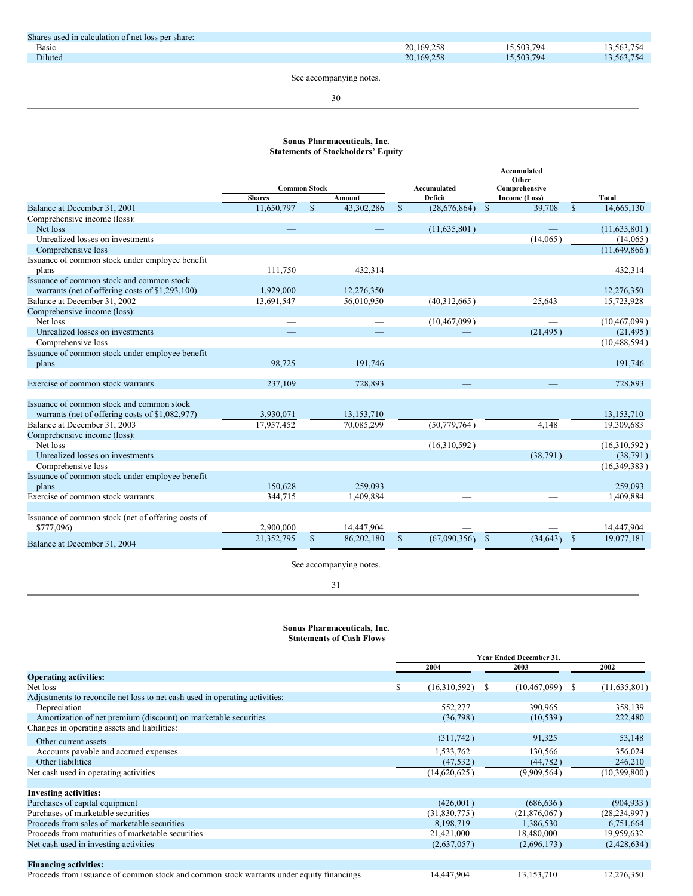| Shares used in calculation of net loss per share: |            |            |            |
|---------------------------------------------------|------------|------------|------------|
| Basic                                             | 20,169,258 | 15,503,794 | 13,563,754 |
| <b>Diluted</b>                                    | 20,169,258 | 15,503,794 | 13,563,754 |

See accompanying notes.

30

### <span id="page-16-0"></span>**Sonus Pharmaceuticals, Inc. Statements of Stockholders' Equity**

|                                                    | <b>Common Stock</b> |              |            |                               |                |                                | Accumulated<br>Other |              |                |
|----------------------------------------------------|---------------------|--------------|------------|-------------------------------|----------------|--------------------------------|----------------------|--------------|----------------|
|                                                    | <b>Shares</b>       |              | Amount     | Accumulated<br><b>Deficit</b> |                | Comprehensive<br>Income (Loss) |                      |              | Total          |
| Balance at December 31, 2001                       | 11.650.797          | $\mathbb{S}$ | 43,302,286 | <sup>\$</sup>                 | (28,676,864)   | $\mathbb{S}$                   | 39,708               | $\mathbb{S}$ | 14,665,130     |
| Comprehensive income (loss):                       |                     |              |            |                               |                |                                |                      |              |                |
| Net loss                                           |                     |              |            |                               | (11,635,801)   |                                |                      |              | (11, 635, 801) |
| Unrealized losses on investments                   |                     |              |            |                               |                |                                | (14,065)             |              | (14,065)       |
| Comprehensive loss                                 |                     |              |            |                               |                |                                |                      |              | (11,649,866)   |
| Issuance of common stock under employee benefit    |                     |              |            |                               |                |                                |                      |              |                |
| plans                                              | 111,750             |              | 432,314    |                               |                |                                |                      |              | 432,314        |
| Issuance of common stock and common stock          |                     |              |            |                               |                |                                |                      |              |                |
| warrants (net of offering costs of \$1,293,100)    | 1,929,000           |              | 12,276,350 |                               |                |                                |                      |              | 12,276,350     |
| Balance at December 31, 2002                       | 13,691,547          |              | 56,010,950 |                               | (40,312,665)   |                                | 25,643               |              | 15,723,928     |
| Comprehensive income (loss):                       |                     |              |            |                               |                |                                |                      |              |                |
| Net loss                                           |                     |              |            |                               | (10, 467, 099) |                                |                      |              | (10, 467, 099) |
| Unrealized losses on investments                   |                     |              |            |                               |                |                                | (21, 495)            |              | (21, 495)      |
| Comprehensive loss                                 |                     |              |            |                               |                |                                |                      |              | (10, 488, 594) |
| Issuance of common stock under employee benefit    |                     |              |            |                               |                |                                |                      |              |                |
| plans                                              | 98,725              |              | 191,746    |                               |                |                                |                      |              | 191,746        |
|                                                    |                     |              |            |                               |                |                                |                      |              |                |
| Exercise of common stock warrants                  | 237.109             |              | 728,893    |                               |                |                                |                      |              | 728,893        |
| Issuance of common stock and common stock          |                     |              |            |                               |                |                                |                      |              |                |
| warrants (net of offering costs of \$1,082,977)    | 3,930,071           |              | 13,153,710 |                               |                |                                |                      |              | 13,153,710     |
| Balance at December 31, 2003                       | 17,957,452          |              | 70,085,299 |                               | (50, 779, 764) |                                | 4,148                |              | 19,309,683     |
| Comprehensive income (loss):                       |                     |              |            |                               |                |                                |                      |              |                |
| Net loss                                           |                     |              |            |                               | (16,310,592)   |                                |                      |              | (16,310,592)   |
| Unrealized losses on investments                   |                     |              |            |                               |                |                                | (38, 791)            |              | (38, 791)      |
| Comprehensive loss                                 |                     |              |            |                               |                |                                |                      |              | (16, 349, 383) |
| Issuance of common stock under employee benefit    |                     |              |            |                               |                |                                |                      |              |                |
| plans                                              | 150.628             |              | 259,093    |                               |                |                                |                      |              | 259,093        |
| Exercise of common stock warrants                  | 344,715             |              | 1,409,884  |                               |                |                                |                      |              | 1,409,884      |
| Issuance of common stock (net of offering costs of |                     |              |            |                               |                |                                |                      |              |                |
| \$777,096)                                         | 2,900,000           |              | 14,447,904 |                               |                |                                |                      |              | 14,447,904     |
| Balance at December 31, 2004                       | 21,352,795          | $\mathbb{S}$ | 86,202,180 | $\mathcal{S}$                 | (67,090,356)   | $\mathbb{S}$                   | (34, 643)            | $\mathbb{S}$ | 19,077,181     |
|                                                    |                     |              |            |                               |                |                                |                      |              |                |

See accompanying notes.

## 31

## <span id="page-16-1"></span>**Sonus Pharmaceuticals, Inc. Statements of Cash Flows**

|                                                                                          | Year Ended December 31, |                   |                |                      |
|------------------------------------------------------------------------------------------|-------------------------|-------------------|----------------|----------------------|
|                                                                                          |                         | 2004              | 2003           | 2002                 |
| <b>Operating activities:</b>                                                             |                         |                   |                |                      |
| Net loss                                                                                 | \$                      | (16,310,592)<br>S | (10, 467, 099) | (11, 635, 801)<br>-S |
| Adjustments to reconcile net loss to net cash used in operating activities:              |                         |                   |                |                      |
| Depreciation                                                                             |                         | 552,277           | 390,965        | 358,139              |
| Amortization of net premium (discount) on marketable securities                          |                         | (36,798)          | (10, 539)      | 222,480              |
| Changes in operating assets and liabilities:                                             |                         |                   |                |                      |
| Other current assets                                                                     |                         | (311,742)         | 91,325         | 53,148               |
| Accounts payable and accrued expenses                                                    |                         | 1,533,762         | 130,566        | 356,024              |
| Other liabilities                                                                        |                         | (47, 532)         | (44, 782)      | 246,210              |
| Net cash used in operating activities                                                    |                         | (14,620,625)      | (9,909,564)    | (10,399,800)         |
|                                                                                          |                         |                   |                |                      |
| <b>Investing activities:</b>                                                             |                         |                   |                |                      |
| Purchases of capital equipment                                                           |                         | (426,001)         | (686, 636)     | (904, 933)           |
| Purchases of marketable securities                                                       |                         | (31,830,775)      | (21,876,067)   | (28, 234, 997)       |
| Proceeds from sales of marketable securities                                             |                         | 8,198,719         | 1,386,530      | 6,751,664            |
| Proceeds from maturities of marketable securities                                        |                         | 21,421,000        | 18,480,000     | 19,959,632           |
| Net cash used in investing activities                                                    |                         | (2,637,057)       | (2,696,173)    | (2,428,634)          |
| <b>Financing activities:</b>                                                             |                         |                   |                |                      |
| Proceeds from issuance of common stock and common stock warrants under equity financings |                         | 14,447,904        | 13,153,710     | 12,276,350           |
|                                                                                          |                         |                   |                |                      |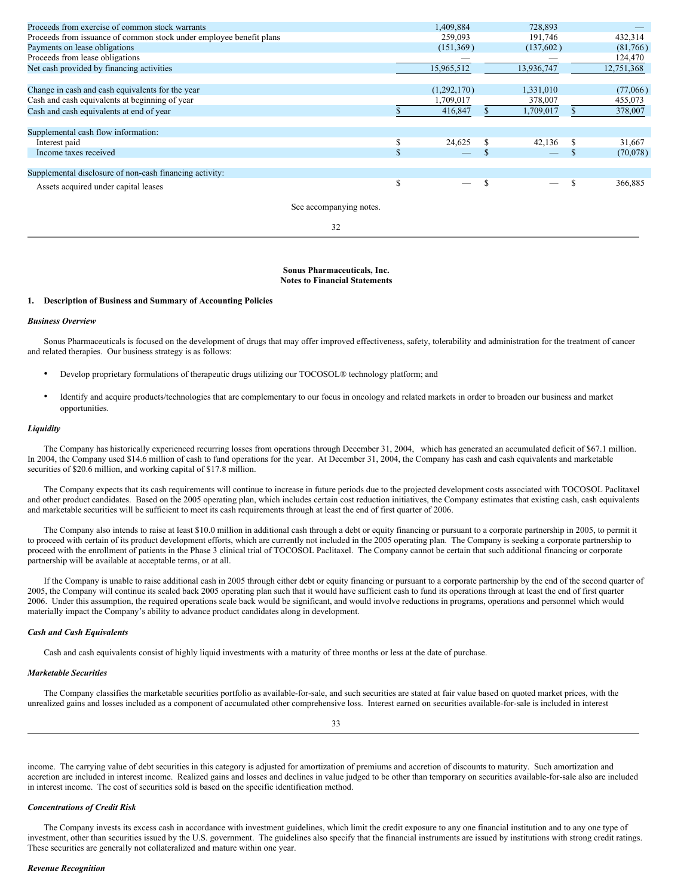| Proceeds from exercise of common stock warrants                     |    | 1,409,884   | 728,893    |               |            |
|---------------------------------------------------------------------|----|-------------|------------|---------------|------------|
| Proceeds from issuance of common stock under employee benefit plans |    | 259,093     | 191.746    |               | 432,314    |
| Payments on lease obligations                                       |    | (151, 369)  | (137,602)  |               | (81,766)   |
| Proceeds from lease obligations                                     |    |             |            |               | 124,470    |
| Net cash provided by financing activities                           |    | 15,965,512  | 13,936,747 |               | 12,751,368 |
| Change in cash and cash equivalents for the year                    |    | (1,292,170) | 1,331,010  |               | (77,066)   |
| Cash and cash equivalents at beginning of year                      |    | 1,709,017   | 378,007    |               | 455,073    |
| Cash and cash equivalents at end of year                            |    | 416,847     | 1,709,017  |               | 378,007    |
| Supplemental cash flow information:                                 |    |             |            |               |            |
| Interest paid                                                       | S  | 24,625      | 42,136     | <sup>\$</sup> | 31,667     |
| Income taxes received                                               | \$ | _           |            | \$            | (70,078)   |
| Supplemental disclosure of non-cash financing activity:             |    |             |            |               |            |
| Assets acquired under capital leases                                | \$ |             |            | \$            | 366,885    |
| See accompanying notes.                                             |    |             |            |               |            |

32

#### <span id="page-17-0"></span>**Sonus Pharmaceuticals, Inc. Notes to Financial Statements**

#### **1. Description of Business and Summary of Accounting Policies**

#### *Business Overview*

Sonus Pharmaceuticals is focused on the development of drugs that may offer improved effectiveness, safety, tolerability and administration for the treatment of cancer and related therapies. Our business strategy is as follows:

- Develop proprietary formulations of therapeutic drugs utilizing our TOCOSOL® technology platform; and
- Identify and acquire products/technologies that are complementary to our focus in oncology and related markets in order to broaden our business and market opportunities.

#### *Liquidity*

The Company has historically experienced recurring losses from operations through December 31, 2004, which has generated an accumulated deficit of \$67.1 million. In 2004, the Company used \$14.6 million of cash to fund operations for the year. At December 31, 2004, the Company has cash and cash equivalents and marketable securities of \$20.6 million, and working capital of \$17.8 million.

The Company expects that its cash requirements will continue to increase in future periods due to the projected development costs associated with TOCOSOL Paclitaxel and other product candidates. Based on the 2005 operating plan, which includes certain cost reduction initiatives, the Company estimates that existing cash, cash equivalents and marketable securities will be sufficient to meet its cash requirements through at least the end of first quarter of 2006.

The Company also intends to raise at least \$10.0 million in additional cash through a debt or equity financing or pursuant to a corporate partnership in 2005, to permit it to proceed with certain of its product development efforts, which are currently not included in the 2005 operating plan. The Company is seeking a corporate partnership to proceed with the enrollment of patients in the Phase 3 clinical trial of TOCOSOL Paclitaxel. The Company cannot be certain that such additional financing or corporate partnership will be available at acceptable terms, or at all.

If the Company is unable to raise additional cash in 2005 through either debt or equity financing or pursuant to a corporate partnership by the end of the second quarter of 2005, the Company will continue its scaled back 2005 operating plan such that it would have sufficient cash to fund its operations through at least the end of first quarter 2006. Under this assumption, the required operations scale back would be significant, and would involve reductions in programs, operations and personnel which would materially impact the Company's ability to advance product candidates along in development.

#### *Cash and Cash Equivalents*

Cash and cash equivalents consist of highly liquid investments with a maturity of three months or less at the date of purchase.

## *Marketable Securities*

The Company classifies the marketable securities portfolio as available-for-sale, and such securities are stated at fair value based on quoted market prices, with the unrealized gains and losses included as a component of accumulated other comprehensive loss. Interest earned on securities available-for-sale is included in interest

income. The carrying value of debt securities in this category is adjusted for amortization of premiums and accretion of discounts to maturity. Such amortization and accretion are included in interest income. Realized gains and losses and declines in value judged to be other than temporary on securities available-for-sale also are included in interest income. The cost of securities sold is based on the specific identification method.

## *Concentrations of Credit Risk*

The Company invests its excess cash in accordance with investment guidelines, which limit the credit exposure to any one financial institution and to any one type of investment, other than securities issued by the U.S. government. The guidelines also specify that the financial instruments are issued by institutions with strong credit ratings. These securities are generally not collateralized and mature within one year.

#### *Revenue Recognition*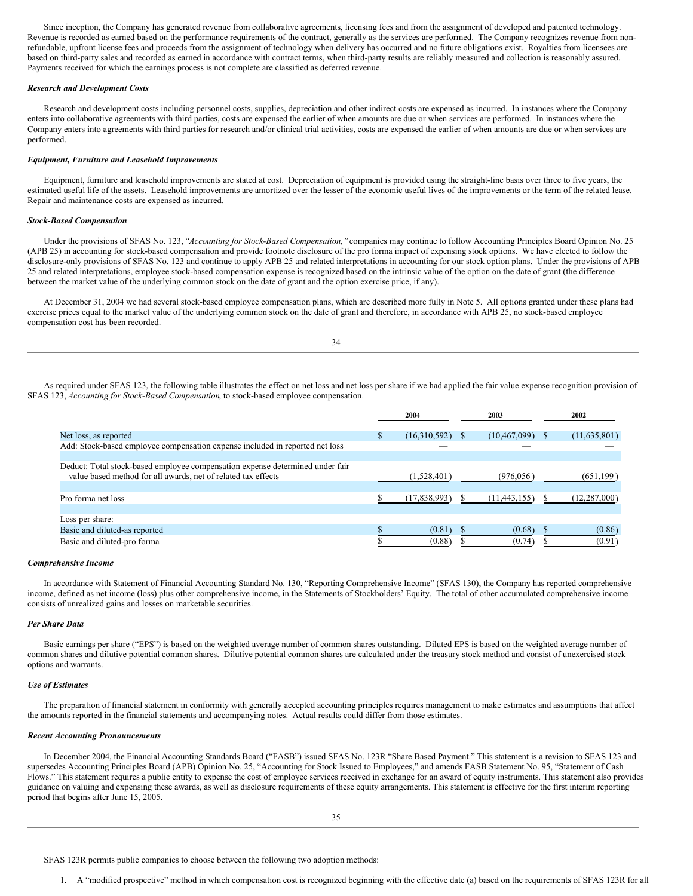Since inception, the Company has generated revenue from collaborative agreements, licensing fees and from the assignment of developed and patented technology. Revenue is recorded as earned based on the performance requirements of the contract, generally as the services are performed. The Company recognizes revenue from nonrefundable, upfront license fees and proceeds from the assignment of technology when delivery has occurred and no future obligations exist. Royalties from licensees are based on third-party sales and recorded as earned in accordance with contract terms, when third-party results are reliably measured and collection is reasonably assured. Payments received for which the earnings process is not complete are classified as deferred revenue.

#### *Research and Development Costs*

Research and development costs including personnel costs, supplies, depreciation and other indirect costs are expensed as incurred. In instances where the Company enters into collaborative agreements with third parties, costs are expensed the earlier of when amounts are due or when services are performed. In instances where the Company enters into agreements with third parties for research and/or clinical trial activities, costs are expensed the earlier of when amounts are due or when services are performed.

#### *Equipment, Furniture and Leasehold Improvements*

Equipment, furniture and leasehold improvements are stated at cost. Depreciation of equipment is provided using the straight-line basis over three to five years, the estimated useful life of the assets. Leasehold improvements are amortized over the lesser of the economic useful lives of the improvements or the term of the related lease. Repair and maintenance costs are expensed as incurred.

#### *Stock-Based Compensation*

Under the provisions of SFAS No. 123,*"Accounting for Stock-Based Compensation,"* companies may continue to follow Accounting Principles Board Opinion No. 25 (APB 25) in accounting for stock-based compensation and provide footnote disclosure of the pro forma impact of expensing stock options. We have elected to follow the disclosure-only provisions of SFAS No. 123 and continue to apply APB 25 and related interpretations in accounting for our stock option plans. Under the provisions of APB 25 and related interpretations, employee stock-based compensation expense is recognized based on the intrinsic value of the option on the date of grant (the difference between the market value of the underlying common stock on the date of grant and the option exercise price, if any).

At December 31, 2004 we had several stock-based employee compensation plans, which are described more fully in Note 5. All options granted under these plans had exercise prices equal to the market value of the underlying common stock on the date of grant and therefore, in accordance with APB 25, no stock-based employee compensation cost has been recorded.

34

As required under SFAS 123, the following table illustrates the effect on net loss and net loss per share if we had applied the fair value expense recognition provision of SFAS 123, *Accounting for Stock-Based Compensation*, to stock-based employee compensation.

|                                                                                                                                                |   | 2004              | 2003           | 2002           |
|------------------------------------------------------------------------------------------------------------------------------------------------|---|-------------------|----------------|----------------|
| Net loss, as reported<br>Add: Stock-based employee compensation expense included in reported net loss                                          | S | $(16,310,592)$ \$ | (10, 467, 099) | (11, 635, 801) |
|                                                                                                                                                |   |                   |                |                |
| Deduct: Total stock-based employee compensation expense determined under fair<br>value based method for all awards, net of related tax effects |   | (1,528,401)       | (976, 056)     | (651, 199)     |
| Pro forma net loss                                                                                                                             |   | (17,838,993)      | (11, 443, 155) | (12, 287, 000) |
| Loss per share:                                                                                                                                |   |                   |                |                |
| Basic and diluted-as reported                                                                                                                  |   | (0.81)            | (0.68)         | (0.86)         |
| Basic and diluted-pro forma                                                                                                                    |   | (0.88)            | (0.74)         | (0.91)         |

#### *Comprehensive Income*

In accordance with Statement of Financial Accounting Standard No. 130, "Reporting Comprehensive Income" (SFAS 130), the Company has reported comprehensive income, defined as net income (loss) plus other comprehensive income, in the Statements of Stockholders' Equity. The total of other accumulated comprehensive income consists of unrealized gains and losses on marketable securities.

#### *Per Share Data*

Basic earnings per share ("EPS") is based on the weighted average number of common shares outstanding. Diluted EPS is based on the weighted average number of common shares and dilutive potential common shares. Dilutive potential common shares are calculated under the treasury stock method and consist of unexercised stock options and warrants.

#### *Use of Estimates*

The preparation of financial statement in conformity with generally accepted accounting principles requires management to make estimates and assumptions that affect the amounts reported in the financial statements and accompanying notes. Actual results could differ from those estimates.

#### *Recent Accounting Pronouncements*

In December 2004, the Financial Accounting Standards Board ("FASB") issued SFAS No. 123R "Share Based Payment." This statement is a revision to SFAS 123 and supersedes Accounting Principles Board (APB) Opinion No. 25, "Accounting for Stock Issued to Employees," and amends FASB Statement No. 95, "Statement of Cash Flows." This statement requires a public entity to expense the cost of employee services received in exchange for an award of equity instruments. This statement also provides guidance on valuing and expensing these awards, as well as disclosure requirements of these equity arrangements. This statement is effective for the first interim reporting period that begins after June 15, 2005.

SFAS 123R permits public companies to choose between the following two adoption methods:

1. A "modified prospective" method in which compensation cost is recognized beginning with the effective date (a) based on the requirements of SFAS 123R for all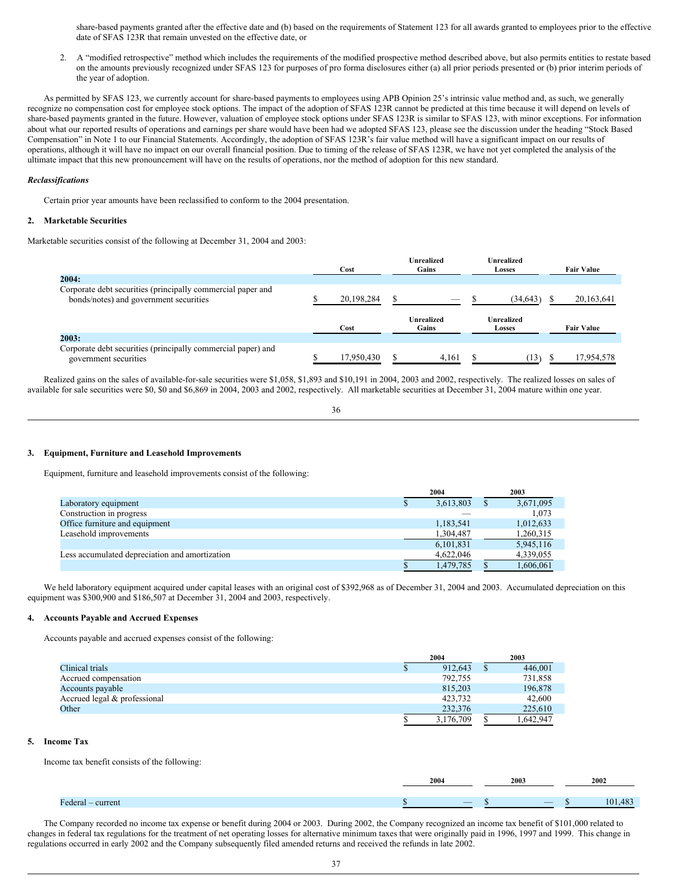share-based payments granted after the effective date and (b) based on the requirements of Statement 123 for all awards granted to employees prior to the effective date of SFAS 123R that remain unvested on the effective date, or

2. A "modified retrospective" method which includes the requirements of the modified prospective method described above, but also permits entities to restate based on the amounts previously recognized under SFAS 123 for purposes of pro forma disclosures either (a) all prior periods presented or (b) prior interim periods of the year of adoption.

As permitted by SFAS 123, we currently account for share-based payments to employees using APB Opinion 25's intrinsic value method and, as such, we generally recognize no compensation cost for employee stock options. The impact of the adoption of SFAS 123R cannot be predicted at this time because it will depend on levels of share-based payments granted in the future. However, valuation of employee stock options under SFAS 123R is similar to SFAS 123, with minor exceptions. For information about what our reported results of operations and earnings per share would have been had we adopted SFAS 123, please see the discussion under the heading "Stock Based Compensation" in Note 1 to our Financial Statements. Accordingly, the adoption of SFAS 123R's fair value method will have a significant impact on our results of operations, although it will have no impact on our overall financial position. Due to timing of the release of SFAS 123R, we have not yet completed the analysis of the ultimate impact that this new pronouncement will have on the results of operations, nor the method of adoption for this new standard.

## *Reclassifications*

Certain prior year amounts have been reclassified to conform to the 2004 presentation.

### **2. Marketable Securities**

Marketable securities consist of the following at December 31, 2004 and 2003:

| 2004:                                                                                                 | Cost       | Unrealized<br>Gains | Unrealized<br><b>Losses</b> | <b>Fair Value</b> |
|-------------------------------------------------------------------------------------------------------|------------|---------------------|-----------------------------|-------------------|
| Corporate debt securities (principally commercial paper and<br>bonds/notes) and government securities | 20.198.284 | $\hspace{0.05cm}$   | (34, 643)                   | 20, 163, 641      |
|                                                                                                       |            |                     |                             |                   |
|                                                                                                       | Cost       | Unrealized<br>Gains | Unrealized<br>Losses        | <b>Fair Value</b> |
| 2003:<br>Corporate debt securities (principally commercial paper) and                                 |            |                     |                             |                   |

Realized gains on the sales of available-for-sale securities were \$1,058, \$1,893 and \$10,191 in 2004, 2003 and 2002, respectively. The realized losses on sales of available for sale securities were \$0, \$0 and \$6,869 in 2004, 2003 and 2002, respectively. All marketable securities at December 31, 2004 mature within one year.

## **3. Equipment, Furniture and Leasehold Improvements**

Equipment, furniture and leasehold improvements consist of the following:

|                                                |   | 2004      | 2003      |
|------------------------------------------------|---|-----------|-----------|
| Laboratory equipment                           | S | 3,613,803 | 3,671,095 |
| Construction in progress                       |   |           | 1.073     |
| Office furniture and equipment                 |   | 1,183,541 | 1,012,633 |
| Leasehold improvements                         |   | 1,304,487 | 1,260,315 |
|                                                |   | 6,101,831 | 5,945,116 |
| Less accumulated depreciation and amortization |   | 4.622.046 | 4,339,055 |
|                                                |   | 1,479,785 | 1.606.061 |

We held laboratory equipment acquired under capital leases with an original cost of \$392,968 as of December 31, 2004 and 2003. Accumulated depreciation on this equipment was \$300,900 and \$186,507 at December 31, 2004 and 2003, respectively.

#### **4. Accounts Payable and Accrued Expenses**

Accounts payable and accrued expenses consist of the following:

|                              |   | 2004      | 2003      |
|------------------------------|---|-----------|-----------|
| Clinical trials              | Φ | 912.643   | 446,001   |
| Accrued compensation         |   | 792.755   | 731.858   |
| Accounts payable             |   | 815.203   | 196,878   |
| Accrued legal & professional |   | 423.732   | 42,600    |
| Other                        |   | 232,376   | 225,610   |
|                              |   | 3,176,709 | 1,642,947 |

## **5. Income Tax**

Income tax benefit consists of the following:

|                    | 2004                     | 2003                     | 2002               |
|--------------------|--------------------------|--------------------------|--------------------|
| Federa.<br>current | $\overline{\phantom{a}}$ | $\overline{\phantom{a}}$ | .483<br>$\sqrt{1}$ |

The Company recorded no income tax expense or benefit during 2004 or 2003. During 2002, the Company recognized an income tax benefit of \$101,000 related to changes in federal tax regulations for the treatment of net operating losses for alternative minimum taxes that were originally paid in 1996, 1997 and 1999. This change in regulations occurred in early 2002 and the Company subsequently filed amended returns and received the refunds in late 2002.

<sup>36</sup>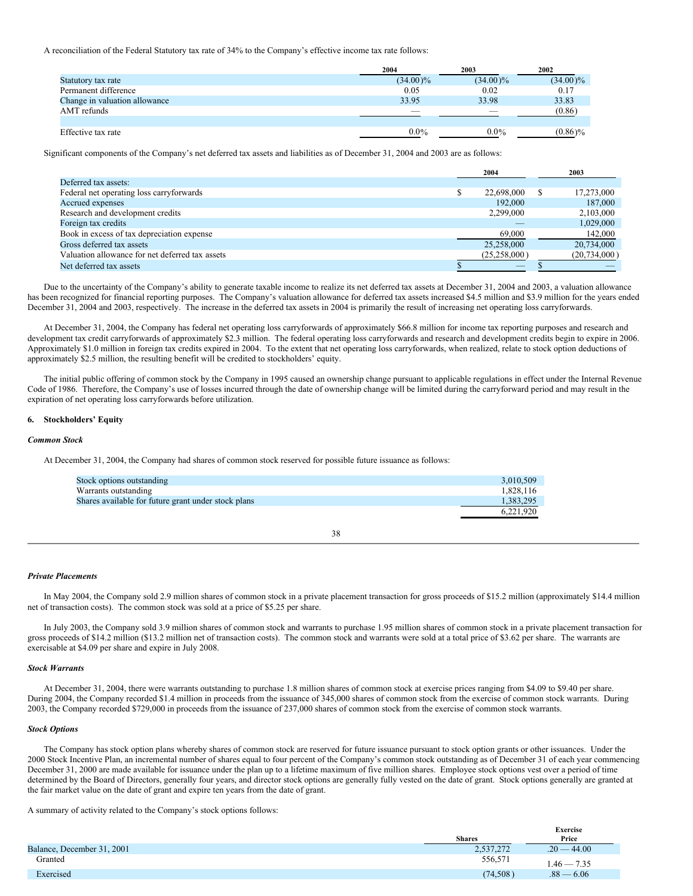A reconciliation of the Federal Statutory tax rate of 34% to the Company's effective income tax rate follows:

|                               | 2004                     | 2003        | 2002        |
|-------------------------------|--------------------------|-------------|-------------|
| Statutory tax rate            | $(34.00)\%$              | $(34.00)\%$ | $(34.00)\%$ |
| Permanent difference          | 0.05                     | 0.02        | 0.17        |
| Change in valuation allowance | 33.95                    | 33.98       | 33.83       |
| AMT refunds                   | $\overline{\phantom{a}}$ | ___         | (0.86)      |
|                               |                          |             |             |
| Effective tax rate            | $0.0\%$                  | $0.0\%$     | $(0.86)\%$  |

Significant components of the Company's net deferred tax assets and liabilities as of December 31, 2004 and 2003 are as follows:

|                                                 | 2004           | 2003 |                |  |
|-------------------------------------------------|----------------|------|----------------|--|
| Deferred tax assets:                            |                |      |                |  |
| Federal net operating loss carryforwards        | 22,698,000     | -S   | 17,273,000     |  |
| Accrued expenses                                | 192,000        |      | 187,000        |  |
| Research and development credits                | 2,299,000      |      | 2,103,000      |  |
| Foreign tax credits                             |                |      | 1,029,000      |  |
| Book in excess of tax depreciation expense      | 69,000         |      | 142,000        |  |
| Gross deferred tax assets                       | 25,258,000     |      | 20,734,000     |  |
| Valuation allowance for net deferred tax assets | (25, 258, 000) |      | (20, 734, 000) |  |
| Net deferred tax assets                         |                |      |                |  |

Due to the uncertainty of the Company's ability to generate taxable income to realize its net deferred tax assets at December 31, 2004 and 2003, a valuation allowance has been recognized for financial reporting purposes. The Company's valuation allowance for deferred tax assets increased \$4.5 million and \$3.9 million for the years ended December 31, 2004 and 2003, respectively. The increase in the deferred tax assets in 2004 is primarily the result of increasing net operating loss carryforwards.

At December 31, 2004, the Company has federal net operating loss carryforwards of approximately \$66.8 million for income tax reporting purposes and research and development tax credit carryforwards of approximately \$2.3 million. The federal operating loss carryforwards and research and development credits begin to expire in 2006. Approximately \$1.0 million in foreign tax credits expired in 2004. To the extent that net operating loss carryforwards, when realized, relate to stock option deductions of approximately \$2.5 million, the resulting benefit will be credited to stockholders' equity.

The initial public offering of common stock by the Company in 1995 caused an ownership change pursuant to applicable regulations in effect under the Internal Revenue Code of 1986. Therefore, the Company's use of losses incurred through the date of ownership change will be limited during the carryforward period and may result in the expiration of net operating loss carryforwards before utilization.

#### **6. Stockholders' Equity**

#### *Common Stock*

At December 31, 2004, the Company had shares of common stock reserved for possible future issuance as follows:

| Stock options outstanding                           |    | 3,010,509 |
|-----------------------------------------------------|----|-----------|
| Warrants outstanding                                |    | 1,828,116 |
| Shares available for future grant under stock plans |    | 1,383,295 |
|                                                     |    | 6.221.920 |
|                                                     |    |           |
|                                                     | 38 |           |

#### *Private Placements*

In May 2004, the Company sold 2.9 million shares of common stock in a private placement transaction for gross proceeds of \$15.2 million (approximately \$14.4 million net of transaction costs). The common stock was sold at a price of \$5.25 per share.

In July 2003, the Company sold 3.9 million shares of common stock and warrants to purchase 1.95 million shares of common stock in a private placement transaction for gross proceeds of \$14.2 million (\$13.2 million net of transaction costs). The common stock and warrants were sold at a total price of \$3.62 per share. The warrants are exercisable at \$4.09 per share and expire in July 2008.

#### *Stock Warrants*

At December 31, 2004, there were warrants outstanding to purchase 1.8 million shares of common stock at exercise prices ranging from \$4.09 to \$9.40 per share. During 2004, the Company recorded \$1.4 million in proceeds from the issuance of 345,000 shares of common stock from the exercise of common stock warrants. During 2003, the Company recorded \$729,000 in proceeds from the issuance of 237,000 shares of common stock from the exercise of common stock warrants.

#### *Stock Options*

The Company has stock option plans whereby shares of common stock are reserved for future issuance pursuant to stock option grants or other issuances. Under the 2000 Stock Incentive Plan, an incremental number of shares equal to four percent of the Company's common stock outstanding as of December 31 of each year commencing December 31, 2000 are made available for issuance under the plan up to a lifetime maximum of five million shares. Employee stock options vest over a period of time determined by the Board of Directors, generally four years, and director stock options are generally fully vested on the date of grant. Stock options generally are granted at the fair market value on the date of grant and expire ten years from the date of grant.

A summary of activity related to the Company's stock options follows:

|                            |               | <b>Exercise</b> |
|----------------------------|---------------|-----------------|
|                            | <b>Shares</b> | Price           |
| Balance, December 31, 2001 | 2,537,272     | $.20 - 44.00$   |
| Granted                    | 556,571       | $1.46 - 7.35$   |
| Exercised                  | (74, 508)     | $.88 - 6.06$    |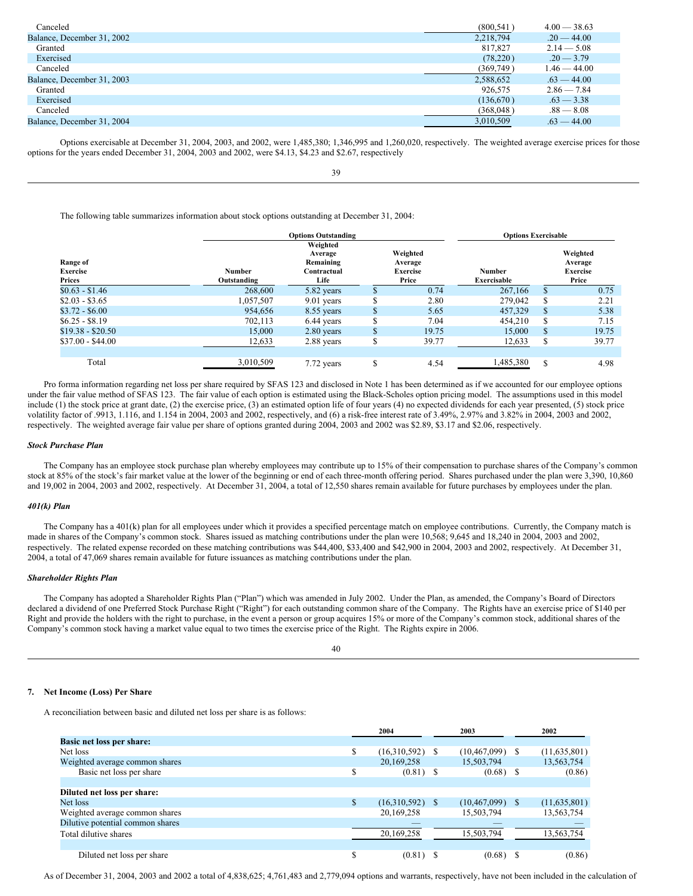| Canceled                   | (800, 541) | $4.00 - 38.63$ |
|----------------------------|------------|----------------|
| Balance, December 31, 2002 | 2,218,794  | $.20 - 44.00$  |
| Granted                    | 817,827    | $2.14 - 5.08$  |
| Exercised                  | (78,220)   | $.20 - 3.79$   |
| Canceled                   | (369,749)  | $1.46 - 44.00$ |
| Balance, December 31, 2003 | 2,588,652  | $.63 - 44.00$  |
| Granted                    | 926.575    | $2.86 - 7.84$  |
| Exercised                  | (136,670)  | $.63 - 3.38$   |
| Canceled                   | (368,048)  | $.88 - 8.08$   |
| Balance, December 31, 2004 | 3,010,509  | $.63 - 44.00$  |

Options exercisable at December 31, 2004, 2003, and 2002, were 1,485,380; 1,346,995 and 1,260,020, respectively. The weighted average exercise prices for those options for the years ended December 31, 2004, 2003 and 2002, were \$4.13, \$4.23 and \$2.67, respectively

39

The following table summarizes information about stock options outstanding at December 31, 2004:

|                                       |                              | <b>Options Outstanding</b>                              |        |                                                 |                                     | <b>Options Exercisable</b> |                                                 |  |  |
|---------------------------------------|------------------------------|---------------------------------------------------------|--------|-------------------------------------------------|-------------------------------------|----------------------------|-------------------------------------------------|--|--|
| Range of<br><b>Exercise</b><br>Prices | <b>Number</b><br>Outstanding | Weighted<br>Average<br>Remaining<br>Contractual<br>Life |        | Weighted<br>Average<br><b>Exercise</b><br>Price | <b>Number</b><br><b>Exercisable</b> |                            | Weighted<br>Average<br><b>Exercise</b><br>Price |  |  |
| $$0.63 - $1.46$                       | 268,600                      | 5.82 years                                              | D.     | 0.74                                            | 267,166                             | \$.                        | 0.75                                            |  |  |
| $$2.03 - $3.65$                       | 1,057,507                    | $9.01$ years                                            | S      | 2.80                                            | 279,042                             | S                          | 2.21                                            |  |  |
| $$3.72 - $6.00$                       | 954,656                      | 8.55 years                                              | \$     | 5.65                                            | 457,329                             | <sup>\$</sup>              | 5.38                                            |  |  |
| $$6.25 - $8.19$                       | 702,113                      | 6.44 years                                              | ¢<br>D | 7.04                                            | 454,210                             | S                          | 7.15                                            |  |  |
| $$19.38 - $20.50$                     | 15,000                       | $2.80$ years                                            | \$     | 19.75                                           | 15,000                              | \$.                        | 19.75                                           |  |  |
| $$37.00 - $44.00$                     | 12,633                       | 2.88 years                                              | \$     | 39.77                                           | 12,633                              | S                          | 39.77                                           |  |  |
| Total                                 | 3,010,509                    | 7.72 years                                              | S      | 4.54                                            | 1,485,380                           |                            | 4.98                                            |  |  |

Pro forma information regarding net loss per share required by SFAS 123 and disclosed in Note 1 has been determined as if we accounted for our employee options under the fair value method of SFAS 123. The fair value of each option is estimated using the Black-Scholes option pricing model. The assumptions used in this model include (1) the stock price at grant date, (2) the exercise price, (3) an estimated option life of four years (4) no expected dividends for each year presented, (5) stock price volatility factor of .9913, 1.116, and 1.154 in 2004, 2003 and 2002, respectively, and (6) a risk-free interest rate of 3.49%, 2.97% and 3.82% in 2004, 2003 and 2002, respectively. The weighted average fair value per share of options granted during 2004, 2003 and 2002 was \$2.89, \$3.17 and \$2.06, respectively.

### *Stock Purchase Plan*

The Company has an employee stock purchase plan whereby employees may contribute up to 15% of their compensation to purchase shares of the Company's common stock at 85% of the stock's fair market value at the lower of the beginning or end of each three-month offering period. Shares purchased under the plan were 3,390, 10,860 and 19,002 in 2004, 2003 and 2002, respectively. At December 31, 2004, a total of 12,550 shares remain available for future purchases by employees under the plan.

#### *401(k) Plan*

The Company has a 401(k) plan for all employees under which it provides a specified percentage match on employee contributions. Currently, the Company match is made in shares of the Company's common stock. Shares issued as matching contributions under the plan were 10,568; 9,645 and 18,240 in 2004, 2003 and 2002, respectively. The related expense recorded on these matching contributions was \$44,400, \$33,400 and \$42,900 in 2004, 2003 and 2002, respectively. At December 31, 2004, a total of 47,069 shares remain available for future issuances as matching contributions under the plan.

## *Shareholder Rights Plan*

The Company has adopted a Shareholder Rights Plan ("Plan") which was amended in July 2002. Under the Plan, as amended, the Company's Board of Directors declared a dividend of one Preferred Stock Purchase Right ("Right") for each outstanding common share of the Company. The Rights have an exercise price of \$140 per Right and provide the holders with the right to purchase, in the event a person or group acquires 15% or more of the Company's common stock, additional shares of the Company's common stock having a market value equal to two times the exercise price of the Right. The Rights expire in 2006.

| ۰.<br>۰.<br>۰.<br>× |
|---------------------|
|---------------------|

#### **7. Net Income (Loss) Per Share**

A reconciliation between basic and diluted net loss per share is as follows:

|                                  |    | 2004         |               | 2003              |      | 2002           |
|----------------------------------|----|--------------|---------------|-------------------|------|----------------|
| <b>Basic net loss per share:</b> |    |              |               |                   |      |                |
| Net loss                         | S  | (16,310,592) | <sup>\$</sup> | $(10,467,099)$ \$ |      | (11, 635, 801) |
| Weighted average common shares   |    | 20,169,258   |               | 15,503,794        |      | 13,563,754     |
| Basic net loss per share         | S  | $(0.81)$ \$  |               | $(0.68)$ \$       |      | (0.86)         |
|                                  |    |              |               |                   |      |                |
| Diluted net loss per share:      |    |              |               |                   |      |                |
| Net loss                         | \$ | (16,310,592) | \$            | (10, 467, 099)    | - \$ | (11, 635, 801) |
| Weighted average common shares   |    | 20,169,258   |               | 15,503,794        |      | 13,563,754     |
| Dilutive potential common shares |    |              |               |                   |      |                |
| Total dilutive shares            |    | 20,169,258   |               | 15,503,794        |      | 13,563,754     |
|                                  |    |              |               |                   |      |                |
| Diluted net loss per share       | S  | (0.81)       |               | (0.68)            |      | (0.86)         |

As of December 31, 2004, 2003 and 2002 a total of 4,838,625; 4,761,483 and 2,779,094 options and warrants, respectively, have not been included in the calculation of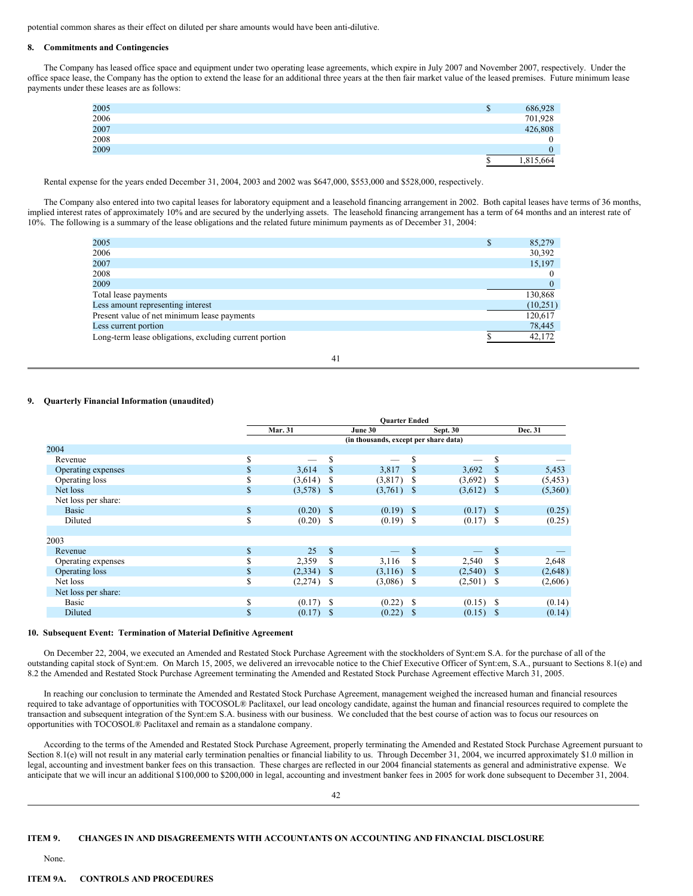potential common shares as their effect on diluted per share amounts would have been anti-dilutive.

### **8. Commitments and Contingencies**

The Company has leased office space and equipment under two operating lease agreements, which expire in July 2007 and November 2007, respectively. Under the office space lease, the Company has the option to extend the lease for an additional three years at the then fair market value of the leased premises. Future minimum lease payments under these leases are as follows:

| 2005         | 686,928<br>$\sigma$<br>P |
|--------------|--------------------------|
|              | 701,928                  |
| 2006<br>2007 | 426,808                  |
| 2008         | $\boldsymbol{0}$         |
| 2009         | $\Omega$                 |
|              | 1,815,664<br>S           |

Rental expense for the years ended December 31, 2004, 2003 and 2002 was \$647,000, \$553,000 and \$528,000, respectively.

The Company also entered into two capital leases for laboratory equipment and a leasehold financing arrangement in 2002. Both capital leases have terms of 36 months, implied interest rates of approximately 10% and are secured by the underlying assets. The leasehold financing arrangement has a term of 64 months and an interest rate of 10%. The following is a summary of the lease obligations and the related future minimum payments as of December 31, 2004:

| 2005                                                   | ъ | 85,279   |
|--------------------------------------------------------|---|----------|
| 2006                                                   |   | 30,392   |
| 2007                                                   |   | 15,197   |
| 2008                                                   |   |          |
| 2009                                                   |   | $\theta$ |
| Total lease payments                                   |   | 130,868  |
| Less amount representing interest                      |   | (10,251) |
| Present value of net minimum lease payments            |   | 120,617  |
| Less current portion                                   |   | 78,445   |
| Long-term lease obligations, excluding current portion |   | 42,172   |
|                                                        |   |          |
|                                                        |   |          |

41

#### **9. Quarterly Financial Information (unaudited)**

|                     |               | <b>Ouarter Ended</b> |               |                                       |              |                 |               |          |
|---------------------|---------------|----------------------|---------------|---------------------------------------|--------------|-----------------|---------------|----------|
|                     |               | <b>Mar. 31</b>       |               | June 30                               |              | <b>Sept. 30</b> |               | Dec. 31  |
|                     |               |                      |               | (in thousands, except per share data) |              |                 |               |          |
| 2004                |               |                      |               |                                       |              |                 |               |          |
| Revenue             | \$            |                      | S             |                                       | \$           |                 | \$            |          |
| Operating expenses  | \$            | 3,614                | S             | 3,817                                 | <sup>S</sup> | 3,692           | S             | 5,453    |
| Operating loss      | \$            | (3,614)              | S             | (3,817)                               | S            | (3,692)         | S             | (5, 453) |
| Net loss            | $\mathbf S$   | (3,578)              | - \$          | $(3,761)$ \$                          |              | $(3,612)$ \$    |               | (5,360)  |
| Net loss per share: |               |                      |               |                                       |              |                 |               |          |
| <b>Basic</b>        | \$            | (0.20)               | -S            | $(0.19)$ \$                           |              | $(0.17)$ \$     |               | (0.25)   |
| Diluted             | S             | (0.20)               | -S            | (0.19)                                | - \$         | $(0.17)$ \$     |               | (0.25)   |
|                     |               |                      |               |                                       |              |                 |               |          |
| 2003                |               |                      |               |                                       |              |                 |               |          |
| Revenue             | $\mathsf{\$}$ | 25                   | <sup>\$</sup> |                                       | \$           |                 | \$            |          |
| Operating expenses  | \$            | 2,359                | S             | 3,116                                 | S            | 2,540           | S             | 2,648    |
| Operating loss      | $\mathbb{S}$  | (2, 334)             | S             | (3,116)                               | - \$         | (2,540)         | -S            | (2,648)  |
| Net loss            | \$            | (2,274)              | S             | (3,086)                               | -\$          | $(2,501)$ \$    |               | (2,606)  |
| Net loss per share: |               |                      |               |                                       |              |                 |               |          |
| Basic               | S             | (0.17)               | - S           | (0.22)                                | -S           | $(0.15)$ \$     |               | (0.14)   |
| Diluted             | $\mathbf S$   | (0.17)               | S             | (0.22)                                | \$           | (0.15)          | <sup>\$</sup> | (0.14)   |
|                     |               |                      |               |                                       |              |                 |               |          |

## **10. Subsequent Event: Termination of Material Definitive Agreement**

On December 22, 2004, we executed an Amended and Restated Stock Purchase Agreement with the stockholders of Synt:em S.A. for the purchase of all of the outstanding capital stock of Synt:em. On March 15, 2005, we delivered an irrevocable notice to the Chief Executive Officer of Synt:em, S.A., pursuant to Sections 8.1(e) and 8.2 the Amended and Restated Stock Purchase Agreement terminating the Amended and Restated Stock Purchase Agreement effective March 31, 2005.

In reaching our conclusion to terminate the Amended and Restated Stock Purchase Agreement, management weighed the increased human and financial resources required to take advantage of opportunities with TOCOSOL® Paclitaxel, our lead oncology candidate, against the human and financial resources required to complete the transaction and subsequent integration of the Synt:em S.A. business with our business. We concluded that the best course of action was to focus our resources on opportunities with TOCOSOL® Paclitaxel and remain as a standalone company.

According to the terms of the Amended and Restated Stock Purchase Agreement, properly terminating the Amended and Restated Stock Purchase Agreement pursuant to Section 8.1(e) will not result in any material early termination penalties or financial liability to us. Through December 31, 2004, we incurred approximately \$1.0 million in legal, accounting and investment banker fees on this transaction. These charges are reflected in our 2004 financial statements as general and administrative expense. We anticipate that we will incur an additional \$100,000 to \$200,000 in legal, accounting and investment banker fees in 2005 for work done subsequent to December 31, 2004.

## <span id="page-22-0"></span>**ITEM 9. CHANGES IN AND DISAGREEMENTS WITH ACCOUNTANTS ON ACCOUNTING AND FINANCIAL DISCLOSURE**

<span id="page-22-1"></span>None.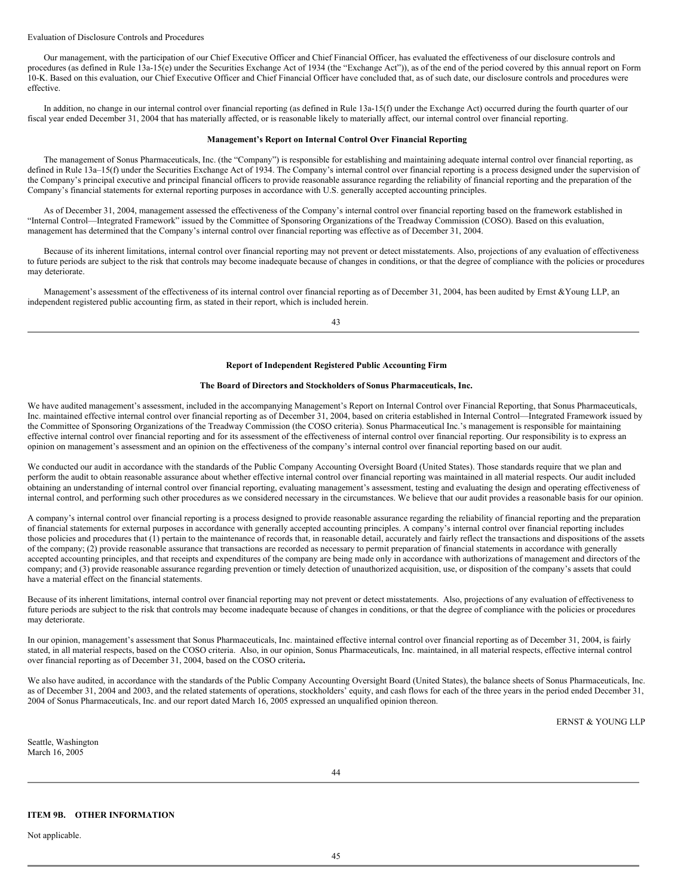#### Evaluation of Disclosure Controls and Procedures

Our management, with the participation of our Chief Executive Officer and Chief Financial Officer, has evaluated the effectiveness of our disclosure controls and procedures (as defined in Rule 13a-15(e) under the Securities Exchange Act of 1934 (the "Exchange Act")), as of the end of the period covered by this annual report on Form 10-K. Based on this evaluation, our Chief Executive Officer and Chief Financial Officer have concluded that, as of such date, our disclosure controls and procedures were effective.

In addition, no change in our internal control over financial reporting (as defined in Rule 13a-15(f) under the Exchange Act) occurred during the fourth quarter of our fiscal year ended December 31, 2004 that has materially affected, or is reasonable likely to materially affect, our internal control over financial reporting.

## **Management's Report on Internal Control Over Financial Reporting**

The management of Sonus Pharmaceuticals, Inc. (the "Company") is responsible for establishing and maintaining adequate internal control over financial reporting, as defined in Rule 13a–15(f) under the Securities Exchange Act of 1934. The Company's internal control over financial reporting is a process designed under the supervision of the Company's principal executive and principal financial officers to provide reasonable assurance regarding the reliability of financial reporting and the preparation of the Company's financial statements for external reporting purposes in accordance with U.S. generally accepted accounting principles.

As of December 31, 2004, management assessed the effectiveness of the Company's internal control over financial reporting based on the framework established in "Internal Control—Integrated Framework" issued by the Committee of Sponsoring Organizations of the Treadway Commission (COSO). Based on this evaluation, management has determined that the Company's internal control over financial reporting was effective as of December 31, 2004.

Because of its inherent limitations, internal control over financial reporting may not prevent or detect misstatements. Also, projections of any evaluation of effectiveness to future periods are subject to the risk that controls may become inadequate because of changes in conditions, or that the degree of compliance with the policies or procedures may deteriorate.

Management's assessment of the effectiveness of its internal control over financial reporting as of December 31, 2004, has been audited by Ernst &Young LLP, an independent registered public accounting firm, as stated in their report, which is included herein.

43

## **Report of Independent Registered Public Accounting Firm**

## **The Board of Directors and Stockholders of Sonus Pharmaceuticals, Inc.**

We have audited management's assessment, included in the accompanying Management's Report on Internal Control over Financial Reporting, that Sonus Pharmaceuticals, Inc. maintained effective internal control over financial reporting as of December 31, 2004, based on criteria established in Internal Control—Integrated Framework issued by the Committee of Sponsoring Organizations of the Treadway Commission (the COSO criteria). Sonus Pharmaceutical Inc.'s management is responsible for maintaining effective internal control over financial reporting and for its assessment of the effectiveness of internal control over financial reporting. Our responsibility is to express an opinion on management's assessment and an opinion on the effectiveness of the company's internal control over financial reporting based on our audit.

We conducted our audit in accordance with the standards of the Public Company Accounting Oversight Board (United States). Those standards require that we plan and perform the audit to obtain reasonable assurance about whether effective internal control over financial reporting was maintained in all material respects. Our audit included obtaining an understanding of internal control over financial reporting, evaluating management's assessment, testing and evaluating the design and operating effectiveness of internal control, and performing such other procedures as we considered necessary in the circumstances. We believe that our audit provides a reasonable basis for our opinion.

A company's internal control over financial reporting is a process designed to provide reasonable assurance regarding the reliability of financial reporting and the preparation of financial statements for external purposes in accordance with generally accepted accounting principles. A company's internal control over financial reporting includes those policies and procedures that (1) pertain to the maintenance of records that, in reasonable detail, accurately and fairly reflect the transactions and dispositions of the assets of the company; (2) provide reasonable assurance that transactions are recorded as necessary to permit preparation of financial statements in accordance with generally accepted accounting principles, and that receipts and expenditures of the company are being made only in accordance with authorizations of management and directors of the company; and (3) provide reasonable assurance regarding prevention or timely detection of unauthorized acquisition, use, or disposition of the company's assets that could have a material effect on the financial statements.

Because of its inherent limitations, internal control over financial reporting may not prevent or detect misstatements. Also, projections of any evaluation of effectiveness to future periods are subject to the risk that controls may become inadequate because of changes in conditions, or that the degree of compliance with the policies or procedures may deteriorate.

In our opinion, management's assessment that Sonus Pharmaceuticals, Inc. maintained effective internal control over financial reporting as of December 31, 2004, is fairly stated, in all material respects, based on the COSO criteria. Also, in our opinion, Sonus Pharmaceuticals, Inc. maintained, in all material respects, effective internal control over financial reporting as of December 31, 2004, based on the COSO criteria**.**

We also have audited, in accordance with the standards of the Public Company Accounting Oversight Board (United States), the balance sheets of Sonus Pharmaceuticals, Inc. as of December 31, 2004 and 2003, and the related statements of operations, stockholders' equity, and cash flows for each of the three years in the period ended December 31, 2004 of Sonus Pharmaceuticals, Inc. and our report dated March 16, 2005 expressed an unqualified opinion thereon.

ERNST & YOUNG LLP

Seattle, Washington March 16, 2005

44

#### **ITEM 9B. OTHER INFORMATION**

Not applicable.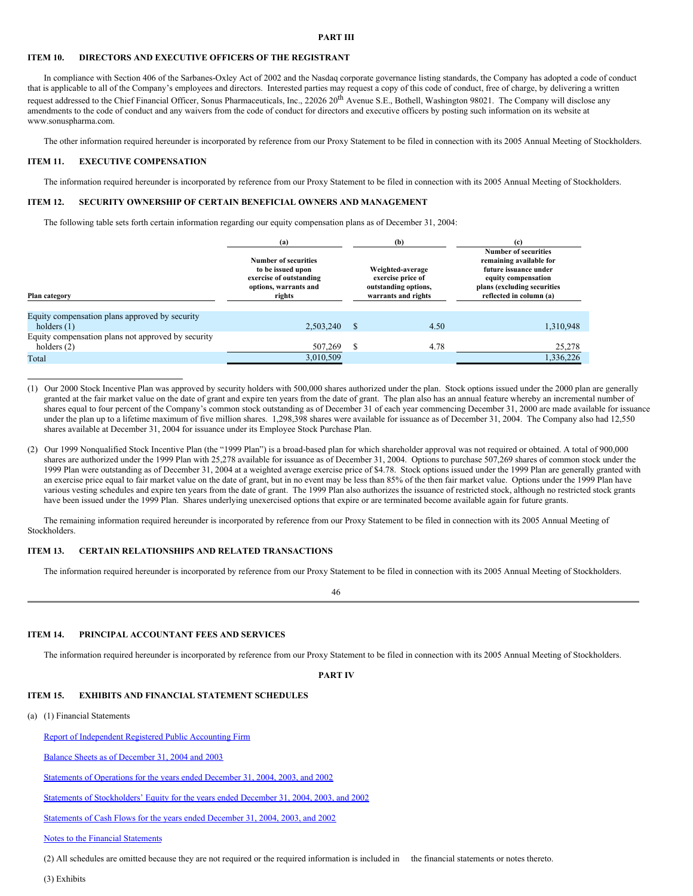#### <span id="page-24-0"></span>**PART III**

## <span id="page-24-1"></span>**ITEM 10. DIRECTORS AND EXECUTIVE OFFICERS OF THE REGISTRANT**

In compliance with Section 406 of the Sarbanes-Oxley Act of 2002 and the Nasdaq corporate governance listing standards, the Company has adopted a code of conduct that is applicable to all of the Company's employees and directors. Interested parties may request a copy of this code of conduct, free of charge, by delivering a written request addressed to the Chief Financial Officer, Sonus Pharmaceuticals, Inc., 22026 20<sup>th</sup> Avenue S.E., Bothell, Washington 98021. The Company will disclose any amendments to the code of conduct and any waivers from the code of conduct for directors and executive officers by posting such information on its website at www.sonuspharma.com.

The other information required hereunder is incorporated by reference from our Proxy Statement to be filed in connection with its 2005 Annual Meeting of Stockholders.

## <span id="page-24-2"></span>**ITEM 11. EXECUTIVE COMPENSATION**

The information required hereunder is incorporated by reference from our Proxy Statement to be filed in connection with its 2005 Annual Meeting of Stockholders.

#### <span id="page-24-3"></span>**ITEM 12. SECURITY OWNERSHIP OF CERTAIN BENEFICIAL OWNERS AND MANAGEMENT**

The following table sets forth certain information regarding our equity compensation plans as of December 31, 2004:

|                                                    | (a)                                                                                                            |    | (b)                                                                                  | (c)                                                                                                                                                              |  |  |
|----------------------------------------------------|----------------------------------------------------------------------------------------------------------------|----|--------------------------------------------------------------------------------------|------------------------------------------------------------------------------------------------------------------------------------------------------------------|--|--|
| Plan category                                      | <b>Number of securities</b><br>to be issued upon<br>exercise of outstanding<br>options, warrants and<br>rights |    | Weighted-average<br>exercise price of<br>outstanding options,<br>warrants and rights | <b>Number of securities</b><br>remaining available for<br>future issuance under<br>equity compensation<br>plans (excluding securities<br>reflected in column (a) |  |  |
| Equity compensation plans approved by security     |                                                                                                                |    |                                                                                      |                                                                                                                                                                  |  |  |
| holders $(1)$                                      | 2,503,240                                                                                                      |    | 4.50                                                                                 | 1,310,948                                                                                                                                                        |  |  |
| Equity compensation plans not approved by security |                                                                                                                |    |                                                                                      |                                                                                                                                                                  |  |  |
| holders $(2)$                                      | 507,269                                                                                                        | \$ | 4.78                                                                                 | 25,278                                                                                                                                                           |  |  |
| Total                                              | 3.010.509                                                                                                      |    |                                                                                      | 1.336.226                                                                                                                                                        |  |  |

(1) Our 2000 Stock Incentive Plan was approved by security holders with 500,000 shares authorized under the plan. Stock options issued under the 2000 plan are generally granted at the fair market value on the date of grant and expire ten years from the date of grant. The plan also has an annual feature whereby an incremental number of shares equal to four percent of the Company's common stock outstanding as of December 31 of each year commencing December 31, 2000 are made available for issuance under the plan up to a lifetime maximum of five million shares. 1,298,398 shares were available for issuance as of December 31, 2004. The Company also had 12,550 shares available at December 31, 2004 for issuance under its Employee Stock Purchase Plan.

(2) Our 1999 Nonqualified Stock Incentive Plan (the "1999 Plan") is a broad-based plan for which shareholder approval was not required or obtained. A total of 900,000 shares are authorized under the 1999 Plan with 25,278 available for issuance as of December 31, 2004. Options to purchase 507,269 shares of common stock under the 1999 Plan were outstanding as of December 31, 2004 at a weighted average exercise price of \$4.78. Stock options issued under the 1999 Plan are generally granted with an exercise price equal to fair market value on the date of grant, but in no event may be less than 85% of the then fair market value. Options under the 1999 Plan have various vesting schedules and expire ten years from the date of grant. The 1999 Plan also authorizes the issuance of restricted stock, although no restricted stock grants have been issued under the 1999 Plan. Shares underlying unexercised options that expire or are terminated become available again for future grants.

The remaining information required hereunder is incorporated by reference from our Proxy Statement to be filed in connection with its 2005 Annual Meeting of Stockholders.

### <span id="page-24-4"></span>**ITEM 13. CERTAIN RELATIONSHIPS AND RELATED TRANSACTIONS**

The information required hereunder is incorporated by reference from our Proxy Statement to be filed in connection with its 2005 Annual Meeting of Stockholders.

46

## <span id="page-24-5"></span>**ITEM 14. PRINCIPAL ACCOUNTANT FEES AND SERVICES**

The information required hereunder is incorporated by reference from our Proxy Statement to be filed in connection with its 2005 Annual Meeting of Stockholders.

<span id="page-24-6"></span>**PART IV**

## <span id="page-24-7"></span>**ITEM 15. EXHIBITS AND FINANCIAL STATEMENT SCHEDULES**

(a) (1) Financial Statements

Report of [Independent](#page-14-2) Registered Public Accounting Firm

Balance Sheets as of [December](#page-15-0) 31, 2004 and 2003

Statements of [Operations](#page-15-1) for the years ended December 31, 2004, 2003, and 2002

Statements of [Stockholders'](#page-16-0) Equity for the years ended December 31, 2004, 2003, and 2002

[Statements](#page-16-1) of Cash Flows for the years ended December 31, 2004, 2003, and 2002

Notes to the Financial [Statements](#page-17-0)

(2) All schedules are omitted because they are not required or the required information is included in the financial statements or notes thereto.

(3) Exhibits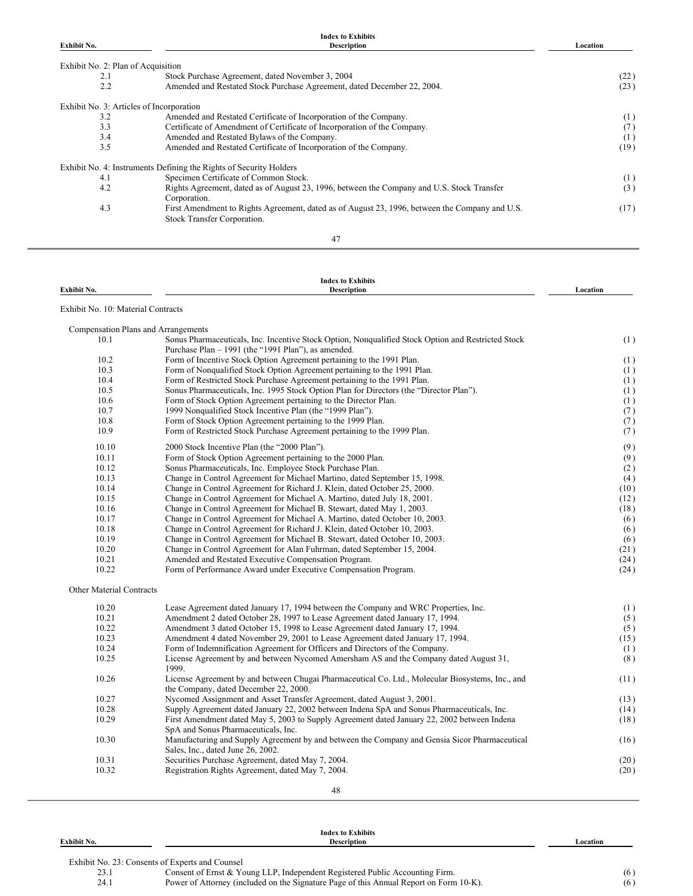| Exhibit No.                              | <b>Index to Exhibits</b><br><b>Description</b>                                                 | Location |
|------------------------------------------|------------------------------------------------------------------------------------------------|----------|
| Exhibit No. 2: Plan of Acquisition       |                                                                                                |          |
| 2.1                                      | Stock Purchase Agreement, dated November 3, 2004                                               | (22)     |
| 2.2                                      | Amended and Restated Stock Purchase Agreement, dated December 22, 2004.                        | (23)     |
| Exhibit No. 3: Articles of Incorporation |                                                                                                |          |
| 3.2                                      | Amended and Restated Certificate of Incorporation of the Company.                              | (1)      |
| 3.3                                      | Certificate of Amendment of Certificate of Incorporation of the Company.                       | (7)      |
| 3.4                                      | Amended and Restated Bylaws of the Company.                                                    | (1)      |
| 3.5                                      | Amended and Restated Certificate of Incorporation of the Company.                              | (19)     |
|                                          | Exhibit No. 4: Instruments Defining the Rights of Security Holders                             |          |
| 4.1                                      | Specimen Certificate of Common Stock.                                                          | (1)      |
| 4.2                                      | Rights Agreement, dated as of August 23, 1996, between the Company and U.S. Stock Transfer     | (3)      |
|                                          | Corporation.                                                                                   |          |
| 4.3                                      | First Amendment to Rights Agreement, dated as of August 23, 1996, between the Company and U.S. | (17)     |
|                                          | Stock Transfer Corporation.                                                                    |          |
|                                          |                                                                                                |          |

47

| Exhibit No.                        | <b>Index to Exhibits</b><br><b>Description</b> | Location |
|------------------------------------|------------------------------------------------|----------|
| Exhibit No. 10: Material Contracts |                                                |          |

|                                 | Compensation Plans and Arrangements                                                                                                       |      |
|---------------------------------|-------------------------------------------------------------------------------------------------------------------------------------------|------|
| 10.1                            | Sonus Pharmaceuticals, Inc. Incentive Stock Option, Nonqualified Stock Option and Restricted Stock                                        | (1)  |
|                                 | Purchase Plan - 1991 (the "1991 Plan"), as amended.                                                                                       |      |
| 10.2                            | Form of Incentive Stock Option Agreement pertaining to the 1991 Plan.                                                                     | (1)  |
| 10.3                            | Form of Nonqualified Stock Option Agreement pertaining to the 1991 Plan.                                                                  | (1)  |
| 10.4                            | Form of Restricted Stock Purchase Agreement pertaining to the 1991 Plan.                                                                  | (1)  |
| 10.5                            | Sonus Pharmaceuticals, Inc. 1995 Stock Option Plan for Directors (the "Director Plan").                                                   | (1)  |
| 10.6                            | Form of Stock Option Agreement pertaining to the Director Plan.                                                                           | (1)  |
| 10.7                            | 1999 Nonqualified Stock Incentive Plan (the "1999 Plan").                                                                                 | (7)  |
| 10.8                            | Form of Stock Option Agreement pertaining to the 1999 Plan.                                                                               | (7)  |
| 10.9                            | Form of Restricted Stock Purchase Agreement pertaining to the 1999 Plan.                                                                  | (7)  |
| 10.10                           | 2000 Stock Incentive Plan (the "2000 Plan").                                                                                              | (9)  |
| 10.11                           | Form of Stock Option Agreement pertaining to the 2000 Plan.                                                                               | (9)  |
| 10.12                           | Sonus Pharmaceuticals, Inc. Employee Stock Purchase Plan.                                                                                 | (2)  |
| 10.13                           | Change in Control Agreement for Michael Martino, dated September 15, 1998.                                                                | (4)  |
| 10.14                           | Change in Control Agreement for Richard J. Klein, dated October 25, 2000.                                                                 | (10) |
| 10.15                           | Change in Control Agreement for Michael A. Martino, dated July 18, 2001.                                                                  | (12) |
| 10.16                           | Change in Control Agreement for Michael B. Stewart, dated May 1, 2003.                                                                    | (18) |
| 10.17                           | Change in Control Agreement for Michael A. Martino, dated October 10, 2003.                                                               | (6)  |
| 10.18                           | Change in Control Agreement for Richard J. Klein, dated October 10, 2003.                                                                 | (6)  |
| 10.19                           | Change in Control Agreement for Michael B. Stewart, dated October 10, 2003.                                                               | (6)  |
| 10.20                           | Change in Control Agreement for Alan Fuhrman, dated September 15, 2004.                                                                   | (21) |
| 10.21                           | Amended and Restated Executive Compensation Program.                                                                                      | (24) |
| 10.22                           | Form of Performance Award under Executive Compensation Program.                                                                           | (24) |
| <b>Other Material Contracts</b> |                                                                                                                                           |      |
| 10.20                           | Lease Agreement dated January 17, 1994 between the Company and WRC Properties, Inc.                                                       | (1)  |
| 10.21                           | Amendment 2 dated October 28, 1997 to Lease Agreement dated January 17, 1994.                                                             | (5)  |
| 10.22                           | Amendment 3 dated October 15, 1998 to Lease Agreement dated January 17, 1994.                                                             | (5)  |
| 10.23                           | Amendment 4 dated November 29, 2001 to Lease Agreement dated January 17, 1994.                                                            | (15) |
| 10.24                           | Form of Indemnification Agreement for Officers and Directors of the Company.                                                              | (1)  |
| 10.25                           | License Agreement by and between Nycomed Amersham AS and the Company dated August 31,<br>1999.                                            | (8)  |
| 10.26                           | License Agreement by and between Chugai Pharmaceutical Co. Ltd., Molecular Biosystems, Inc., and<br>the Company, dated December 22, 2000. | (11) |
| 10.27                           | Nycomed Assignment and Asset Transfer Agreement, dated August 3, 2001.                                                                    | (13) |
| 10.28                           | Supply Agreement dated January 22, 2002 between Indena SpA and Sonus Pharmaceuticals, Inc.                                                | (14) |
| 10.29                           | First Amendment dated May 5, 2003 to Supply Agreement dated January 22, 2002 between Indena<br>SpA and Sonus Pharmaceuticals, Inc.        | (18) |

10.30 Manufacturing and Supply Agreement by and between the Company and Gensia Sicor Pharmaceutical Sales, Inc., dated June 26, 2002.  $(16)$ 10.31 Securities Purchase Agreement, dated May 7, 2004. (20 ) 10.32 Registration Rights Agreement, dated May 7, 2004. (20 )

|             | <b>Index to Exhibits</b>                                                     |          |
|-------------|------------------------------------------------------------------------------|----------|
| Exhibit No. | <b>Description</b>                                                           | Location |
|             | Exhibit No. 23: Consents of Experts and Counsel                              |          |
| 23.1        | Consent of Ernst & Young LLP, Independent Registered Public Accounting Firm. | (6)      |

24.1 Power of Attorney (included on the Signature Page of this Annual Report on Form 10-K). (6 )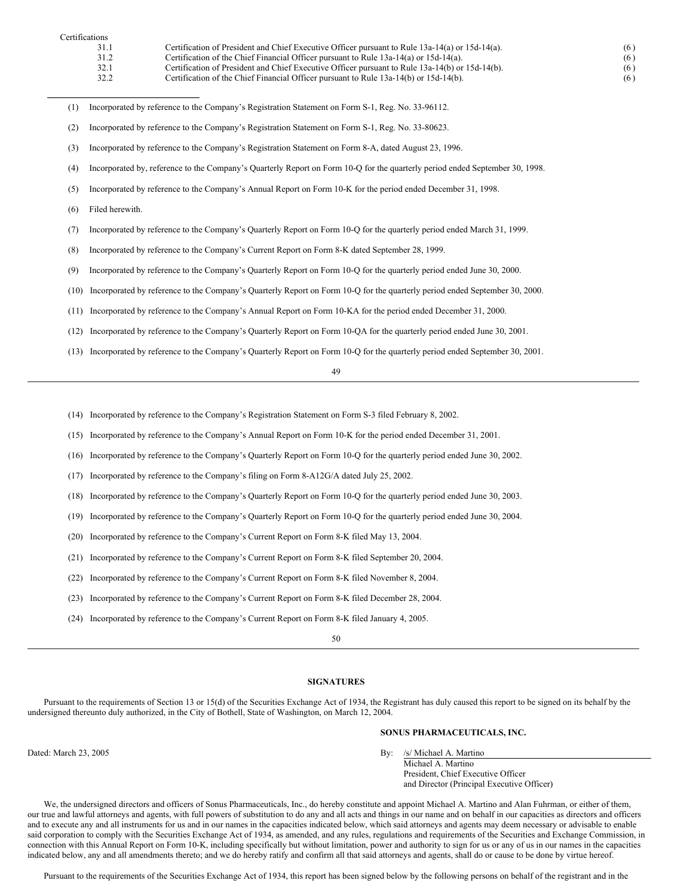- (2) Incorporated by reference to the Company's Registration Statement on Form S-1, Reg. No. 33-80623.
- (3) Incorporated by reference to the Company's Registration Statement on Form 8-A, dated August 23, 1996.
- (4) Incorporated by, reference to the Company's Quarterly Report on Form 10-Q for the quarterly period ended September 30, 1998.
- (5) Incorporated by reference to the Company's Annual Report on Form 10-K for the period ended December 31, 1998.
- (6) Filed herewith.
- (7) Incorporated by reference to the Company's Quarterly Report on Form 10-Q for the quarterly period ended March 31, 1999.
- (8) Incorporated by reference to the Company's Current Report on Form 8-K dated September 28, 1999.
- (9) Incorporated by reference to the Company's Quarterly Report on Form 10-Q for the quarterly period ended June 30, 2000.
- (10) Incorporated by reference to the Company's Quarterly Report on Form 10-Q for the quarterly period ended September 30, 2000.
- (11) Incorporated by reference to the Company's Annual Report on Form 10-KA for the period ended December 31, 2000.
- (12) Incorporated by reference to the Company's Quarterly Report on Form 10-QA for the quarterly period ended June 30, 2001.
- (13) Incorporated by reference to the Company's Quarterly Report on Form 10-Q for the quarterly period ended September 30, 2001.

49

- (14) Incorporated by reference to the Company's Registration Statement on Form S-3 filed February 8, 2002.
- (15) Incorporated by reference to the Company's Annual Report on Form 10-K for the period ended December 31, 2001.
- (16) Incorporated by reference to the Company's Quarterly Report on Form 10-Q for the quarterly period ended June 30, 2002.
- (17) Incorporated by reference to the Company's filing on Form 8-A12G/A dated July 25, 2002.
- (18) Incorporated by reference to the Company's Quarterly Report on Form 10-Q for the quarterly period ended June 30, 2003.
- (19) Incorporated by reference to the Company's Quarterly Report on Form 10-Q for the quarterly period ended June 30, 2004.
- (20) Incorporated by reference to the Company's Current Report on Form 8-K filed May 13, 2004.
- (21) Incorporated by reference to the Company's Current Report on Form 8-K filed September 20, 2004.
- (22) Incorporated by reference to the Company's Current Report on Form 8-K filed November 8, 2004.
- (23) Incorporated by reference to the Company's Current Report on Form 8-K filed December 28, 2004.
- (24) Incorporated by reference to the Company's Current Report on Form 8-K filed January 4, 2005.

50

## **SIGNATURES**

Pursuant to the requirements of Section 13 or 15(d) of the Securities Exchange Act of 1934, the Registrant has duly caused this report to be signed on its behalf by the undersigned thereunto duly authorized, in the City of Bothell, State of Washington, on March 12, 2004.

## **SONUS PHARMACEUTICALS, INC.**

Dated: March 23, 2005 By: /s/ Michael A. Martino

Michael A. Martino President, Chief Executive Officer and Director (Principal Executive Officer)

We, the undersigned directors and officers of Sonus Pharmaceuticals, Inc., do hereby constitute and appoint Michael A. Martino and Alan Fuhrman, or either of them, our true and lawful attorneys and agents, with full powers of substitution to do any and all acts and things in our name and on behalf in our capacities as directors and officers and to execute any and all instruments for us and in our names in the capacities indicated below, which said attorneys and agents may deem necessary or advisable to enable said corporation to comply with the Securities Exchange Act of 1934, as amended, and any rules, regulations and requirements of the Securities and Exchange Commission, in connection with this Annual Report on Form 10-K, including specifically but without limitation, power and authority to sign for us or any of us in our names in the capacities indicated below, any and all amendments thereto; and we do hereby ratify and confirm all that said attorneys and agents, shall do or cause to be done by virtue hereof.

Pursuant to the requirements of the Securities Exchange Act of 1934, this report has been signed below by the following persons on behalf of the registrant and in the

<sup>(1)</sup> Incorporated by reference to the Company's Registration Statement on Form S-1, Reg. No. 33-96112.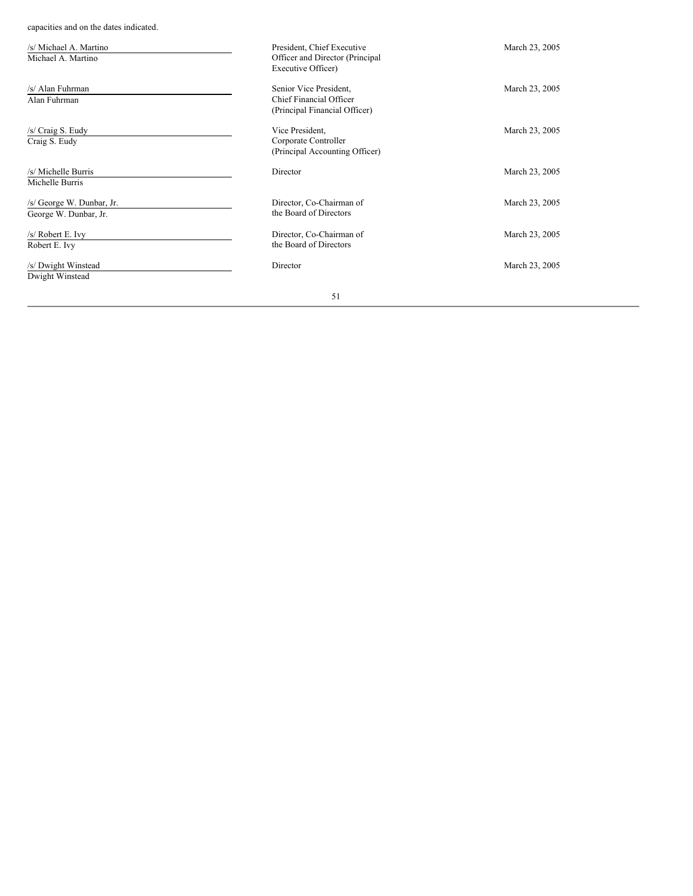capacities and on the dates indicated.

| /s/ Michael A. Martino<br>Michael A. Martino       | President, Chief Executive<br>Officer and Director (Principal<br>Executive Officer) | March 23, 2005 |
|----------------------------------------------------|-------------------------------------------------------------------------------------|----------------|
| /s/ Alan Fuhrman<br>Alan Fuhrman                   | Senior Vice President,<br>Chief Financial Officer<br>(Principal Financial Officer)  | March 23, 2005 |
| /s/ Craig S. Eudy<br>Craig S. Eudy                 | Vice President,<br>Corporate Controller<br>(Principal Accounting Officer)           | March 23, 2005 |
| /s/ Michelle Burris<br>Michelle Burris             | Director                                                                            | March 23, 2005 |
| /s/ George W. Dunbar, Jr.<br>George W. Dunbar, Jr. | Director, Co-Chairman of<br>the Board of Directors                                  | March 23, 2005 |
| /s/ Robert E. Ivy<br>Robert E. Ivy                 | Director, Co-Chairman of<br>the Board of Directors                                  | March 23, 2005 |
| /s/ Dwight Winstead<br>Dwight Winstead             | Director                                                                            | March 23, 2005 |

5 1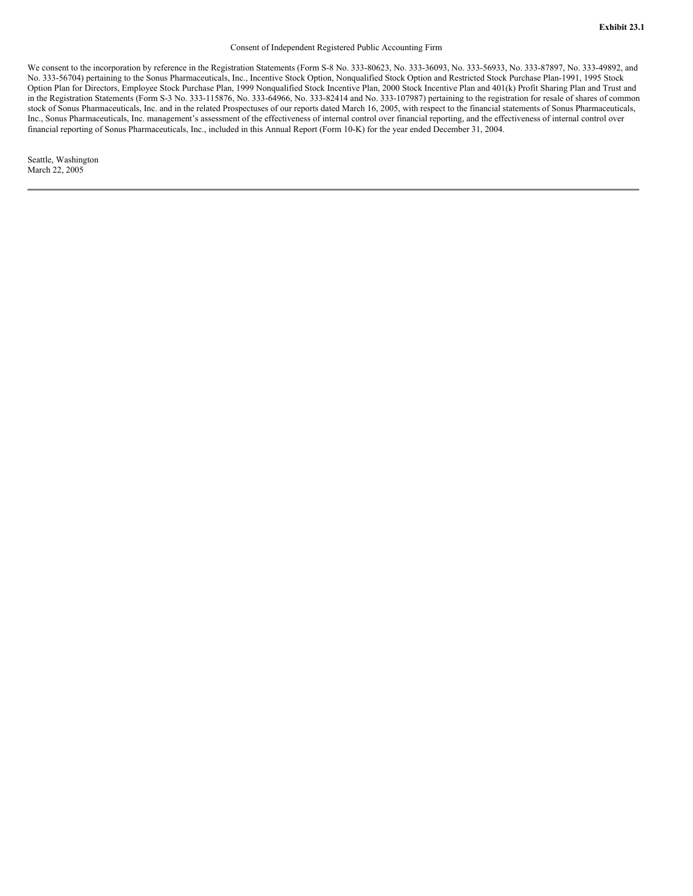## Consent of Independent Registered Public Accounting Firm

We consent to the incorporation by reference in the Registration Statements (Form S-8 No. 333-80623, No. 333-36093, No. 333-56933, No. 333-87897, No. 333-49892, and No. 333-56704) pertaining to the Sonus Pharmaceuticals, Inc., Incentive Stock Option, Nonqualified Stock Option and Restricted Stock Purchase Plan-1991, 1995 Stock Option Plan for Directors, Employee Stock Purchase Plan, 1999 Nonqualified Stock Incentive Plan, 2000 Stock Incentive Plan and 401(k) Profit Sharing Plan and Trust and in the Registration Statements (Form S-3 No. 333-115876, No. 333-64966, No. 333-82414 and No. 333-107987) pertaining to the registration for resale of shares of common stock of Sonus Pharmaceuticals, Inc. and in the related Prospectuses of our reports dated March 16, 2005, with respect to the financial statements of Sonus Pharmaceuticals, Inc., Sonus Pharmaceuticals, Inc. management's assessment of the effectiveness of internal control over financial reporting, and the effectiveness of internal control over financial reporting of Sonus Pharmaceuticals, Inc., included in this Annual Report (Form 10-K) for the year ended December 31, 2004.

Seattle, Washington March 22, 2005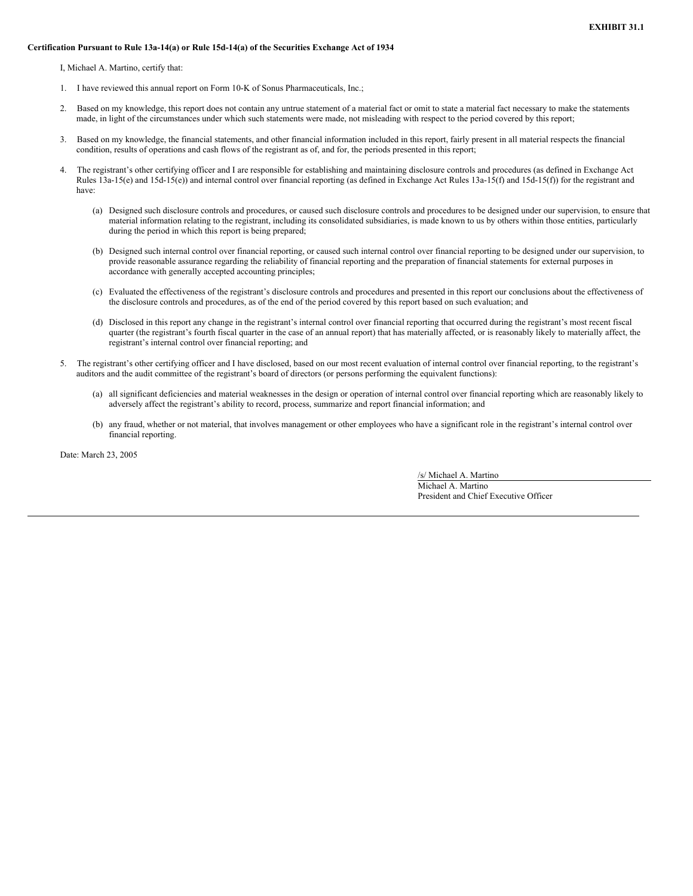## **Certification Pursuant to Rule 13a-14(a) or Rule 15d-14(a) of the Securities Exchange Act of 1934**

I, Michael A. Martino, certify that:

- 1. I have reviewed this annual report on Form 10-K of Sonus Pharmaceuticals, Inc.;
- 2. Based on my knowledge, this report does not contain any untrue statement of a material fact or omit to state a material fact necessary to make the statements made, in light of the circumstances under which such statements were made, not misleading with respect to the period covered by this report;
- 3. Based on my knowledge, the financial statements, and other financial information included in this report, fairly present in all material respects the financial condition, results of operations and cash flows of the registrant as of, and for, the periods presented in this report;
- 4. The registrant's other certifying officer and I are responsible for establishing and maintaining disclosure controls and procedures (as defined in Exchange Act Rules 13a-15(e) and 15d-15(e)) and internal control over financial reporting (as defined in Exchange Act Rules 13a-15(f) and 15d-15(f)) for the registrant and have:
	- (a) Designed such disclosure controls and procedures, or caused such disclosure controls and procedures to be designed under our supervision, to ensure that material information relating to the registrant, including its consolidated subsidiaries, is made known to us by others within those entities, particularly during the period in which this report is being prepared;
	- (b) Designed such internal control over financial reporting, or caused such internal control over financial reporting to be designed under our supervision, to provide reasonable assurance regarding the reliability of financial reporting and the preparation of financial statements for external purposes in accordance with generally accepted accounting principles;
	- (c) Evaluated the effectiveness of the registrant's disclosure controls and procedures and presented in this report our conclusions about the effectiveness of the disclosure controls and procedures, as of the end of the period covered by this report based on such evaluation; and
	- (d) Disclosed in this report any change in the registrant's internal control over financial reporting that occurred during the registrant's most recent fiscal quarter (the registrant's fourth fiscal quarter in the case of an annual report) that has materially affected, or is reasonably likely to materially affect, the registrant's internal control over financial reporting; and
- 5. The registrant's other certifying officer and I have disclosed, based on our most recent evaluation of internal control over financial reporting, to the registrant's auditors and the audit committee of the registrant's board of directors (or persons performing the equivalent functions):
	- (a) all significant deficiencies and material weaknesses in the design or operation of internal control over financial reporting which are reasonably likely to adversely affect the registrant's ability to record, process, summarize and report financial information; and
	- (b) any fraud, whether or not material, that involves management or other employees who have a significant role in the registrant's internal control over financial reporting.

Date: March 23, 2005

/s/ Michael A. Martino Michael A. Martino President and Chief Executive Officer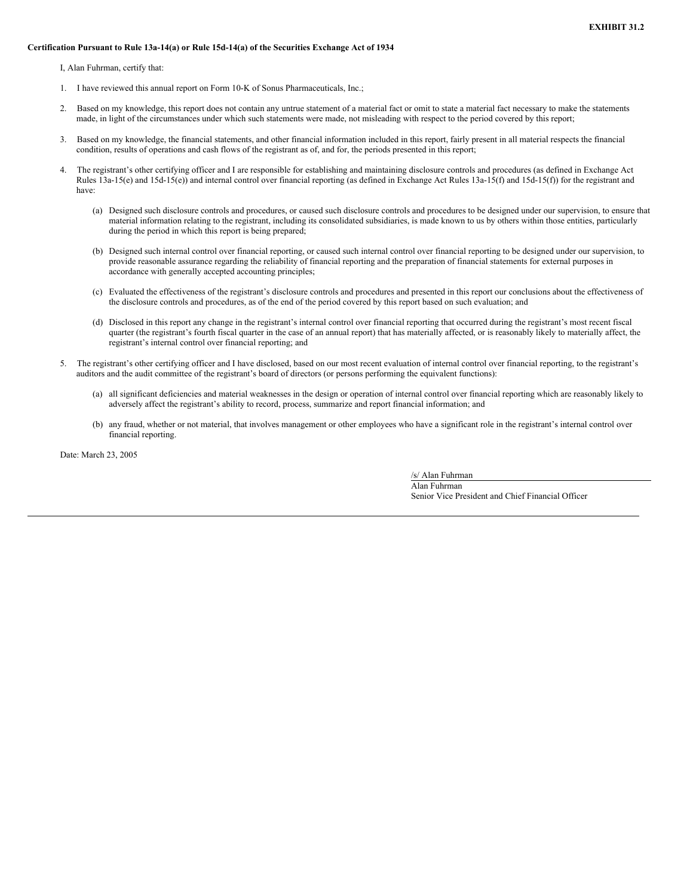## **Certification Pursuant to Rule 13a-14(a) or Rule 15d-14(a) of the Securities Exchange Act of 1934**

I, Alan Fuhrman, certify that:

- 1. I have reviewed this annual report on Form 10-K of Sonus Pharmaceuticals, Inc.;
- 2. Based on my knowledge, this report does not contain any untrue statement of a material fact or omit to state a material fact necessary to make the statements made, in light of the circumstances under which such statements were made, not misleading with respect to the period covered by this report;
- 3. Based on my knowledge, the financial statements, and other financial information included in this report, fairly present in all material respects the financial condition, results of operations and cash flows of the registrant as of, and for, the periods presented in this report;
- 4. The registrant's other certifying officer and I are responsible for establishing and maintaining disclosure controls and procedures (as defined in Exchange Act Rules 13a-15(e) and 15d-15(e)) and internal control over financial reporting (as defined in Exchange Act Rules 13a-15(f) and 15d-15(f)) for the registrant and have:
	- (a) Designed such disclosure controls and procedures, or caused such disclosure controls and procedures to be designed under our supervision, to ensure that material information relating to the registrant, including its consolidated subsidiaries, is made known to us by others within those entities, particularly during the period in which this report is being prepared;
	- (b) Designed such internal control over financial reporting, or caused such internal control over financial reporting to be designed under our supervision, to provide reasonable assurance regarding the reliability of financial reporting and the preparation of financial statements for external purposes in accordance with generally accepted accounting principles;
	- (c) Evaluated the effectiveness of the registrant's disclosure controls and procedures and presented in this report our conclusions about the effectiveness of the disclosure controls and procedures, as of the end of the period covered by this report based on such evaluation; and
	- (d) Disclosed in this report any change in the registrant's internal control over financial reporting that occurred during the registrant's most recent fiscal quarter (the registrant's fourth fiscal quarter in the case of an annual report) that has materially affected, or is reasonably likely to materially affect, the registrant's internal control over financial reporting; and
- 5. The registrant's other certifying officer and I have disclosed, based on our most recent evaluation of internal control over financial reporting, to the registrant's auditors and the audit committee of the registrant's board of directors (or persons performing the equivalent functions):
	- (a) all significant deficiencies and material weaknesses in the design or operation of internal control over financial reporting which are reasonably likely to adversely affect the registrant's ability to record, process, summarize and report financial information; and
	- (b) any fraud, whether or not material, that involves management or other employees who have a significant role in the registrant's internal control over financial reporting.

Date: March 23, 2005

/s/ Alan Fuhrman Alan Fuhrman Senior Vice President and Chief Financial Officer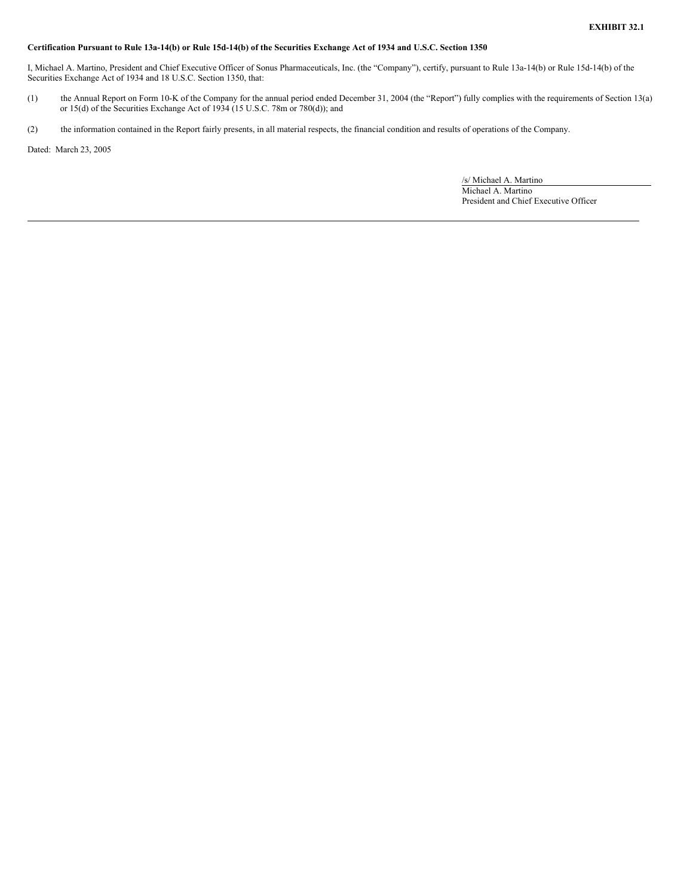## Certification Pursuant to Rule 13a-14(b) or Rule 15d-14(b) of the Securities Exchange Act of 1934 and U.S.C. Section 1350

I, Michael A. Martino, President and Chief Executive Officer of Sonus Pharmaceuticals, Inc. (the "Company"), certify, pursuant to Rule 13a-14(b) or Rule 15d-14(b) of the Securities Exchange Act of 1934 and 18 U.S.C. Section 1350, that:

- (1) the Annual Report on Form 10-K of the Company for the annual period ended December 31, 2004 (the "Report") fully complies with the requirements of Section 13(a) or 15(d) of the Securities Exchange Act of 1934 (15 U.S.C. 78m or 780(d)); and
- (2) the information contained in the Report fairly presents, in all material respects, the financial condition and results of operations of the Company.

Dated: March 23, 2005

/s/ Michael A. Martino Michael A. Martino President and Chief Executive Officer